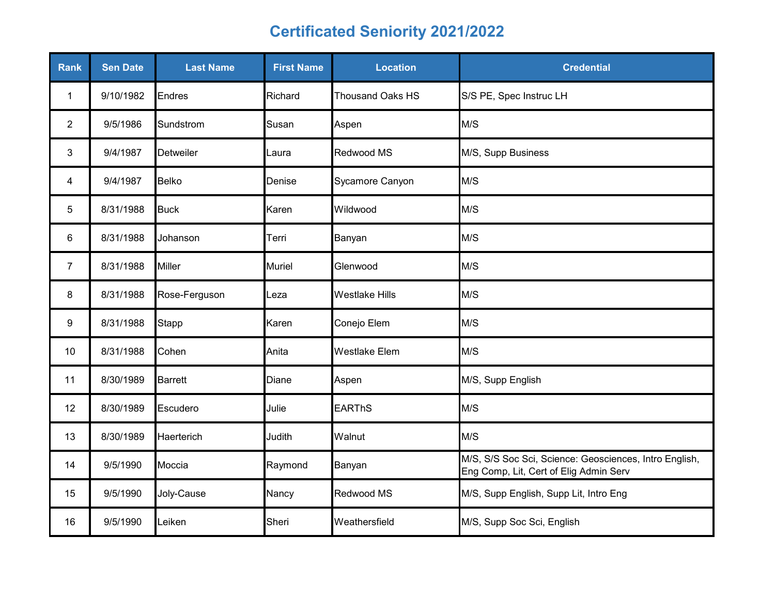| Rank           | <b>Sen Date</b> | <b>Last Name</b> | <b>First Name</b> | <b>Location</b>         | <b>Credential</b>                                                                                |
|----------------|-----------------|------------------|-------------------|-------------------------|--------------------------------------------------------------------------------------------------|
| $\mathbf{1}$   | 9/10/1982       | Endres           | Richard           | <b>Thousand Oaks HS</b> | S/S PE, Spec Instruc LH                                                                          |
| $\overline{2}$ | 9/5/1986        | Sundstrom        | Susan             | Aspen                   | M/S                                                                                              |
| 3              | 9/4/1987        | <b>Detweiler</b> | Laura             | Redwood MS              | M/S, Supp Business                                                                               |
| 4              | 9/4/1987        | <b>Belko</b>     | Denise            | Sycamore Canyon         | M/S                                                                                              |
| 5              | 8/31/1988       | <b>Buck</b>      | Karen             | Wildwood                | M/S                                                                                              |
| 6              | 8/31/1988       | Johanson         | Terri             | Banyan                  | M/S                                                                                              |
| $\overline{7}$ | 8/31/1988       | <b>Miller</b>    | <b>Muriel</b>     | Glenwood                | M/S                                                                                              |
| 8              | 8/31/1988       | Rose-Ferguson    | _eza              | <b>Westlake Hills</b>   | M/S                                                                                              |
| 9              | 8/31/1988       | <b>Stapp</b>     | Karen             | Conejo Elem             | M/S                                                                                              |
| 10             | 8/31/1988       | Cohen            | Anita             | <b>Westlake Elem</b>    | M/S                                                                                              |
| 11             | 8/30/1989       | <b>Barrett</b>   | Diane             | Aspen                   | M/S, Supp English                                                                                |
| 12             | 8/30/1989       | Escudero         | Julie             | <b>EARThS</b>           | M/S                                                                                              |
| 13             | 8/30/1989       | Haerterich       | Judith            | Walnut                  | M/S                                                                                              |
| 14             | 9/5/1990        | Moccia           | Raymond           | Banyan                  | M/S, S/S Soc Sci, Science: Geosciences, Intro English,<br>Eng Comp, Lit, Cert of Elig Admin Serv |
| 15             | 9/5/1990        | Joly-Cause       | Nancy             | Redwood MS              | M/S, Supp English, Supp Lit, Intro Eng                                                           |
| 16             | 9/5/1990        | Leiken           | Sheri             | Weathersfield           | M/S, Supp Soc Sci, English                                                                       |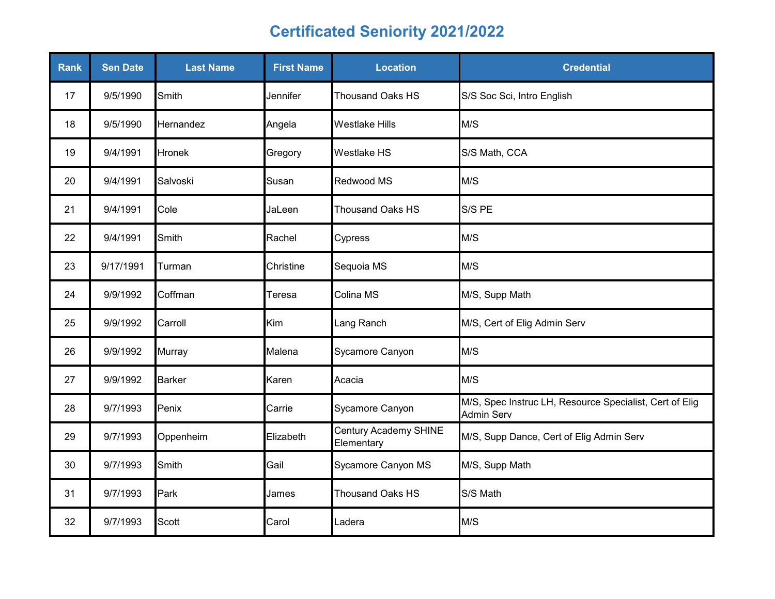| Rank | <b>Sen Date</b> | <b>Last Name</b> | <b>First Name</b> | <b>Location</b>                     | <b>Credential</b>                                                            |
|------|-----------------|------------------|-------------------|-------------------------------------|------------------------------------------------------------------------------|
| 17   | 9/5/1990        | Smith            | Jennifer          | <b>Thousand Oaks HS</b>             | S/S Soc Sci, Intro English                                                   |
| 18   | 9/5/1990        | Hernandez        | Angela            | <b>Westlake Hills</b>               | M/S                                                                          |
| 19   | 9/4/1991        | Hronek           | Gregory           | <b>Westlake HS</b>                  | S/S Math, CCA                                                                |
| 20   | 9/4/1991        | Salvoski         | Susan             | Redwood MS                          | M/S                                                                          |
| 21   | 9/4/1991        | Cole             | JaLeen            | <b>Thousand Oaks HS</b>             | S/S PE                                                                       |
| 22   | 9/4/1991        | Smith            | Rachel            | Cypress                             | M/S                                                                          |
| 23   | 9/17/1991       | Turman           | Christine         | Sequoia MS                          | M/S                                                                          |
| 24   | 9/9/1992        | Coffman          | Teresa            | Colina MS                           | M/S, Supp Math                                                               |
| 25   | 9/9/1992        | Carroll          | Kim               | Lang Ranch                          | M/S, Cert of Elig Admin Serv                                                 |
| 26   | 9/9/1992        | <b>Murray</b>    | Malena            | Sycamore Canyon                     | M/S                                                                          |
| 27   | 9/9/1992        | <b>Barker</b>    | Karen             | Acacia                              | M/S                                                                          |
| 28   | 9/7/1993        | Penix            | Carrie            | Sycamore Canyon                     | M/S, Spec Instruc LH, Resource Specialist, Cert of Elig<br><b>Admin Serv</b> |
| 29   | 9/7/1993        | Oppenheim        | Elizabeth         | Century Academy SHINE<br>Elementary | M/S, Supp Dance, Cert of Elig Admin Serv                                     |
| 30   | 9/7/1993        | Smith            | Gail              | Sycamore Canyon MS                  | M/S, Supp Math                                                               |
| 31   | 9/7/1993        | Park             | James             | <b>Thousand Oaks HS</b>             | S/S Math                                                                     |
| 32   | 9/7/1993        | Scott            | Carol             | Ladera                              | M/S                                                                          |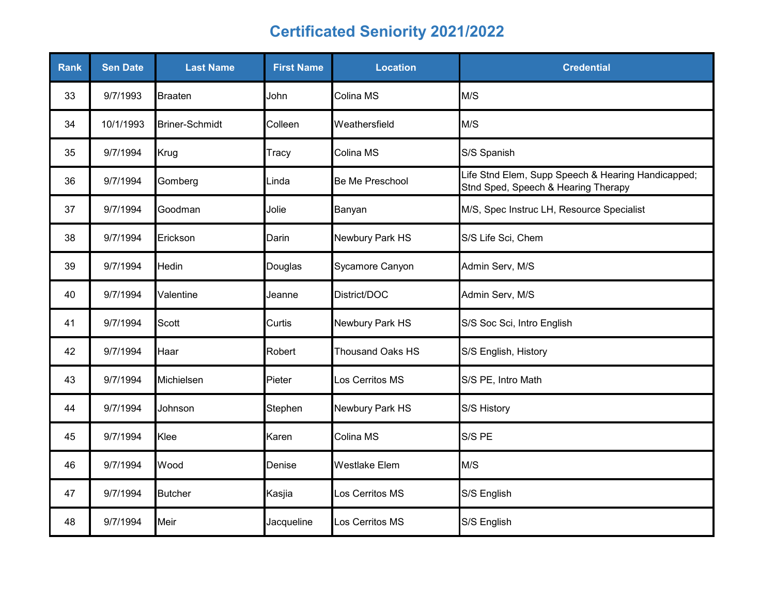| <b>Rank</b> | <b>Sen Date</b> | <b>Last Name</b>      | <b>First Name</b> | <b>Location</b>         | <b>Credential</b>                                                                         |
|-------------|-----------------|-----------------------|-------------------|-------------------------|-------------------------------------------------------------------------------------------|
| 33          | 9/7/1993        | <b>Braaten</b>        | John              | Colina MS               | M/S                                                                                       |
| 34          | 10/1/1993       | <b>Briner-Schmidt</b> | Colleen           | Weathersfield           | M/S                                                                                       |
| 35          | 9/7/1994        | Krug                  | Tracy             | Colina MS               | S/S Spanish                                                                               |
| 36          | 9/7/1994        | Gomberg               | Linda             | <b>Be Me Preschool</b>  | Life Stnd Elem, Supp Speech & Hearing Handicapped;<br>Stnd Sped, Speech & Hearing Therapy |
| 37          | 9/7/1994        | Goodman               | Jolie             | Banyan                  | M/S, Spec Instruc LH, Resource Specialist                                                 |
| 38          | 9/7/1994        | Erickson              | Darin             | Newbury Park HS         | S/S Life Sci, Chem                                                                        |
| 39          | 9/7/1994        | <b>Hedin</b>          | Douglas           | Sycamore Canyon         | Admin Serv, M/S                                                                           |
| 40          | 9/7/1994        | Valentine             | Jeanne            | District/DOC            | Admin Serv, M/S                                                                           |
| 41          | 9/7/1994        | Scott                 | Curtis            | Newbury Park HS         | S/S Soc Sci, Intro English                                                                |
| 42          | 9/7/1994        | Haar                  | Robert            | <b>Thousand Oaks HS</b> | S/S English, History                                                                      |
| 43          | 9/7/1994        | Michielsen            | Pieter            | Los Cerritos MS         | S/S PE, Intro Math                                                                        |
| 44          | 9/7/1994        | Johnson               | Stephen           | Newbury Park HS         | S/S History                                                                               |
| 45          | 9/7/1994        | Klee                  | Karen             | Colina MS               | S/S PE                                                                                    |
| 46          | 9/7/1994        | Wood                  | Denise            | <b>Westlake Elem</b>    | M/S                                                                                       |
| 47          | 9/7/1994        | <b>Butcher</b>        | Kasjia            | Los Cerritos MS         | S/S English                                                                               |
| 48          | 9/7/1994        | Meir                  | Jacqueline        | Los Cerritos MS         | S/S English                                                                               |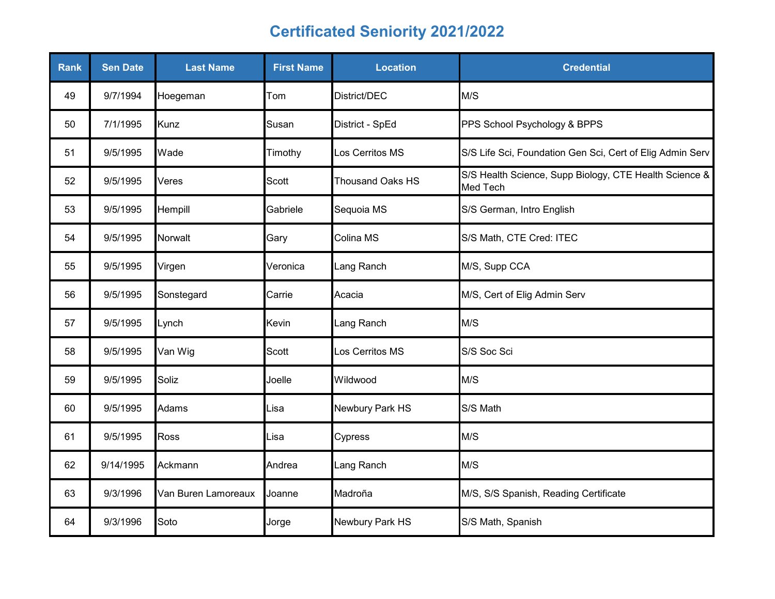| <b>Rank</b> | <b>Sen Date</b> | <b>Last Name</b>    | <b>First Name</b> | <b>Location</b>         | <b>Credential</b>                                                         |
|-------------|-----------------|---------------------|-------------------|-------------------------|---------------------------------------------------------------------------|
| 49          | 9/7/1994        | Hoegeman            | Tom               | District/DEC            | M/S                                                                       |
| 50          | 7/1/1995        | Kunz                | Susan             | District - SpEd         | PPS School Psychology & BPPS                                              |
| 51          | 9/5/1995        | Wade                | Timothy           | Los Cerritos MS         | S/S Life Sci, Foundation Gen Sci, Cert of Elig Admin Serv                 |
| 52          | 9/5/1995        | Veres               | Scott             | <b>Thousand Oaks HS</b> | S/S Health Science, Supp Biology, CTE Health Science &<br><b>Med Tech</b> |
| 53          | 9/5/1995        | Hempill             | Gabriele          | Sequoia MS              | S/S German, Intro English                                                 |
| 54          | 9/5/1995        | Norwalt             | Gary              | Colina MS               | S/S Math, CTE Cred: ITEC                                                  |
| 55          | 9/5/1995        | Virgen              | Veronica          | Lang Ranch              | M/S, Supp CCA                                                             |
| 56          | 9/5/1995        | Sonstegard          | Carrie            | Acacia                  | M/S, Cert of Elig Admin Serv                                              |
| 57          | 9/5/1995        | Lynch               | Kevin             | Lang Ranch              | M/S                                                                       |
| 58          | 9/5/1995        | Van Wig             | Scott             | Los Cerritos MS         | S/S Soc Sci                                                               |
| 59          | 9/5/1995        | Soliz               | Joelle            | Wildwood                | M/S                                                                       |
| 60          | 9/5/1995        | Adams               | Lisa              | Newbury Park HS         | S/S Math                                                                  |
| 61          | 9/5/1995        | Ross                | Lisa              | Cypress                 | M/S                                                                       |
| 62          | 9/14/1995       | Ackmann             | Andrea            | Lang Ranch              | M/S                                                                       |
| 63          | 9/3/1996        | Van Buren Lamoreaux | Joanne            | Madroña                 | M/S, S/S Spanish, Reading Certificate                                     |
| 64          | 9/3/1996        | Soto                | Jorge             | Newbury Park HS         | S/S Math, Spanish                                                         |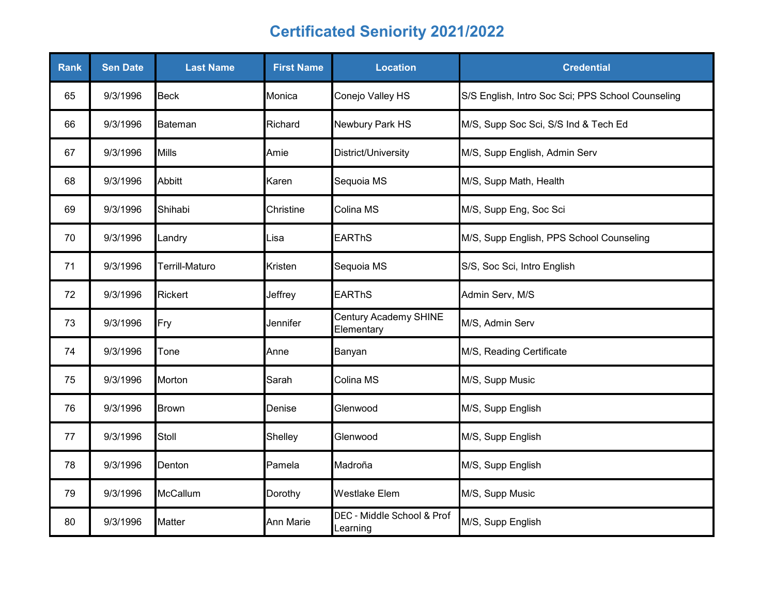| <b>Rank</b> | <b>Sen Date</b> | <b>Last Name</b> | <b>First Name</b> | <b>Location</b>                        | <b>Credential</b>                                 |
|-------------|-----------------|------------------|-------------------|----------------------------------------|---------------------------------------------------|
| 65          | 9/3/1996        | <b>Beck</b>      | Monica            | Conejo Valley HS                       | S/S English, Intro Soc Sci; PPS School Counseling |
| 66          | 9/3/1996        | Bateman          | Richard           | Newbury Park HS                        | M/S, Supp Soc Sci, S/S Ind & Tech Ed              |
| 67          | 9/3/1996        | Mills            | Amie              | District/University                    | M/S, Supp English, Admin Serv                     |
| 68          | 9/3/1996        | <b>Abbitt</b>    | Karen             | Sequoia MS                             | M/S, Supp Math, Health                            |
| 69          | 9/3/1996        | Shihabi          | Christine         | Colina MS                              | M/S, Supp Eng, Soc Sci                            |
| 70          | 9/3/1996        | Landry           | Lisa              | <b>EARThS</b>                          | M/S, Supp English, PPS School Counseling          |
| 71          | 9/3/1996        | Terrill-Maturo   | Kristen           | Sequoia MS                             | S/S, Soc Sci, Intro English                       |
| 72          | 9/3/1996        | <b>Rickert</b>   | Jeffrey           | <b>EARThS</b>                          | Admin Serv, M/S                                   |
| 73          | 9/3/1996        | Fry              | Jennifer          | Century Academy SHINE<br>Elementary    | M/S, Admin Serv                                   |
| 74          | 9/3/1996        | Tone             | Anne              | Banyan                                 | M/S, Reading Certificate                          |
| 75          | 9/3/1996        | Morton           | Sarah             | Colina MS                              | M/S, Supp Music                                   |
| 76          | 9/3/1996        | <b>Brown</b>     | Denise            | Glenwood                               | M/S, Supp English                                 |
| 77          | 9/3/1996        | Stoll            | Shelley           | Glenwood                               | M/S, Supp English                                 |
| 78          | 9/3/1996        | Denton           | Pamela            | Madroña                                | M/S, Supp English                                 |
| 79          | 9/3/1996        | McCallum         | Dorothy           | <b>Westlake Elem</b>                   | M/S, Supp Music                                   |
| 80          | 9/3/1996        | Matter           | Ann Marie         | DEC - Middle School & Prof<br>Learning | M/S, Supp English                                 |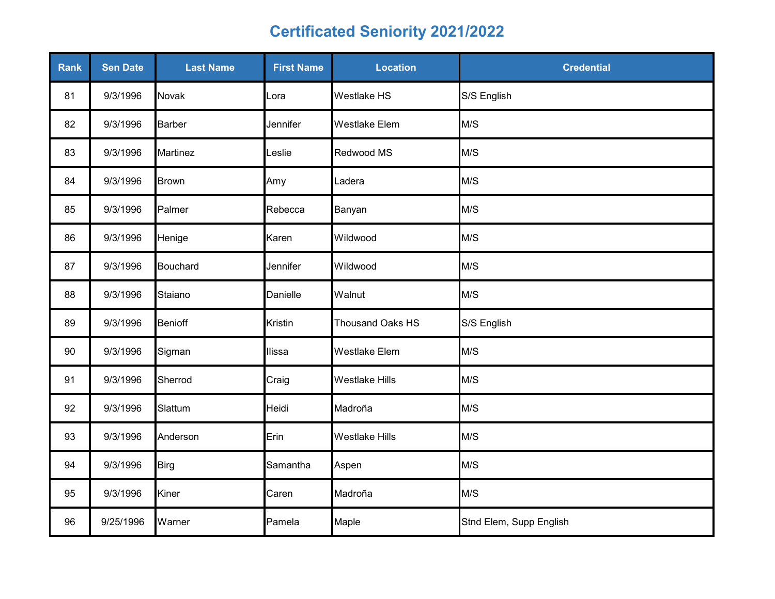| Rank | <b>Sen Date</b> | <b>Last Name</b> | <b>First Name</b> | <b>Location</b>       | <b>Credential</b>       |
|------|-----------------|------------------|-------------------|-----------------------|-------------------------|
| 81   | 9/3/1996        | <b>Novak</b>     | Lora              | <b>Westlake HS</b>    | S/S English             |
| 82   | 9/3/1996        | <b>Barber</b>    | Jennifer          | <b>Westlake Elem</b>  | M/S                     |
| 83   | 9/3/1996        | <b>Martinez</b>  | _eslie            | Redwood MS            | M/S                     |
| 84   | 9/3/1996        | <b>Brown</b>     | Amy               | Ladera                | M/S                     |
| 85   | 9/3/1996        | Palmer           | Rebecca           | Banyan                | M/S                     |
| 86   | 9/3/1996        | Henige           | Karen             | Wildwood              | M/S                     |
| 87   | 9/3/1996        | <b>Bouchard</b>  | Jennifer          | Wildwood              | M/S                     |
| 88   | 9/3/1996        | Staiano          | Danielle          | Walnut                | M/S                     |
| 89   | 9/3/1996        | <b>Benioff</b>   | Kristin           | Thousand Oaks HS      | S/S English             |
| 90   | 9/3/1996        | Sigman           | llissa            | <b>Westlake Elem</b>  | M/S                     |
| 91   | 9/3/1996        | Sherrod          | Craig             | <b>Westlake Hills</b> | M/S                     |
| 92   | 9/3/1996        | Slattum          | Heidi             | Madroña               | M/S                     |
| 93   | 9/3/1996        | Anderson         | Erin              | <b>Westlake Hills</b> | M/S                     |
| 94   | 9/3/1996        | <b>Birg</b>      | Samantha          | Aspen                 | M/S                     |
| 95   | 9/3/1996        | Kiner            | Caren             | Madroña               | M/S                     |
| 96   | 9/25/1996       | Warner           | Pamela            | Maple                 | Stnd Elem, Supp English |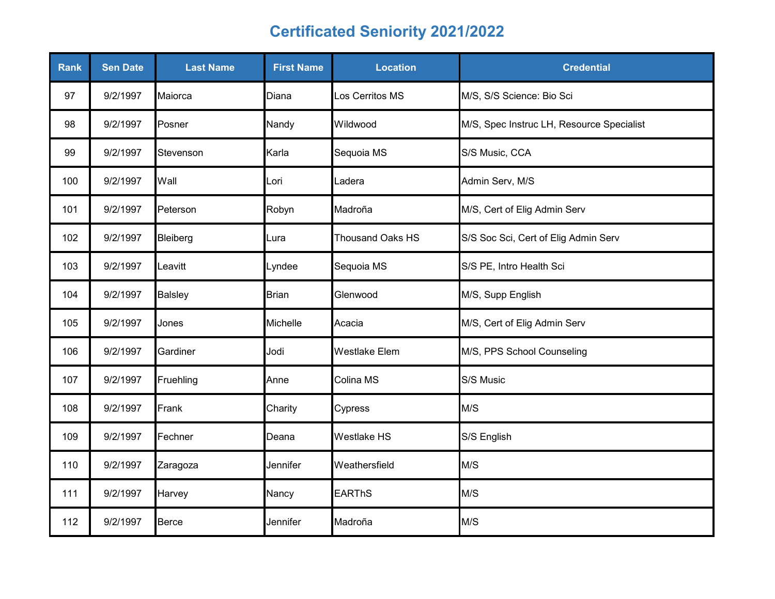| <b>Rank</b> | <b>Sen Date</b> | <b>Last Name</b> | <b>First Name</b> | <b>Location</b>         | <b>Credential</b>                         |
|-------------|-----------------|------------------|-------------------|-------------------------|-------------------------------------------|
| 97          | 9/2/1997        | Maiorca          | Diana             | Los Cerritos MS         | M/S, S/S Science: Bio Sci                 |
| 98          | 9/2/1997        | Posner           | Nandy             | Wildwood                | M/S, Spec Instruc LH, Resource Specialist |
| 99          | 9/2/1997        | Stevenson        | Karla             | Sequoia MS              | S/S Music, CCA                            |
| 100         | 9/2/1997        | Wall             | Lori              | Ladera                  | Admin Serv, M/S                           |
| 101         | 9/2/1997        | Peterson         | Robyn             | Madroña                 | M/S, Cert of Elig Admin Serv              |
| 102         | 9/2/1997        | Bleiberg         | Lura              | <b>Thousand Oaks HS</b> | S/S Soc Sci, Cert of Elig Admin Serv      |
| 103         | 9/2/1997        | Leavitt          | Lyndee            | Sequoia MS              | S/S PE, Intro Health Sci                  |
| 104         | 9/2/1997        | <b>Balsley</b>   | <b>Brian</b>      | Glenwood                | M/S, Supp English                         |
| 105         | 9/2/1997        | Jones            | Michelle          | Acacia                  | M/S, Cert of Elig Admin Serv              |
| 106         | 9/2/1997        | Gardiner         | Jodi              | <b>Westlake Elem</b>    | M/S, PPS School Counseling                |
| 107         | 9/2/1997        | Fruehling        | Anne              | Colina MS               | S/S Music                                 |
| 108         | 9/2/1997        | Frank            | Charity           | Cypress                 | M/S                                       |
| 109         | 9/2/1997        | Fechner          | Deana             | Westlake HS             | S/S English                               |
| 110         | 9/2/1997        | Zaragoza         | Jennifer          | Weathersfield           | M/S                                       |
| 111         | 9/2/1997        | Harvey           | Nancy             | <b>EARThS</b>           | M/S                                       |
| 112         | 9/2/1997        | <b>Berce</b>     | Jennifer          | Madroña                 | M/S                                       |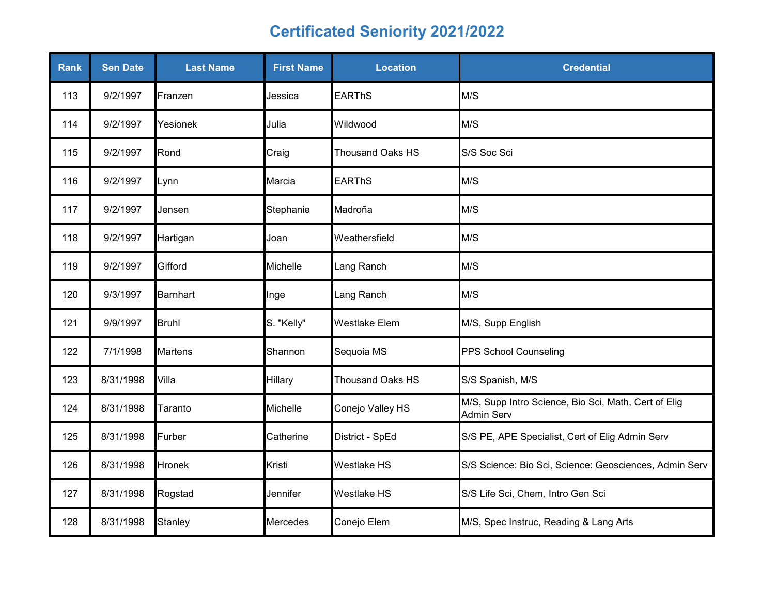| <b>Rank</b> | <b>Sen Date</b> | <b>Last Name</b> | <b>First Name</b> | <b>Location</b>         | <b>Credential</b>                                                         |
|-------------|-----------------|------------------|-------------------|-------------------------|---------------------------------------------------------------------------|
| 113         | 9/2/1997        | Franzen          | Jessica           | <b>EARThS</b>           | M/S                                                                       |
| 114         | 9/2/1997        | Yesionek         | Julia             | Wildwood                | M/S                                                                       |
| 115         | 9/2/1997        | Rond             | Craig             | <b>Thousand Oaks HS</b> | S/S Soc Sci                                                               |
| 116         | 9/2/1997        | Lynn             | Marcia            | <b>EARThS</b>           | M/S                                                                       |
| 117         | 9/2/1997        | Jensen           | Stephanie         | Madroña                 | M/S                                                                       |
| 118         | 9/2/1997        | Hartigan         | Joan              | Weathersfield           | M/S                                                                       |
| 119         | 9/2/1997        | Gifford          | Michelle          | Lang Ranch              | M/S                                                                       |
| 120         | 9/3/1997        | <b>Barnhart</b>  | Inge              | Lang Ranch              | M/S                                                                       |
| 121         | 9/9/1997        | <b>Bruhl</b>     | S. "Kelly"        | <b>Westlake Elem</b>    | M/S, Supp English                                                         |
| 122         | 7/1/1998        | <b>Martens</b>   | Shannon           | Sequoia MS              | PPS School Counseling                                                     |
| 123         | 8/31/1998       | Villa            | Hillary           | <b>Thousand Oaks HS</b> | S/S Spanish, M/S                                                          |
| 124         | 8/31/1998       | Taranto          | Michelle          | Conejo Valley HS        | M/S, Supp Intro Science, Bio Sci, Math, Cert of Elig<br><b>Admin Serv</b> |
| 125         | 8/31/1998       | Furber           | Catherine         | District - SpEd         | S/S PE, APE Specialist, Cert of Elig Admin Serv                           |
| 126         | 8/31/1998       | <b>Hronek</b>    | Kristi            | <b>Westlake HS</b>      | S/S Science: Bio Sci, Science: Geosciences, Admin Serv                    |
| 127         | 8/31/1998       | Rogstad          | Jennifer          | Westlake HS             | S/S Life Sci, Chem, Intro Gen Sci                                         |
| 128         | 8/31/1998       | Stanley          | Mercedes          | Conejo Elem             | M/S, Spec Instruc, Reading & Lang Arts                                    |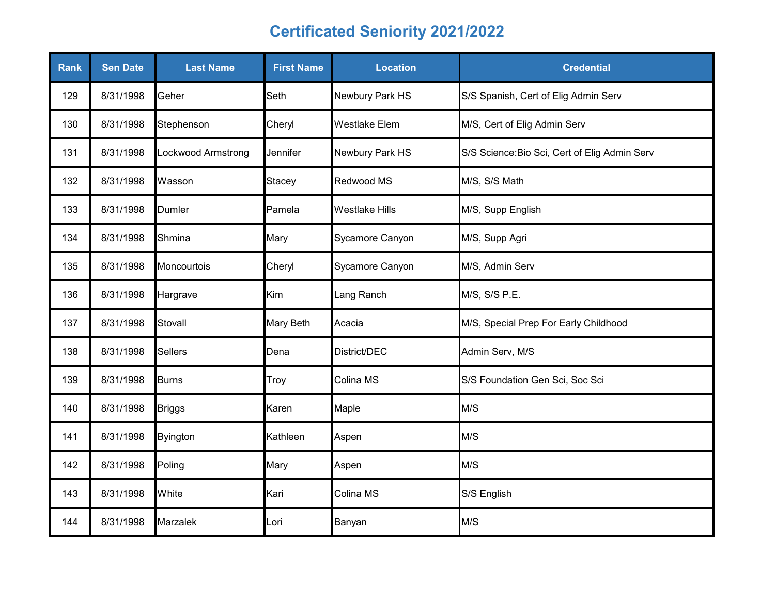| <b>Rank</b> | <b>Sen Date</b> | <b>Last Name</b>   | <b>First Name</b> | <b>Location</b>       | <b>Credential</b>                             |
|-------------|-----------------|--------------------|-------------------|-----------------------|-----------------------------------------------|
| 129         | 8/31/1998       | Geher              | Seth              | Newbury Park HS       | S/S Spanish, Cert of Elig Admin Serv          |
| 130         | 8/31/1998       | Stephenson         | Cheryl            | <b>Westlake Elem</b>  | M/S, Cert of Elig Admin Serv                  |
| 131         | 8/31/1998       | Lockwood Armstrong | Jennifer          | Newbury Park HS       | S/S Science: Bio Sci, Cert of Elig Admin Serv |
| 132         | 8/31/1998       | Wasson             | Stacey            | Redwood MS            | M/S, S/S Math                                 |
| 133         | 8/31/1998       | Dumler             | Pamela            | <b>Westlake Hills</b> | M/S, Supp English                             |
| 134         | 8/31/1998       | Shmina             | Mary              | Sycamore Canyon       | M/S, Supp Agri                                |
| 135         | 8/31/1998       | Moncourtois        | Cheryl            | Sycamore Canyon       | M/S, Admin Serv                               |
| 136         | 8/31/1998       | Hargrave           | Kim               | Lang Ranch            | M/S, S/S P.E.                                 |
| 137         | 8/31/1998       | Stovall            | Mary Beth         | Acacia                | M/S, Special Prep For Early Childhood         |
| 138         | 8/31/1998       | <b>Sellers</b>     | Dena              | District/DEC          | Admin Serv, M/S                               |
| 139         | 8/31/1998       | <b>Burns</b>       | Troy              | Colina MS             | S/S Foundation Gen Sci, Soc Sci               |
| 140         | 8/31/1998       | <b>Briggs</b>      | Karen             | Maple                 | M/S                                           |
| 141         | 8/31/1998       | <b>Byington</b>    | Kathleen          | Aspen                 | M/S                                           |
| 142         | 8/31/1998       | Poling             | Mary              | Aspen                 | M/S                                           |
| 143         | 8/31/1998       | White              | Kari              | Colina MS             | S/S English                                   |
| 144         | 8/31/1998       | Marzalek           | Lori              | Banyan                | M/S                                           |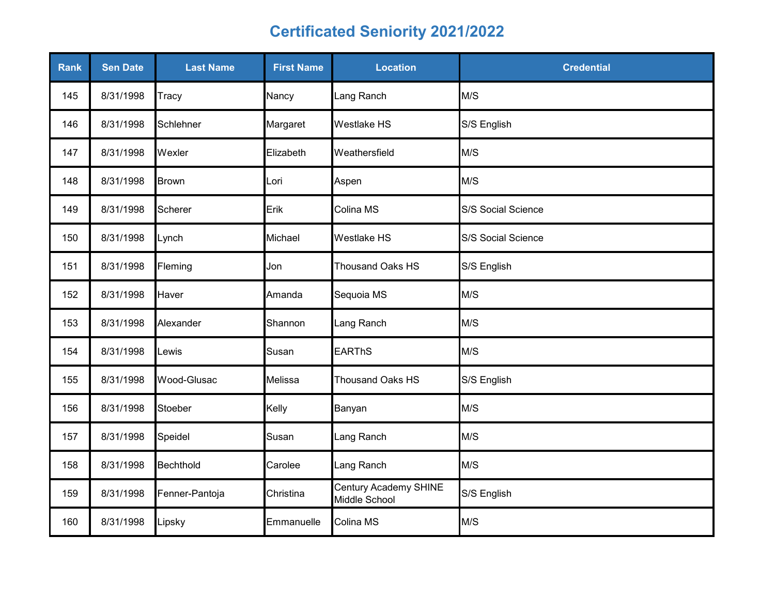| Rank | <b>Sen Date</b> | <b>Last Name</b> | <b>First Name</b> | <b>Location</b>                        | <b>Credential</b>  |
|------|-----------------|------------------|-------------------|----------------------------------------|--------------------|
| 145  | 8/31/1998       | Tracy            | Nancy             | Lang Ranch                             | M/S                |
| 146  | 8/31/1998       | Schlehner        | Margaret          | Westlake HS                            | S/S English        |
| 147  | 8/31/1998       | Wexler           | Elizabeth         | Weathersfield                          | M/S                |
| 148  | 8/31/1998       | <b>Brown</b>     | Lori              | Aspen                                  | M/S                |
| 149  | 8/31/1998       | <b>Scherer</b>   | Erik              | Colina MS                              | S/S Social Science |
| 150  | 8/31/1998       | Lynch            | Michael           | <b>Westlake HS</b>                     | S/S Social Science |
| 151  | 8/31/1998       | Fleming          | Jon               | Thousand Oaks HS                       | S/S English        |
| 152  | 8/31/1998       | Haver            | Amanda            | Sequoia MS                             | M/S                |
| 153  | 8/31/1998       | Alexander        | Shannon           | Lang Ranch                             | M/S                |
| 154  | 8/31/1998       | _ewis            | Susan             | <b>EARThS</b>                          | M/S                |
| 155  | 8/31/1998       | Wood-Glusac      | Melissa           | <b>Thousand Oaks HS</b>                | S/S English        |
| 156  | 8/31/1998       | Stoeber          | Kelly             | Banyan                                 | M/S                |
| 157  | 8/31/1998       | Speidel          | Susan             | Lang Ranch                             | M/S                |
| 158  | 8/31/1998       | Bechthold        | Carolee           | Lang Ranch                             | M/S                |
| 159  | 8/31/1998       | Fenner-Pantoja   | Christina         | Century Academy SHINE<br>Middle School | S/S English        |
| 160  | 8/31/1998       | Lipsky           | Emmanuelle        | Colina MS                              | M/S                |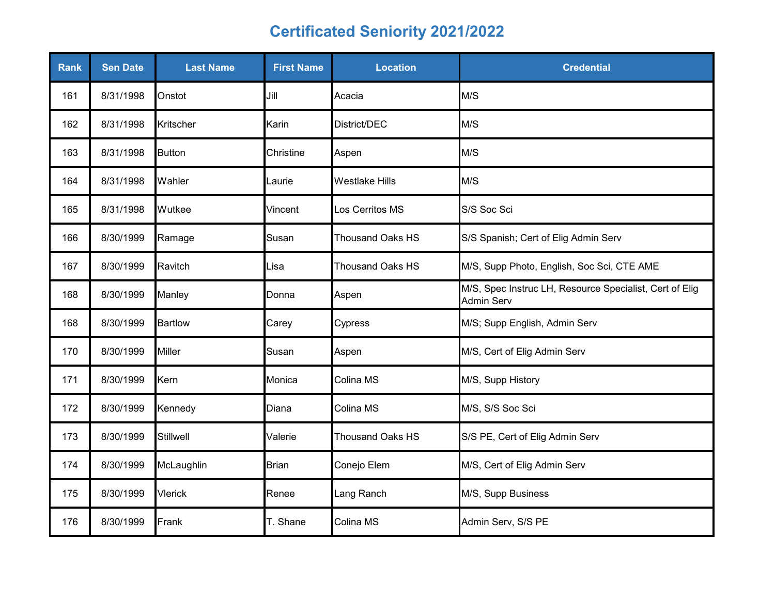| Rank | <b>Sen Date</b> | <b>Last Name</b> | <b>First Name</b> | <b>Location</b>         | <b>Credential</b>                                                            |
|------|-----------------|------------------|-------------------|-------------------------|------------------------------------------------------------------------------|
| 161  | 8/31/1998       | Onstot           | Jill              | Acacia                  | M/S                                                                          |
| 162  | 8/31/1998       | Kritscher        | Karin             | District/DEC            | M/S                                                                          |
| 163  | 8/31/1998       | <b>Button</b>    | Christine         | Aspen                   | M/S                                                                          |
| 164  | 8/31/1998       | Wahler           | Laurie            | <b>Westlake Hills</b>   | M/S                                                                          |
| 165  | 8/31/1998       | Wutkee           | Vincent           | Los Cerritos MS         | S/S Soc Sci                                                                  |
| 166  | 8/30/1999       | Ramage           | Susan             | <b>Thousand Oaks HS</b> | S/S Spanish; Cert of Elig Admin Serv                                         |
| 167  | 8/30/1999       | Ravitch          | Lisa              | <b>Thousand Oaks HS</b> | M/S, Supp Photo, English, Soc Sci, CTE AME                                   |
| 168  | 8/30/1999       | Manley           | Donna             | Aspen                   | M/S, Spec Instruc LH, Resource Specialist, Cert of Elig<br><b>Admin Serv</b> |
| 168  | 8/30/1999       | <b>Bartlow</b>   | Carey             | Cypress                 | M/S; Supp English, Admin Serv                                                |
| 170  | 8/30/1999       | <b>Miller</b>    | Susan             | Aspen                   | M/S, Cert of Elig Admin Serv                                                 |
| 171  | 8/30/1999       | Kern             | Monica            | Colina MS               | M/S, Supp History                                                            |
| 172  | 8/30/1999       | Kennedy          | Diana             | Colina MS               | M/S, S/S Soc Sci                                                             |
| 173  | 8/30/1999       | Stillwell        | Valerie           | Thousand Oaks HS        | S/S PE, Cert of Elig Admin Serv                                              |
| 174  | 8/30/1999       | McLaughlin       | <b>Brian</b>      | Conejo Elem             | M/S, Cert of Elig Admin Serv                                                 |
| 175  | 8/30/1999       | <b>Vlerick</b>   | Renee             | Lang Ranch              | M/S, Supp Business                                                           |
| 176  | 8/30/1999       | Frank            | T. Shane          | Colina MS               | Admin Serv, S/S PE                                                           |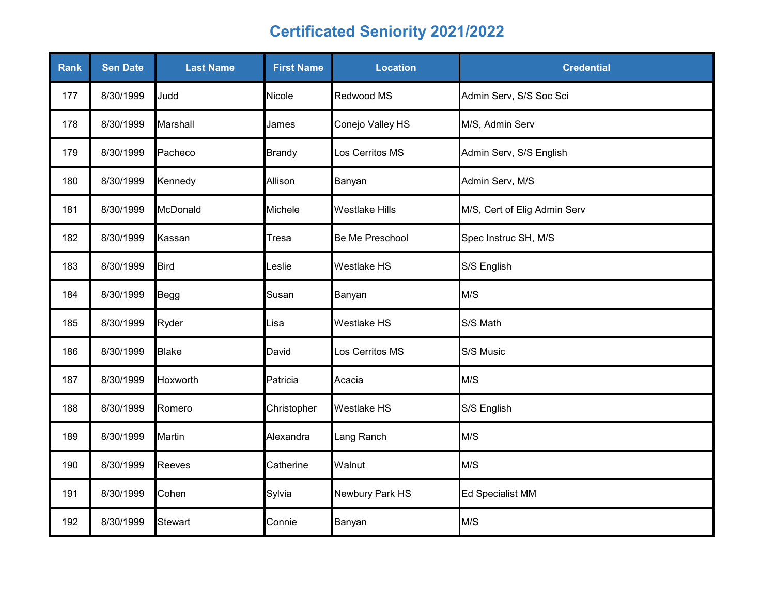| Rank | <b>Sen Date</b> | <b>Last Name</b> | <b>First Name</b> | <b>Location</b>       | <b>Credential</b>            |
|------|-----------------|------------------|-------------------|-----------------------|------------------------------|
| 177  | 8/30/1999       | Judd             | Nicole            | Redwood MS            | Admin Serv, S/S Soc Sci      |
| 178  | 8/30/1999       | Marshall         | James             | Conejo Valley HS      | M/S, Admin Serv              |
| 179  | 8/30/1999       | Pacheco          | <b>Brandy</b>     | Los Cerritos MS       | Admin Serv, S/S English      |
| 180  | 8/30/1999       | Kennedy          | Allison           | Banyan                | Admin Serv, M/S              |
| 181  | 8/30/1999       | McDonald         | Michele           | <b>Westlake Hills</b> | M/S, Cert of Elig Admin Serv |
| 182  | 8/30/1999       | Kassan           | Tresa             | Be Me Preschool       | Spec Instruc SH, M/S         |
| 183  | 8/30/1999       | <b>Bird</b>      | Leslie            | Westlake HS           | S/S English                  |
| 184  | 8/30/1999       | Begg             | Susan             | Banyan                | M/S                          |
| 185  | 8/30/1999       | Ryder            | Lisa              | <b>Westlake HS</b>    | S/S Math                     |
| 186  | 8/30/1999       | <b>Blake</b>     | David             | Los Cerritos MS       | S/S Music                    |
| 187  | 8/30/1999       | Hoxworth         | Patricia          | Acacia                | M/S                          |
| 188  | 8/30/1999       | Romero           | Christopher       | <b>Westlake HS</b>    | S/S English                  |
| 189  | 8/30/1999       | Martin           | Alexandra         | Lang Ranch            | M/S                          |
| 190  | 8/30/1999       | Reeves           | Catherine         | Walnut                | M/S                          |
| 191  | 8/30/1999       | Cohen            | Sylvia            | Newbury Park HS       | <b>Ed Specialist MM</b>      |
| 192  | 8/30/1999       | <b>Stewart</b>   | Connie            | Banyan                | M/S                          |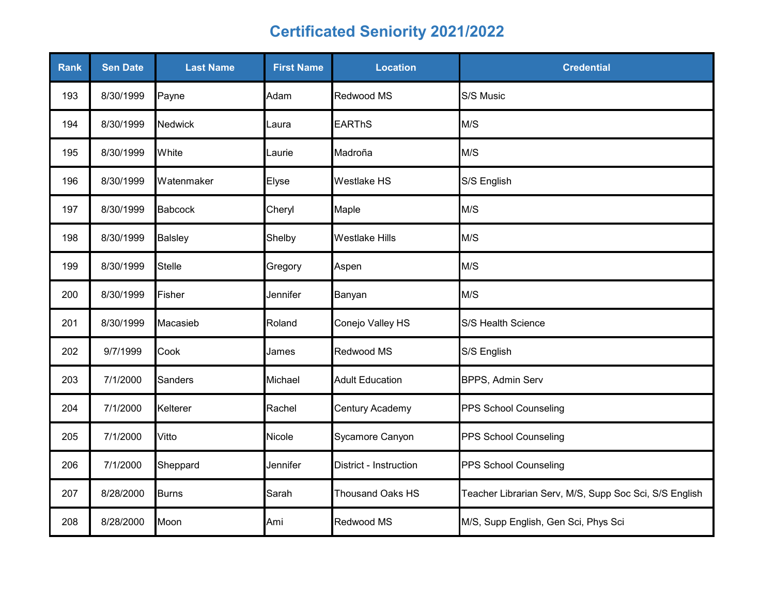| <b>Rank</b> | <b>Sen Date</b> | <b>Last Name</b> | <b>First Name</b> | <b>Location</b>         | <b>Credential</b>                                      |
|-------------|-----------------|------------------|-------------------|-------------------------|--------------------------------------------------------|
| 193         | 8/30/1999       | Payne            | Adam              | Redwood MS              | S/S Music                                              |
| 194         | 8/30/1999       | <b>Nedwick</b>   | Laura             | <b>EARThS</b>           | M/S                                                    |
| 195         | 8/30/1999       | White            | Laurie            | Madroña                 | M/S                                                    |
| 196         | 8/30/1999       | Watenmaker       | Elyse             | <b>Westlake HS</b>      | S/S English                                            |
| 197         | 8/30/1999       | <b>Babcock</b>   | Cheryl            | Maple                   | M/S                                                    |
| 198         | 8/30/1999       | <b>Balsley</b>   | Shelby            | <b>Westlake Hills</b>   | M/S                                                    |
| 199         | 8/30/1999       | Stelle           | Gregory           | Aspen                   | M/S                                                    |
| 200         | 8/30/1999       | Fisher           | Jennifer          | Banyan                  | M/S                                                    |
| 201         | 8/30/1999       | Macasieb         | Roland            | Conejo Valley HS        | S/S Health Science                                     |
| 202         | 9/7/1999        | Cook             | James             | Redwood MS              | S/S English                                            |
| 203         | 7/1/2000        | <b>Sanders</b>   | Michael           | <b>Adult Education</b>  | BPPS, Admin Serv                                       |
| 204         | 7/1/2000        | Kelterer         | Rachel            | Century Academy         | PPS School Counseling                                  |
| 205         | 7/1/2000        | Vitto            | Nicole            | Sycamore Canyon         | PPS School Counseling                                  |
| 206         | 7/1/2000        | Sheppard         | Jennifer          | District - Instruction  | PPS School Counseling                                  |
| 207         | 8/28/2000       | <b>Burns</b>     | Sarah             | <b>Thousand Oaks HS</b> | Teacher Librarian Serv, M/S, Supp Soc Sci, S/S English |
| 208         | 8/28/2000       | Moon             | Ami               | Redwood MS              | M/S, Supp English, Gen Sci, Phys Sci                   |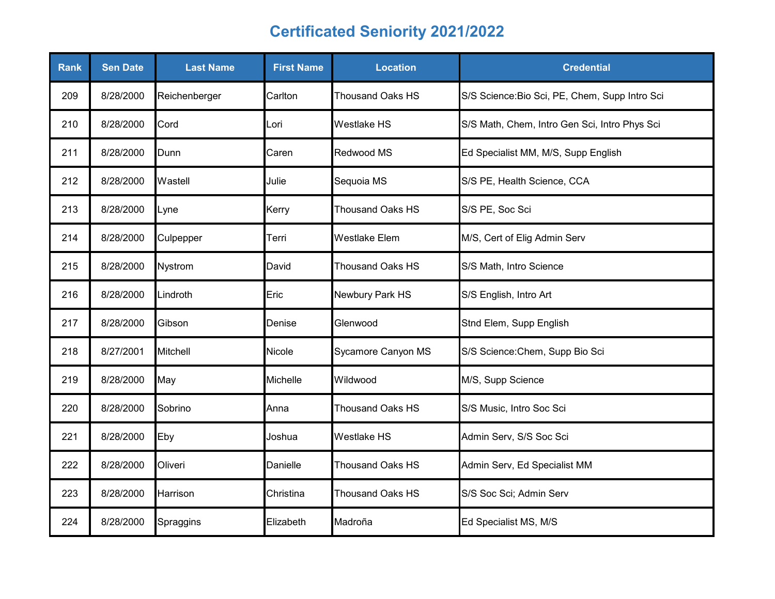| <b>Rank</b> | <b>Sen Date</b> | <b>Last Name</b> | <b>First Name</b> | <b>Location</b>         | <b>Credential</b>                              |
|-------------|-----------------|------------------|-------------------|-------------------------|------------------------------------------------|
| 209         | 8/28/2000       | Reichenberger    | Carlton           | <b>Thousand Oaks HS</b> | S/S Science: Bio Sci, PE, Chem, Supp Intro Sci |
| 210         | 8/28/2000       | Cord             | Lori              | <b>Westlake HS</b>      | S/S Math, Chem, Intro Gen Sci, Intro Phys Sci  |
| 211         | 8/28/2000       | Dunn             | Caren             | Redwood MS              | Ed Specialist MM, M/S, Supp English            |
| 212         | 8/28/2000       | Wastell          | Julie             | Sequoia MS              | S/S PE, Health Science, CCA                    |
| 213         | 8/28/2000       | Lyne             | Kerry             | <b>Thousand Oaks HS</b> | S/S PE, Soc Sci                                |
| 214         | 8/28/2000       | Culpepper        | Terri             | <b>Westlake Elem</b>    | M/S, Cert of Elig Admin Serv                   |
| 215         | 8/28/2000       | Nystrom          | David             | <b>Thousand Oaks HS</b> | S/S Math, Intro Science                        |
| 216         | 8/28/2000       | Lindroth         | Eric              | Newbury Park HS         | S/S English, Intro Art                         |
| 217         | 8/28/2000       | Gibson           | Denise            | Glenwood                | Stnd Elem, Supp English                        |
| 218         | 8/27/2001       | <b>Mitchell</b>  | Nicole            | Sycamore Canyon MS      | S/S Science: Chem, Supp Bio Sci                |
| 219         | 8/28/2000       | May              | Michelle          | Wildwood                | M/S, Supp Science                              |
| 220         | 8/28/2000       | Sobrino          | Anna              | <b>Thousand Oaks HS</b> | S/S Music, Intro Soc Sci                       |
| 221         | 8/28/2000       | Eby              | Joshua            | Westlake HS             | Admin Serv, S/S Soc Sci                        |
| 222         | 8/28/2000       | Oliveri          | Danielle          | <b>Thousand Oaks HS</b> | Admin Serv, Ed Specialist MM                   |
| 223         | 8/28/2000       | Harrison         | Christina         | <b>Thousand Oaks HS</b> | S/S Soc Sci; Admin Serv                        |
| 224         | 8/28/2000       | Spraggins        | Elizabeth         | Madroña                 | Ed Specialist MS, M/S                          |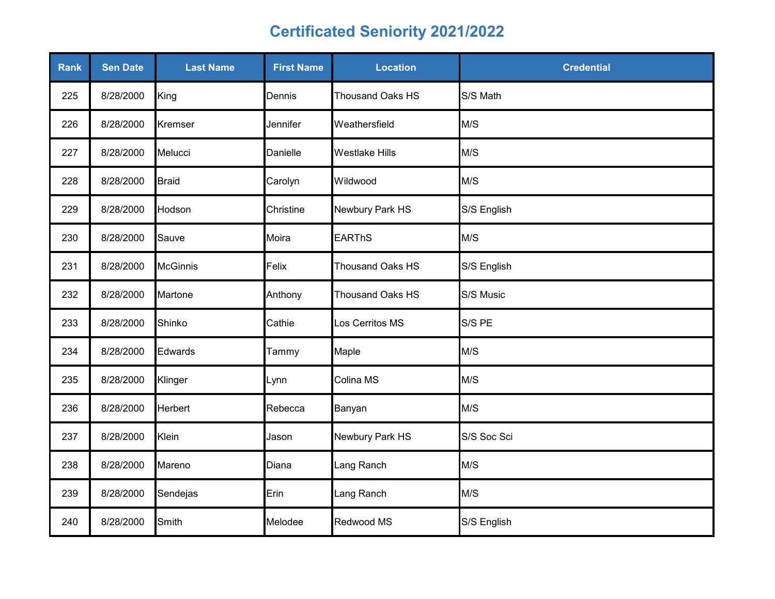| Rank | <b>Sen Date</b> | <b>Last Name</b> | <b>First Name</b> | <b>Location</b>         | <b>Credential</b> |
|------|-----------------|------------------|-------------------|-------------------------|-------------------|
| 225  | 8/28/2000       | King             | Dennis            | Thousand Oaks HS        | S/S Math          |
| 226  | 8/28/2000       | Kremser          | Jennifer          | Weathersfield           | M/S               |
| 227  | 8/28/2000       | Melucci          | Danielle          | <b>Westlake Hills</b>   | M/S               |
| 228  | 8/28/2000       | <b>Braid</b>     | Carolyn           | Wildwood                | M/S               |
| 229  | 8/28/2000       | Hodson           | Christine         | Newbury Park HS         | S/S English       |
| 230  | 8/28/2000       | Sauve            | Moira             | <b>EARThS</b>           | M/S               |
| 231  | 8/28/2000       | <b>McGinnis</b>  | Felix             | Thousand Oaks HS        | S/S English       |
| 232  | 8/28/2000       | Martone          | Anthony           | <b>Thousand Oaks HS</b> | S/S Music         |
| 233  | 8/28/2000       | Shinko           | Cathie            | Los Cerritos MS         | S/S PE            |
| 234  | 8/28/2000       | Edwards          | Tammy             | Maple                   | M/S               |
| 235  | 8/28/2000       | Klinger          | Lynn              | Colina MS               | M/S               |
| 236  | 8/28/2000       | <b>Herbert</b>   | Rebecca           | Banyan                  | M/S               |
| 237  | 8/28/2000       | Klein            | Jason             | Newbury Park HS         | S/S Soc Sci       |
| 238  | 8/28/2000       | Mareno           | Diana             | Lang Ranch              | M/S               |
| 239  | 8/28/2000       | Sendejas         | Erin              | Lang Ranch              | M/S               |
| 240  | 8/28/2000       | Smith            | Melodee           | Redwood MS              | S/S English       |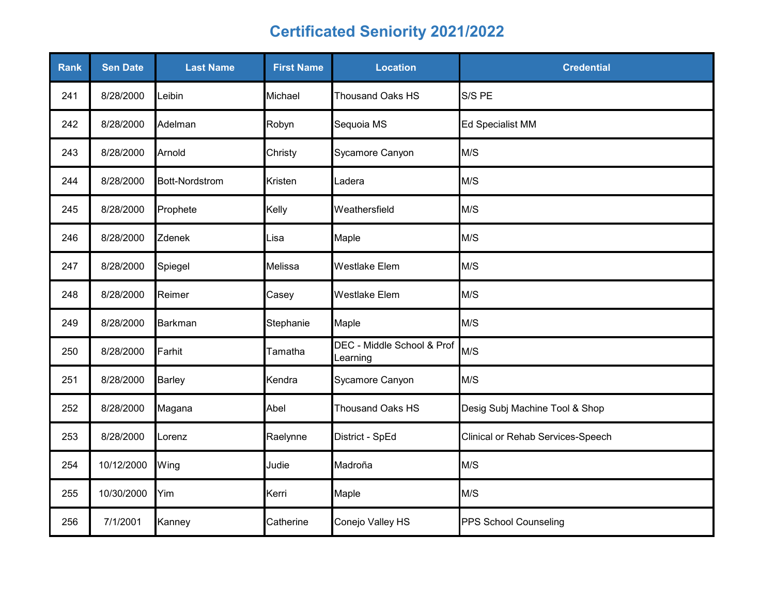| <b>Rank</b> | <b>Sen Date</b> | <b>Last Name</b>      | <b>First Name</b> | <b>Location</b>                        | <b>Credential</b>                 |
|-------------|-----------------|-----------------------|-------------------|----------------------------------------|-----------------------------------|
| 241         | 8/28/2000       | Leibin                | Michael           | <b>Thousand Oaks HS</b>                | S/S PE                            |
| 242         | 8/28/2000       | Adelman               | Robyn             | Sequoia MS                             | Ed Specialist MM                  |
| 243         | 8/28/2000       | Arnold                | Christy           | Sycamore Canyon                        | M/S                               |
| 244         | 8/28/2000       | <b>Bott-Nordstrom</b> | Kristen           | Ladera                                 | M/S                               |
| 245         | 8/28/2000       | Prophete              | Kelly             | Weathersfield                          | M/S                               |
| 246         | 8/28/2000       | Zdenek                | Lisa              | Maple                                  | M/S                               |
| 247         | 8/28/2000       | Spiegel               | Melissa           | <b>Westlake Elem</b>                   | M/S                               |
| 248         | 8/28/2000       | Reimer                | Casey             | <b>Westlake Elem</b>                   | M/S                               |
| 249         | 8/28/2000       | <b>Barkman</b>        | Stephanie         | Maple                                  | M/S                               |
| 250         | 8/28/2000       | Farhit                | Tamatha           | DEC - Middle School & Prof<br>Learning | M/S                               |
| 251         | 8/28/2000       | <b>Barley</b>         | Kendra            | Sycamore Canyon                        | M/S                               |
| 252         | 8/28/2000       | Magana                | Abel              | <b>Thousand Oaks HS</b>                | Desig Subj Machine Tool & Shop    |
| 253         | 8/28/2000       | Lorenz                | Raelynne          | District - SpEd                        | Clinical or Rehab Services-Speech |
| 254         | 10/12/2000      | Wing                  | Judie             | Madroña                                | M/S                               |
| 255         | 10/30/2000      | Yim                   | Kerri             | Maple                                  | M/S                               |
| 256         | 7/1/2001        | Kanney                | Catherine         | Conejo Valley HS                       | PPS School Counseling             |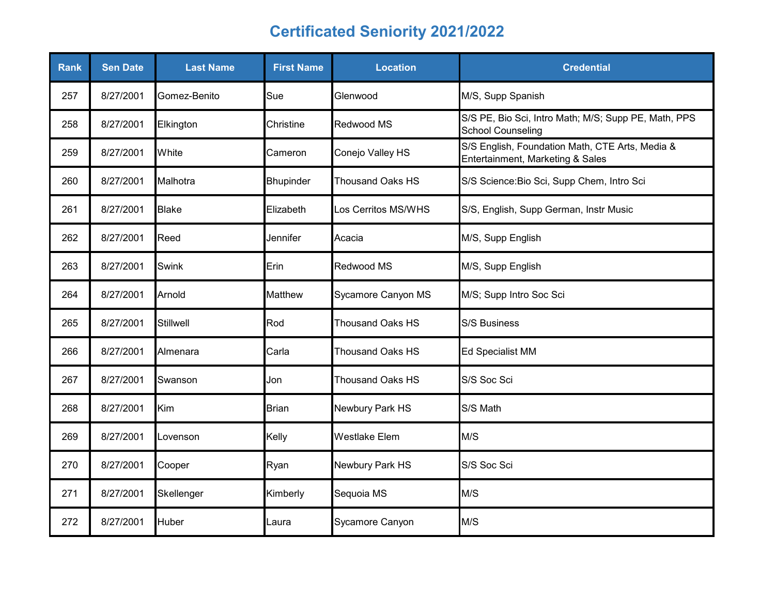| Rank | <b>Sen Date</b> | <b>Last Name</b> | <b>First Name</b> | <b>Location</b>         | <b>Credential</b>                                                                   |
|------|-----------------|------------------|-------------------|-------------------------|-------------------------------------------------------------------------------------|
| 257  | 8/27/2001       | Gomez-Benito     | Sue               | Glenwood                | M/S, Supp Spanish                                                                   |
| 258  | 8/27/2001       | Elkington        | Christine         | Redwood MS              | S/S PE, Bio Sci, Intro Math; M/S; Supp PE, Math, PPS<br><b>School Counseling</b>    |
| 259  | 8/27/2001       | White            | Cameron           | Conejo Valley HS        | S/S English, Foundation Math, CTE Arts, Media &<br>Entertainment, Marketing & Sales |
| 260  | 8/27/2001       | Malhotra         | <b>Bhupinder</b>  | <b>Thousand Oaks HS</b> | S/S Science: Bio Sci, Supp Chem, Intro Sci                                          |
| 261  | 8/27/2001       | <b>Blake</b>     | Elizabeth         | Los Cerritos MS/WHS     | S/S, English, Supp German, Instr Music                                              |
| 262  | 8/27/2001       | Reed             | Jennifer          | Acacia                  | M/S, Supp English                                                                   |
| 263  | 8/27/2001       | <b>Swink</b>     | Erin              | Redwood MS              | M/S, Supp English                                                                   |
| 264  | 8/27/2001       | Arnold           | <b>Matthew</b>    | Sycamore Canyon MS      | M/S; Supp Intro Soc Sci                                                             |
| 265  | 8/27/2001       | Stillwell        | Rod               | <b>Thousand Oaks HS</b> | <b>S/S Business</b>                                                                 |
| 266  | 8/27/2001       | Almenara         | Carla             | Thousand Oaks HS        | <b>Ed Specialist MM</b>                                                             |
| 267  | 8/27/2001       | Swanson          | Jon               | <b>Thousand Oaks HS</b> | S/S Soc Sci                                                                         |
| 268  | 8/27/2001       | Kim              | <b>Brian</b>      | Newbury Park HS         | S/S Math                                                                            |
| 269  | 8/27/2001       | Lovenson         | Kelly             | <b>Westlake Elem</b>    | M/S                                                                                 |
| 270  | 8/27/2001       | Cooper           | Ryan              | Newbury Park HS         | S/S Soc Sci                                                                         |
| 271  | 8/27/2001       | Skellenger       | Kimberly          | Sequoia MS              | M/S                                                                                 |
| 272  | 8/27/2001       | <b>Huber</b>     | Laura             | Sycamore Canyon         | M/S                                                                                 |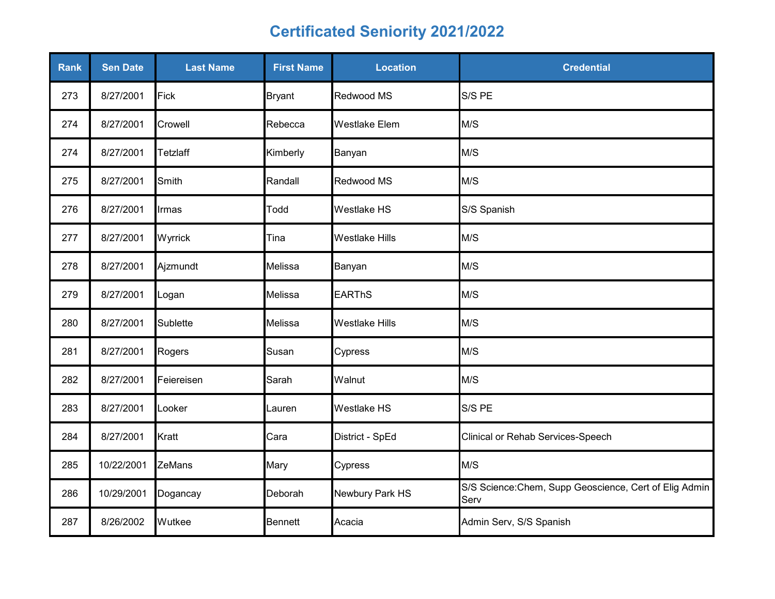| Rank | <b>Sen Date</b> | <b>Last Name</b> | <b>First Name</b> | <b>Location</b>       | <b>Credential</b>                                              |
|------|-----------------|------------------|-------------------|-----------------------|----------------------------------------------------------------|
| 273  | 8/27/2001       | Fick             | <b>Bryant</b>     | Redwood MS            | S/S PE                                                         |
| 274  | 8/27/2001       | Crowell          | Rebecca           | <b>Westlake Elem</b>  | M/S                                                            |
| 274  | 8/27/2001       | Tetzlaff         | Kimberly          | Banyan                | M/S                                                            |
| 275  | 8/27/2001       | Smith            | Randall           | Redwood MS            | M/S                                                            |
| 276  | 8/27/2001       | Irmas            | Todd              | <b>Westlake HS</b>    | S/S Spanish                                                    |
| 277  | 8/27/2001       | Wyrrick          | Tina              | <b>Westlake Hills</b> | M/S                                                            |
| 278  | 8/27/2001       | Ajzmundt         | Melissa           | Banyan                | M/S                                                            |
| 279  | 8/27/2001       | Logan            | Melissa           | <b>EARThS</b>         | M/S                                                            |
| 280  | 8/27/2001       | Sublette         | Melissa           | <b>Westlake Hills</b> | M/S                                                            |
| 281  | 8/27/2001       | Rogers           | Susan             | Cypress               | M/S                                                            |
| 282  | 8/27/2001       | Feiereisen       | Sarah             | Walnut                | M/S                                                            |
| 283  | 8/27/2001       | Looker           | Lauren            | Westlake HS           | S/S PE                                                         |
| 284  | 8/27/2001       | Kratt            | Cara              | District - SpEd       | Clinical or Rehab Services-Speech                              |
| 285  | 10/22/2001      | ZeMans           | Mary              | Cypress               | M/S                                                            |
| 286  | 10/29/2001      | Dogancay         | Deborah           | Newbury Park HS       | S/S Science: Chem, Supp Geoscience, Cert of Elig Admin<br>Serv |
| 287  | 8/26/2002       | Wutkee           | <b>Bennett</b>    | Acacia                | Admin Serv, S/S Spanish                                        |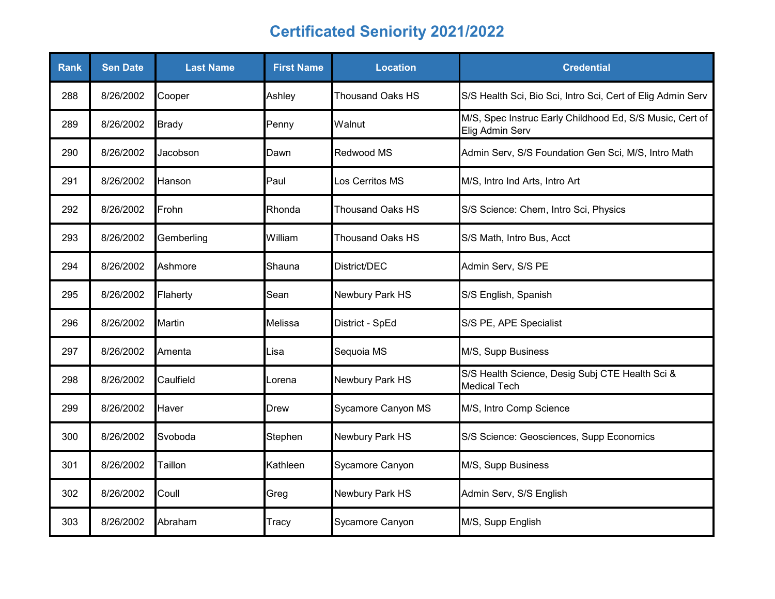| <b>Rank</b> | <b>Sen Date</b> | <b>Last Name</b> | <b>First Name</b> | <b>Location</b>         | <b>Credential</b>                                                           |
|-------------|-----------------|------------------|-------------------|-------------------------|-----------------------------------------------------------------------------|
| 288         | 8/26/2002       | Cooper           | Ashley            | <b>Thousand Oaks HS</b> | S/S Health Sci, Bio Sci, Intro Sci, Cert of Elig Admin Serv                 |
| 289         | 8/26/2002       | <b>Brady</b>     | Penny             | Walnut                  | M/S, Spec Instruc Early Childhood Ed, S/S Music, Cert of<br>Elig Admin Serv |
| 290         | 8/26/2002       | Jacobson         | Dawn              | Redwood MS              | Admin Serv, S/S Foundation Gen Sci, M/S, Intro Math                         |
| 291         | 8/26/2002       | Hanson           | Paul              | Los Cerritos MS         | M/S, Intro Ind Arts, Intro Art                                              |
| 292         | 8/26/2002       | Frohn            | Rhonda            | <b>Thousand Oaks HS</b> | S/S Science: Chem, Intro Sci, Physics                                       |
| 293         | 8/26/2002       | Gemberling       | William           | <b>Thousand Oaks HS</b> | S/S Math, Intro Bus, Acct                                                   |
| 294         | 8/26/2002       | Ashmore          | Shauna            | District/DEC            | Admin Serv, S/S PE                                                          |
| 295         | 8/26/2002       | Flaherty         | Sean              | Newbury Park HS         | S/S English, Spanish                                                        |
| 296         | 8/26/2002       | Martin           | <b>Melissa</b>    | District - SpEd         | S/S PE, APE Specialist                                                      |
| 297         | 8/26/2002       | Amenta           | ∟isa              | Sequoia MS              | M/S, Supp Business                                                          |
| 298         | 8/26/2002       | Caulfield        | Lorena            | Newbury Park HS         | S/S Health Science, Desig Subj CTE Health Sci &<br><b>Medical Tech</b>      |
| 299         | 8/26/2002       | Haver            | <b>Drew</b>       | Sycamore Canyon MS      | M/S, Intro Comp Science                                                     |
| 300         | 8/26/2002       | Svoboda          | Stephen           | Newbury Park HS         | S/S Science: Geosciences, Supp Economics                                    |
| 301         | 8/26/2002       | Taillon          | Kathleen          | Sycamore Canyon         | M/S, Supp Business                                                          |
| 302         | 8/26/2002       | Coull            | Greg              | Newbury Park HS         | Admin Serv, S/S English                                                     |
| 303         | 8/26/2002       | Abraham          | Tracy             | Sycamore Canyon         | M/S, Supp English                                                           |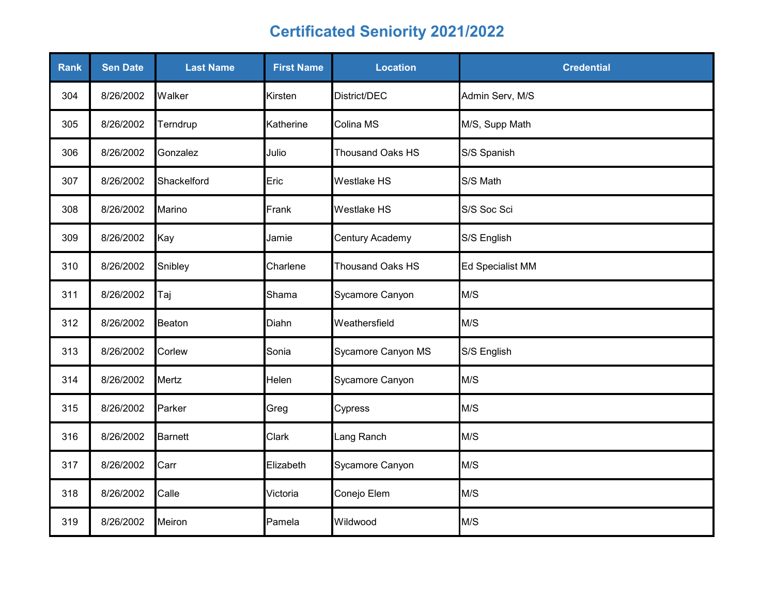| Rank | <b>Sen Date</b> | <b>Last Name</b> | <b>First Name</b> | <b>Location</b>         | <b>Credential</b> |
|------|-----------------|------------------|-------------------|-------------------------|-------------------|
| 304  | 8/26/2002       | Walker           | Kirsten           | District/DEC            | Admin Serv, M/S   |
| 305  | 8/26/2002       | Terndrup         | Katherine         | Colina MS               | M/S, Supp Math    |
| 306  | 8/26/2002       | Gonzalez         | Julio             | <b>Thousand Oaks HS</b> | S/S Spanish       |
| 307  | 8/26/2002       | Shackelford      | Eric              | Westlake HS             | S/S Math          |
| 308  | 8/26/2002       | Marino           | Frank             | Westlake HS             | S/S Soc Sci       |
| 309  | 8/26/2002       | Kay              | Jamie             | Century Academy         | S/S English       |
| 310  | 8/26/2002       | Snibley          | Charlene          | Thousand Oaks HS        | Ed Specialist MM  |
| 311  | 8/26/2002       | Taj              | Shama             | Sycamore Canyon         | M/S               |
| 312  | 8/26/2002       | <b>Beaton</b>    | Diahn             | Weathersfield           | M/S               |
| 313  | 8/26/2002       | Corlew           | Sonia             | Sycamore Canyon MS      | S/S English       |
| 314  | 8/26/2002       | Mertz            | Helen             | Sycamore Canyon         | M/S               |
| 315  | 8/26/2002       | Parker           | Greg              | Cypress                 | M/S               |
| 316  | 8/26/2002       | <b>Barnett</b>   | Clark             | Lang Ranch              | M/S               |
| 317  | 8/26/2002       | Carr             | Elizabeth         | Sycamore Canyon         | M/S               |
| 318  | 8/26/2002       | Calle            | Victoria          | Conejo Elem             | M/S               |
| 319  | 8/26/2002       | Meiron           | Pamela            | Wildwood                | M/S               |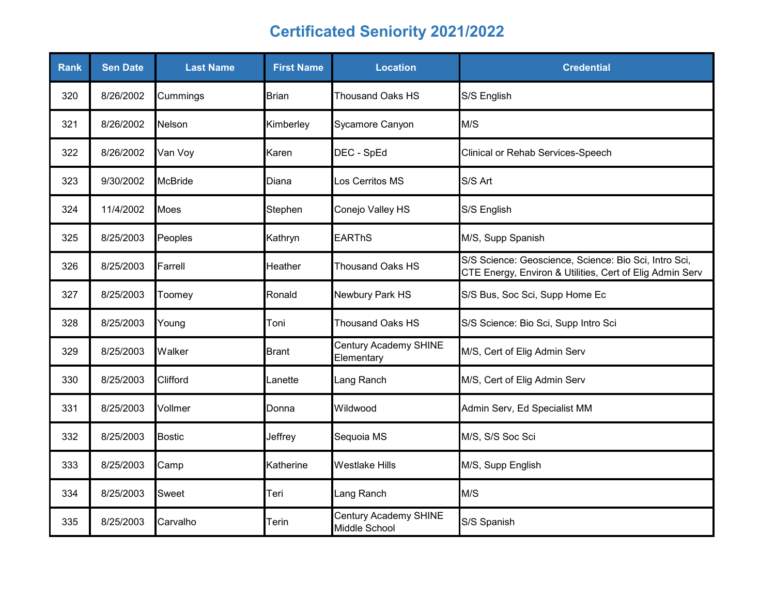| <b>Rank</b> | <b>Sen Date</b> | <b>Last Name</b> | <b>First Name</b> | <b>Location</b>                        | <b>Credential</b>                                                                                                 |
|-------------|-----------------|------------------|-------------------|----------------------------------------|-------------------------------------------------------------------------------------------------------------------|
| 320         | 8/26/2002       | Cummings         | <b>Brian</b>      | <b>Thousand Oaks HS</b>                | S/S English                                                                                                       |
| 321         | 8/26/2002       | Nelson           | Kimberley         | Sycamore Canyon                        | M/S                                                                                                               |
| 322         | 8/26/2002       | Van Voy          | Karen             | DEC - SpEd                             | <b>Clinical or Rehab Services-Speech</b>                                                                          |
| 323         | 9/30/2002       | <b>McBride</b>   | Diana             | Los Cerritos MS                        | S/S Art                                                                                                           |
| 324         | 11/4/2002       | Moes             | Stephen           | Conejo Valley HS                       | S/S English                                                                                                       |
| 325         | 8/25/2003       | Peoples          | Kathryn           | <b>EARThS</b>                          | M/S, Supp Spanish                                                                                                 |
| 326         | 8/25/2003       | Farrell          | Heather           | <b>Thousand Oaks HS</b>                | S/S Science: Geoscience, Science: Bio Sci, Intro Sci,<br>CTE Energy, Environ & Utilities, Cert of Elig Admin Serv |
| 327         | 8/25/2003       | Toomey           | Ronald            | Newbury Park HS                        | S/S Bus, Soc Sci, Supp Home Ec                                                                                    |
| 328         | 8/25/2003       | Young            | Toni              | <b>Thousand Oaks HS</b>                | S/S Science: Bio Sci, Supp Intro Sci                                                                              |
| 329         | 8/25/2003       | Walker           | <b>Brant</b>      | Century Academy SHINE<br>Elementary    | M/S, Cert of Elig Admin Serv                                                                                      |
| 330         | 8/25/2003       | Clifford         | Lanette           | Lang Ranch                             | M/S, Cert of Elig Admin Serv                                                                                      |
| 331         | 8/25/2003       | Vollmer          | Donna             | Wildwood                               | Admin Serv, Ed Specialist MM                                                                                      |
| 332         | 8/25/2003       | <b>Bostic</b>    | Jeffrey           | Sequoia MS                             | M/S, S/S Soc Sci                                                                                                  |
| 333         | 8/25/2003       | Camp             | Katherine         | <b>Westlake Hills</b>                  | M/S, Supp English                                                                                                 |
| 334         | 8/25/2003       | Sweet            | Teri              | Lang Ranch                             | M/S                                                                                                               |
| 335         | 8/25/2003       | Carvalho         | Terin             | Century Academy SHINE<br>Middle School | S/S Spanish                                                                                                       |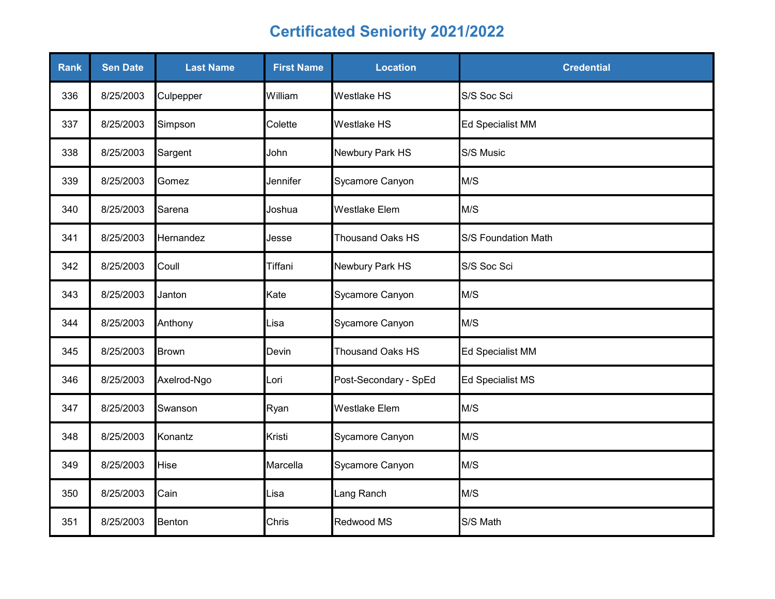| <b>Rank</b> | <b>Sen Date</b> | <b>Last Name</b> | <b>First Name</b> | <b>Location</b>         | <b>Credential</b>       |
|-------------|-----------------|------------------|-------------------|-------------------------|-------------------------|
| 336         | 8/25/2003       | Culpepper        | William           | <b>Westlake HS</b>      | S/S Soc Sci             |
| 337         | 8/25/2003       | Simpson          | Colette           | <b>Westlake HS</b>      | Ed Specialist MM        |
| 338         | 8/25/2003       | Sargent          | John              | Newbury Park HS         | S/S Music               |
| 339         | 8/25/2003       | Gomez            | Jennifer          | Sycamore Canyon         | M/S                     |
| 340         | 8/25/2003       | Sarena           | Joshua            | <b>Westlake Elem</b>    | M/S                     |
| 341         | 8/25/2003       | Hernandez        | Jesse             | Thousand Oaks HS        | S/S Foundation Math     |
| 342         | 8/25/2003       | Coull            | Tiffani           | Newbury Park HS         | S/S Soc Sci             |
| 343         | 8/25/2003       | Janton           | Kate              | Sycamore Canyon         | M/S                     |
| 344         | 8/25/2003       | Anthony          | Lisa              | Sycamore Canyon         | M/S                     |
| 345         | 8/25/2003       | <b>Brown</b>     | Devin             | <b>Thousand Oaks HS</b> | <b>Ed Specialist MM</b> |
| 346         | 8/25/2003       | Axelrod-Ngo      | Lori              | Post-Secondary - SpEd   | <b>Ed Specialist MS</b> |
| 347         | 8/25/2003       | Swanson          | Ryan              | <b>Westlake Elem</b>    | M/S                     |
| 348         | 8/25/2003       | Konantz          | Kristi            | Sycamore Canyon         | M/S                     |
| 349         | 8/25/2003       | Hise             | Marcella          | Sycamore Canyon         | M/S                     |
| 350         | 8/25/2003       | Cain             | Lisa              | Lang Ranch              | M/S                     |
| 351         | 8/25/2003       | Benton           | Chris             | Redwood MS              | S/S Math                |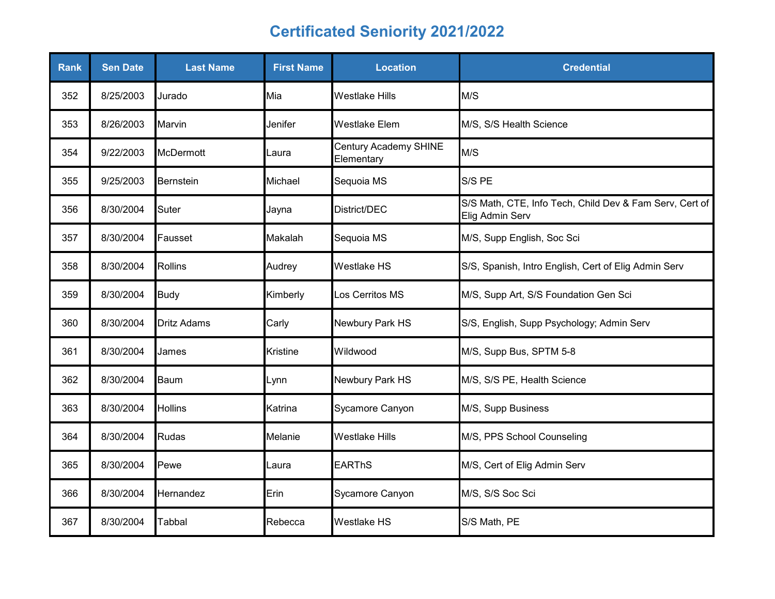| <b>Rank</b> | <b>Sen Date</b> | <b>Last Name</b>   | <b>First Name</b> | <b>Location</b>                     | <b>Credential</b>                                                          |
|-------------|-----------------|--------------------|-------------------|-------------------------------------|----------------------------------------------------------------------------|
| 352         | 8/25/2003       | Jurado             | Mia               | <b>Westlake Hills</b>               | M/S                                                                        |
| 353         | 8/26/2003       | Marvin             | Jenifer           | <b>Westlake Elem</b>                | M/S, S/S Health Science                                                    |
| 354         | 9/22/2003       | <b>McDermott</b>   | Laura             | Century Academy SHINE<br>Elementary | M/S                                                                        |
| 355         | 9/25/2003       | Bernstein          | Michael           | Sequoia MS                          | S/S PE                                                                     |
| 356         | 8/30/2004       | Suter              | Jayna             | District/DEC                        | S/S Math, CTE, Info Tech, Child Dev & Fam Serv, Cert of<br>Elig Admin Serv |
| 357         | 8/30/2004       | Fausset            | Makalah           | Sequoia MS                          | M/S, Supp English, Soc Sci                                                 |
| 358         | 8/30/2004       | <b>Rollins</b>     | Audrey            | <b>Westlake HS</b>                  | S/S, Spanish, Intro English, Cert of Elig Admin Serv                       |
| 359         | 8/30/2004       | <b>Budy</b>        | Kimberly          | Los Cerritos MS                     | M/S, Supp Art, S/S Foundation Gen Sci                                      |
| 360         | 8/30/2004       | <b>Dritz Adams</b> | Carly             | Newbury Park HS                     | S/S, English, Supp Psychology; Admin Serv                                  |
| 361         | 8/30/2004       | James              | <b>Kristine</b>   | Wildwood                            | M/S, Supp Bus, SPTM 5-8                                                    |
| 362         | 8/30/2004       | Baum               | Lynn              | Newbury Park HS                     | M/S, S/S PE, Health Science                                                |
| 363         | 8/30/2004       | <b>Hollins</b>     | Katrina           | Sycamore Canyon                     | M/S, Supp Business                                                         |
| 364         | 8/30/2004       | Rudas              | Melanie           | <b>Westlake Hills</b>               | M/S, PPS School Counseling                                                 |
| 365         | 8/30/2004       | Pewe               | Laura             | <b>EARThS</b>                       | M/S, Cert of Elig Admin Serv                                               |
| 366         | 8/30/2004       | Hernandez          | Erin              | Sycamore Canyon                     | M/S, S/S Soc Sci                                                           |
| 367         | 8/30/2004       | <b>Tabbal</b>      | Rebecca           | <b>Westlake HS</b>                  | S/S Math, PE                                                               |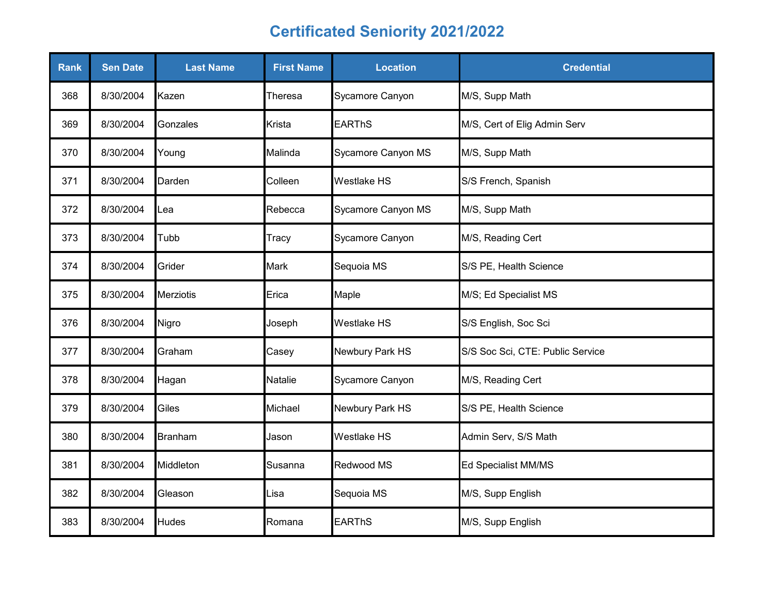| <b>Rank</b> | <b>Sen Date</b> | <b>Last Name</b> | <b>First Name</b> | <b>Location</b>    | <b>Credential</b>                |
|-------------|-----------------|------------------|-------------------|--------------------|----------------------------------|
| 368         | 8/30/2004       | Kazen            | Theresa           | Sycamore Canyon    | M/S, Supp Math                   |
| 369         | 8/30/2004       | Gonzales         | Krista            | <b>EARThS</b>      | M/S, Cert of Elig Admin Serv     |
| 370         | 8/30/2004       | Young            | Malinda           | Sycamore Canyon MS | M/S, Supp Math                   |
| 371         | 8/30/2004       | Darden           | Colleen           | <b>Westlake HS</b> | S/S French, Spanish              |
| 372         | 8/30/2004       | Lea              | Rebecca           | Sycamore Canyon MS | M/S, Supp Math                   |
| 373         | 8/30/2004       | Tubb             | Tracy             | Sycamore Canyon    | M/S, Reading Cert                |
| 374         | 8/30/2004       | Grider           | <b>Mark</b>       | Sequoia MS         | S/S PE, Health Science           |
| 375         | 8/30/2004       | <b>Merziotis</b> | Erica             | Maple              | M/S; Ed Specialist MS            |
| 376         | 8/30/2004       | Nigro            | Joseph            | <b>Westlake HS</b> | S/S English, Soc Sci             |
| 377         | 8/30/2004       | Graham           | Casey             | Newbury Park HS    | S/S Soc Sci, CTE: Public Service |
| 378         | 8/30/2004       | Hagan            | Natalie           | Sycamore Canyon    | M/S, Reading Cert                |
| 379         | 8/30/2004       | Giles            | Michael           | Newbury Park HS    | S/S PE, Health Science           |
| 380         | 8/30/2004       | <b>Branham</b>   | Jason             | <b>Westlake HS</b> | Admin Serv, S/S Math             |
| 381         | 8/30/2004       | Middleton        | Susanna           | Redwood MS         | Ed Specialist MM/MS              |
| 382         | 8/30/2004       | Gleason          | Lisa              | Sequoia MS         | M/S, Supp English                |
| 383         | 8/30/2004       | <b>Hudes</b>     | Romana            | <b>EARThS</b>      | M/S, Supp English                |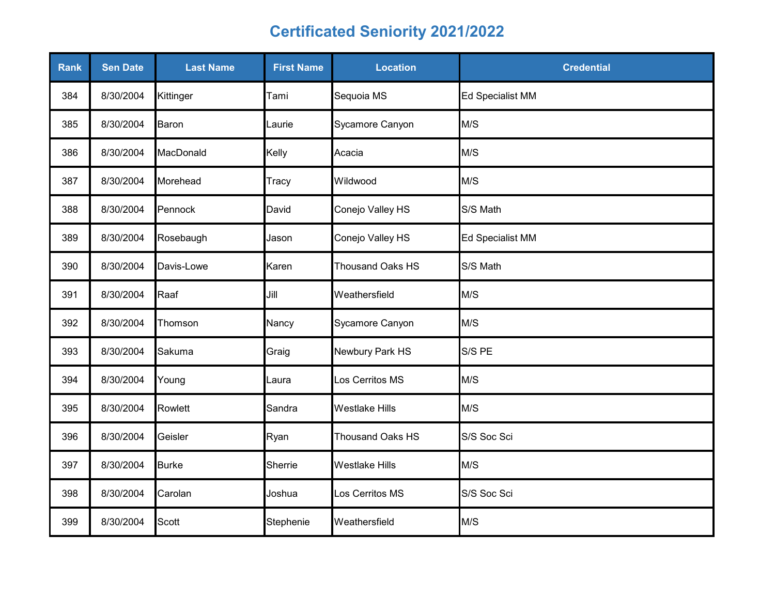| Rank | <b>Sen Date</b> | <b>Last Name</b> | <b>First Name</b> | <b>Location</b>         | <b>Credential</b> |
|------|-----------------|------------------|-------------------|-------------------------|-------------------|
| 384  | 8/30/2004       | Kittinger        | Tami              | Sequoia MS              | Ed Specialist MM  |
| 385  | 8/30/2004       | Baron            | Laurie            | Sycamore Canyon         | M/S               |
| 386  | 8/30/2004       | MacDonald        | Kelly             | Acacia                  | M/S               |
| 387  | 8/30/2004       | Morehead         | Tracy             | Wildwood                | M/S               |
| 388  | 8/30/2004       | Pennock          | David             | Conejo Valley HS        | S/S Math          |
| 389  | 8/30/2004       | Rosebaugh        | Jason             | Conejo Valley HS        | Ed Specialist MM  |
| 390  | 8/30/2004       | Davis-Lowe       | Karen             | <b>Thousand Oaks HS</b> | S/S Math          |
| 391  | 8/30/2004       | Raaf             | Jill              | Weathersfield           | M/S               |
| 392  | 8/30/2004       | Thomson          | Nancy             | Sycamore Canyon         | M/S               |
| 393  | 8/30/2004       | Sakuma           | Graig             | Newbury Park HS         | S/S PE            |
| 394  | 8/30/2004       | Young            | ∟aura             | Los Cerritos MS         | M/S               |
| 395  | 8/30/2004       | Rowlett          | Sandra            | <b>Westlake Hills</b>   | M/S               |
| 396  | 8/30/2004       | Geisler          | Ryan              | Thousand Oaks HS        | S/S Soc Sci       |
| 397  | 8/30/2004       | <b>Burke</b>     | Sherrie           | <b>Westlake Hills</b>   | M/S               |
| 398  | 8/30/2004       | Carolan          | Joshua            | Los Cerritos MS         | S/S Soc Sci       |
| 399  | 8/30/2004       | Scott            | Stephenie         | Weathersfield           | M/S               |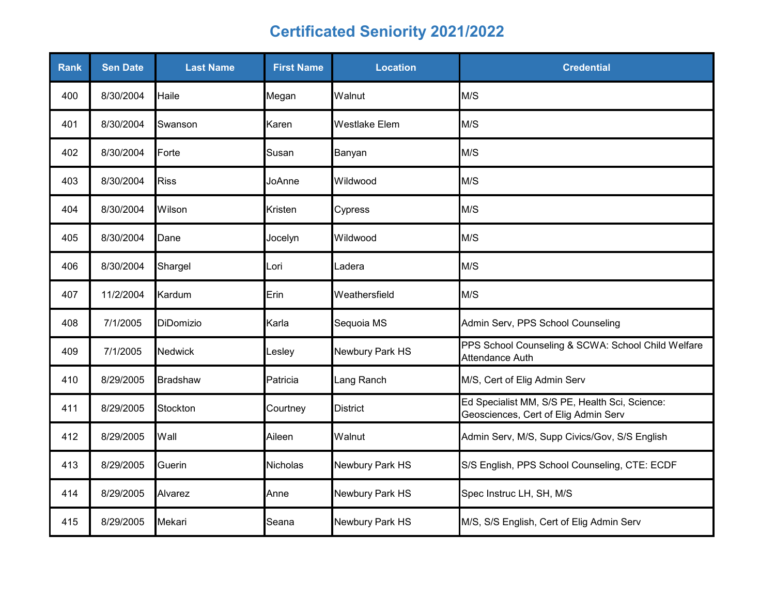| <b>Rank</b> | <b>Sen Date</b> | <b>Last Name</b> | <b>First Name</b> | <b>Location</b>      | <b>Credential</b>                                                                      |
|-------------|-----------------|------------------|-------------------|----------------------|----------------------------------------------------------------------------------------|
| 400         | 8/30/2004       | Haile            | Megan             | Walnut               | M/S                                                                                    |
| 401         | 8/30/2004       | Swanson          | Karen             | <b>Westlake Elem</b> | M/S                                                                                    |
| 402         | 8/30/2004       | Forte            | Susan             | Banyan               | M/S                                                                                    |
| 403         | 8/30/2004       | <b>Riss</b>      | JoAnne            | Wildwood             | M/S                                                                                    |
| 404         | 8/30/2004       | Wilson           | Kristen           | Cypress              | M/S                                                                                    |
| 405         | 8/30/2004       | Dane             | Jocelyn           | Wildwood             | M/S                                                                                    |
| 406         | 8/30/2004       | Shargel          | Lori              | Ladera               | M/S                                                                                    |
| 407         | 11/2/2004       | Kardum           | Erin              | Weathersfield        | M/S                                                                                    |
| 408         | 7/1/2005        | DiDomizio        | Karla             | Sequoia MS           | Admin Serv, PPS School Counseling                                                      |
| 409         | 7/1/2005        | Nedwick          | Lesley            | Newbury Park HS      | PPS School Counseling & SCWA: School Child Welfare<br>Attendance Auth                  |
| 410         | 8/29/2005       | <b>Bradshaw</b>  | Patricia          | Lang Ranch           | M/S, Cert of Elig Admin Serv                                                           |
| 411         | 8/29/2005       | Stockton         | Courtney          | <b>District</b>      | Ed Specialist MM, S/S PE, Health Sci, Science:<br>Geosciences, Cert of Elig Admin Serv |
| 412         | 8/29/2005       | Wall             | Aileen            | Walnut               | Admin Serv, M/S, Supp Civics/Gov, S/S English                                          |
| 413         | 8/29/2005       | Guerin           | <b>Nicholas</b>   | Newbury Park HS      | S/S English, PPS School Counseling, CTE: ECDF                                          |
| 414         | 8/29/2005       | Alvarez          | Anne              | Newbury Park HS      | Spec Instruc LH, SH, M/S                                                               |
| 415         | 8/29/2005       | Mekari           | Seana             | Newbury Park HS      | M/S, S/S English, Cert of Elig Admin Serv                                              |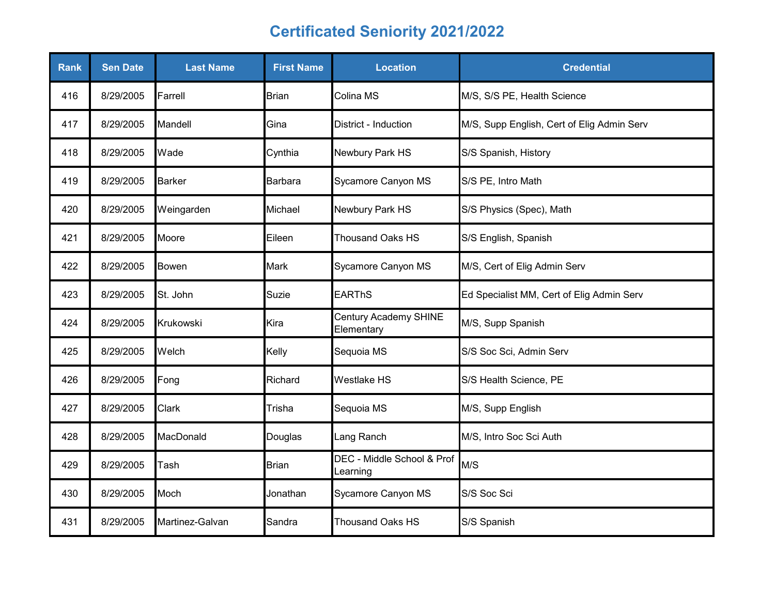| <b>Rank</b> | <b>Sen Date</b> | <b>Last Name</b> | <b>First Name</b> | <b>Location</b>                        | <b>Credential</b>                          |
|-------------|-----------------|------------------|-------------------|----------------------------------------|--------------------------------------------|
| 416         | 8/29/2005       | Farrell          | <b>Brian</b>      | Colina MS                              | M/S, S/S PE, Health Science                |
| 417         | 8/29/2005       | Mandell          | Gina              | District - Induction                   | M/S, Supp English, Cert of Elig Admin Serv |
| 418         | 8/29/2005       | Wade             | Cynthia           | Newbury Park HS                        | S/S Spanish, History                       |
| 419         | 8/29/2005       | <b>Barker</b>    | Barbara           | Sycamore Canyon MS                     | S/S PE, Intro Math                         |
| 420         | 8/29/2005       | Weingarden       | Michael           | Newbury Park HS                        | S/S Physics (Spec), Math                   |
| 421         | 8/29/2005       | Moore            | Eileen            | <b>Thousand Oaks HS</b>                | S/S English, Spanish                       |
| 422         | 8/29/2005       | Bowen            | <b>Mark</b>       | Sycamore Canyon MS                     | M/S, Cert of Elig Admin Serv               |
| 423         | 8/29/2005       | St. John         | Suzie             | <b>EARThS</b>                          | Ed Specialist MM, Cert of Elig Admin Serv  |
| 424         | 8/29/2005       | Krukowski        | Kira              | Century Academy SHINE<br>Elementary    | M/S, Supp Spanish                          |
| 425         | 8/29/2005       | Welch            | Kelly             | Sequoia MS                             | S/S Soc Sci, Admin Serv                    |
| 426         | 8/29/2005       | Fong             | Richard           | <b>Westlake HS</b>                     | S/S Health Science, PE                     |
| 427         | 8/29/2005       | Clark            | Trisha            | Sequoia MS                             | M/S, Supp English                          |
| 428         | 8/29/2005       | MacDonald        | Douglas           | Lang Ranch                             | M/S, Intro Soc Sci Auth                    |
| 429         | 8/29/2005       | Tash             | <b>Brian</b>      | DEC - Middle School & Prof<br>Learning | M/S                                        |
| 430         | 8/29/2005       | Moch             | Jonathan          | Sycamore Canyon MS                     | S/S Soc Sci                                |
| 431         | 8/29/2005       | Martinez-Galvan  | Sandra            | <b>Thousand Oaks HS</b>                | S/S Spanish                                |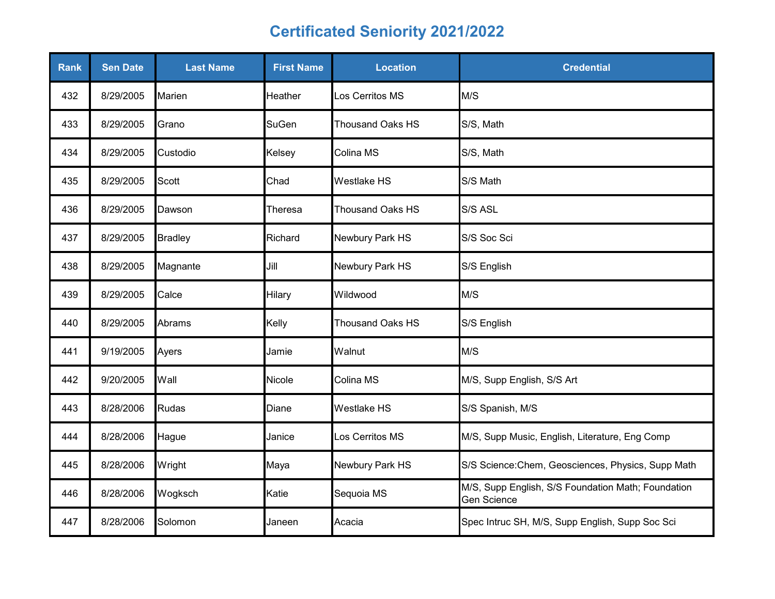| <b>Rank</b> | <b>Sen Date</b> | <b>Last Name</b> | <b>First Name</b> | <b>Location</b>         | <b>Credential</b>                                                 |
|-------------|-----------------|------------------|-------------------|-------------------------|-------------------------------------------------------------------|
| 432         | 8/29/2005       | Marien           | Heather           | Los Cerritos MS         | M/S                                                               |
| 433         | 8/29/2005       | Grano            | <b>SuGen</b>      | <b>Thousand Oaks HS</b> | S/S, Math                                                         |
| 434         | 8/29/2005       | Custodio         | Kelsey            | Colina MS               | S/S, Math                                                         |
| 435         | 8/29/2005       | Scott            | Chad              | <b>Westlake HS</b>      | S/S Math                                                          |
| 436         | 8/29/2005       | Dawson           | Theresa           | <b>Thousand Oaks HS</b> | S/S ASL                                                           |
| 437         | 8/29/2005       | <b>Bradley</b>   | Richard           | Newbury Park HS         | S/S Soc Sci                                                       |
| 438         | 8/29/2005       | Magnante         | Jill              | Newbury Park HS         | S/S English                                                       |
| 439         | 8/29/2005       | Calce            | Hilary            | Wildwood                | M/S                                                               |
| 440         | 8/29/2005       | Abrams           | Kelly             | <b>Thousand Oaks HS</b> | S/S English                                                       |
| 441         | 9/19/2005       | Ayers            | Jamie             | Walnut                  | M/S                                                               |
| 442         | 9/20/2005       | Wall             | Nicole            | Colina MS               | M/S, Supp English, S/S Art                                        |
| 443         | 8/28/2006       | Rudas            | Diane             | Westlake HS             | S/S Spanish, M/S                                                  |
| 444         | 8/28/2006       | Hague            | Janice            | Los Cerritos MS         | M/S, Supp Music, English, Literature, Eng Comp                    |
| 445         | 8/28/2006       | Wright           | Maya              | Newbury Park HS         | S/S Science: Chem, Geosciences, Physics, Supp Math                |
| 446         | 8/28/2006       | Wogksch          | Katie             | Sequoia MS              | M/S, Supp English, S/S Foundation Math; Foundation<br>Gen Science |
| 447         | 8/28/2006       | Solomon          | Janeen            | Acacia                  | Spec Intruc SH, M/S, Supp English, Supp Soc Sci                   |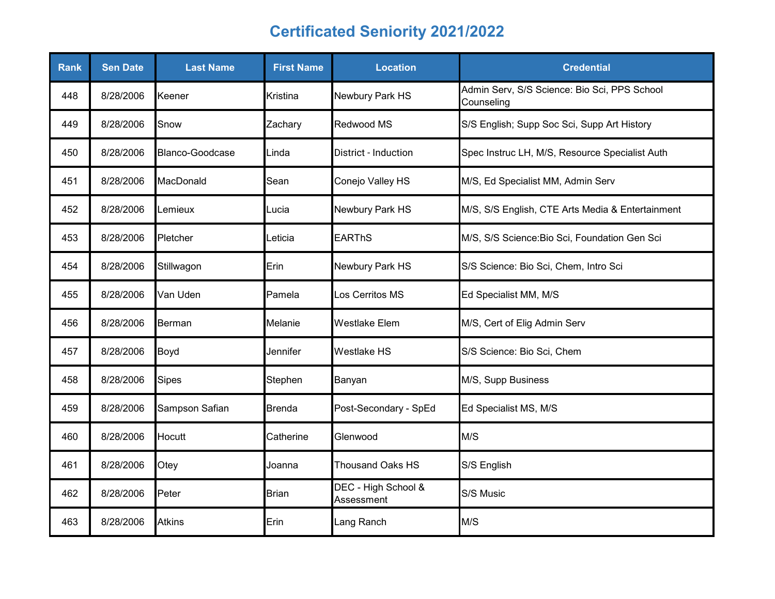| <b>Rank</b> | <b>Sen Date</b> | <b>Last Name</b> | <b>First Name</b> | <b>Location</b>                   | <b>Credential</b>                                          |
|-------------|-----------------|------------------|-------------------|-----------------------------------|------------------------------------------------------------|
| 448         | 8/28/2006       | Keener           | Kristina          | Newbury Park HS                   | Admin Serv, S/S Science: Bio Sci, PPS School<br>Counseling |
| 449         | 8/28/2006       | Snow             | Zachary           | Redwood MS                        | S/S English; Supp Soc Sci, Supp Art History                |
| 450         | 8/28/2006       | Blanco-Goodcase  | Linda             | District - Induction              | Spec Instruc LH, M/S, Resource Specialist Auth             |
| 451         | 8/28/2006       | MacDonald        | Sean              | Conejo Valley HS                  | M/S, Ed Specialist MM, Admin Serv                          |
| 452         | 8/28/2006       | Lemieux          | Lucia             | Newbury Park HS                   | M/S, S/S English, CTE Arts Media & Entertainment           |
| 453         | 8/28/2006       | Pletcher         | Leticia           | <b>EARThS</b>                     | M/S, S/S Science: Bio Sci, Foundation Gen Sci              |
| 454         | 8/28/2006       | Stillwagon       | Erin              | Newbury Park HS                   | S/S Science: Bio Sci, Chem, Intro Sci                      |
| 455         | 8/28/2006       | Van Uden         | Pamela            | Los Cerritos MS                   | Ed Specialist MM, M/S                                      |
| 456         | 8/28/2006       | <b>Berman</b>    | Melanie           | <b>Westlake Elem</b>              | M/S, Cert of Elig Admin Serv                               |
| 457         | 8/28/2006       | Boyd             | Jennifer          | Westlake HS                       | S/S Science: Bio Sci, Chem                                 |
| 458         | 8/28/2006       | <b>Sipes</b>     | Stephen           | Banyan                            | M/S, Supp Business                                         |
| 459         | 8/28/2006       | Sampson Safian   | <b>Brenda</b>     | Post-Secondary - SpEd             | Ed Specialist MS, M/S                                      |
| 460         | 8/28/2006       | Hocutt           | Catherine         | Glenwood                          | M/S                                                        |
| 461         | 8/28/2006       | Otey             | Joanna            | <b>Thousand Oaks HS</b>           | S/S English                                                |
| 462         | 8/28/2006       | Peter            | Brian             | DEC - High School &<br>Assessment | S/S Music                                                  |
| 463         | 8/28/2006       | <b>Atkins</b>    | Erin              | Lang Ranch                        | M/S                                                        |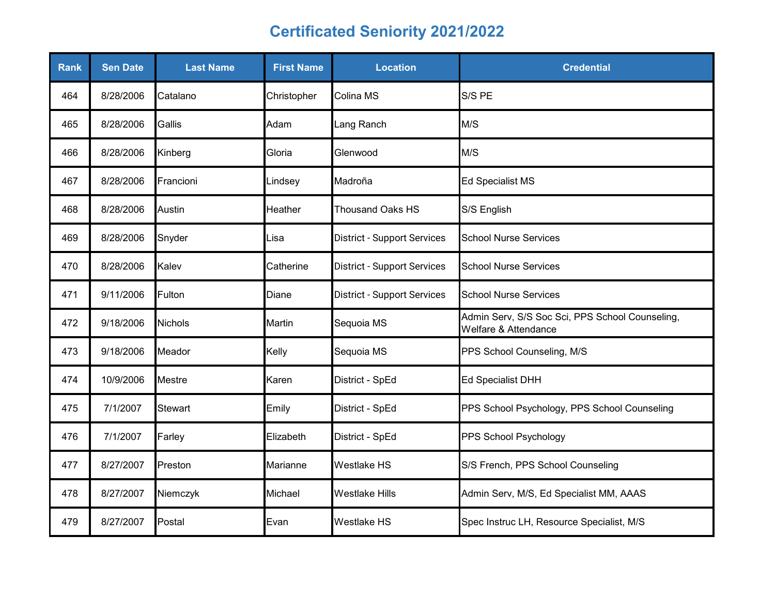| <b>Rank</b> | <b>Sen Date</b> | <b>Last Name</b> | <b>First Name</b> | <b>Location</b>                    | <b>Credential</b>                                                       |
|-------------|-----------------|------------------|-------------------|------------------------------------|-------------------------------------------------------------------------|
| 464         | 8/28/2006       | Catalano         | Christopher       | Colina MS                          | S/S PE                                                                  |
| 465         | 8/28/2006       | Gallis           | Adam              | Lang Ranch                         | M/S                                                                     |
| 466         | 8/28/2006       | Kinberg          | Gloria            | Glenwood                           | M/S                                                                     |
| 467         | 8/28/2006       | Francioni        | Lindsey           | Madroña                            | <b>Ed Specialist MS</b>                                                 |
| 468         | 8/28/2006       | Austin           | Heather           | <b>Thousand Oaks HS</b>            | S/S English                                                             |
| 469         | 8/28/2006       | Snyder           | Lisa              | <b>District - Support Services</b> | <b>School Nurse Services</b>                                            |
| 470         | 8/28/2006       | Kalev            | Catherine         | <b>District - Support Services</b> | <b>School Nurse Services</b>                                            |
| 471         | 9/11/2006       | Fulton           | Diane             | <b>District - Support Services</b> | <b>School Nurse Services</b>                                            |
| 472         | 9/18/2006       | <b>Nichols</b>   | Martin            | Sequoia MS                         | Admin Serv, S/S Soc Sci, PPS School Counseling,<br>Welfare & Attendance |
| 473         | 9/18/2006       | Meador           | Kelly             | Sequoia MS                         | PPS School Counseling, M/S                                              |
| 474         | 10/9/2006       | <b>Mestre</b>    | Karen             | District - SpEd                    | <b>Ed Specialist DHH</b>                                                |
| 475         | 7/1/2007        | <b>Stewart</b>   | Emily             | District - SpEd                    | PPS School Psychology, PPS School Counseling                            |
| 476         | 7/1/2007        | Farley           | Elizabeth         | District - SpEd                    | PPS School Psychology                                                   |
| 477         | 8/27/2007       | Preston          | Marianne          | Westlake HS                        | S/S French, PPS School Counseling                                       |
| 478         | 8/27/2007       | Niemczyk         | Michael           | <b>Westlake Hills</b>              | Admin Serv, M/S, Ed Specialist MM, AAAS                                 |
| 479         | 8/27/2007       | Postal           | Evan              | <b>Westlake HS</b>                 | Spec Instruc LH, Resource Specialist, M/S                               |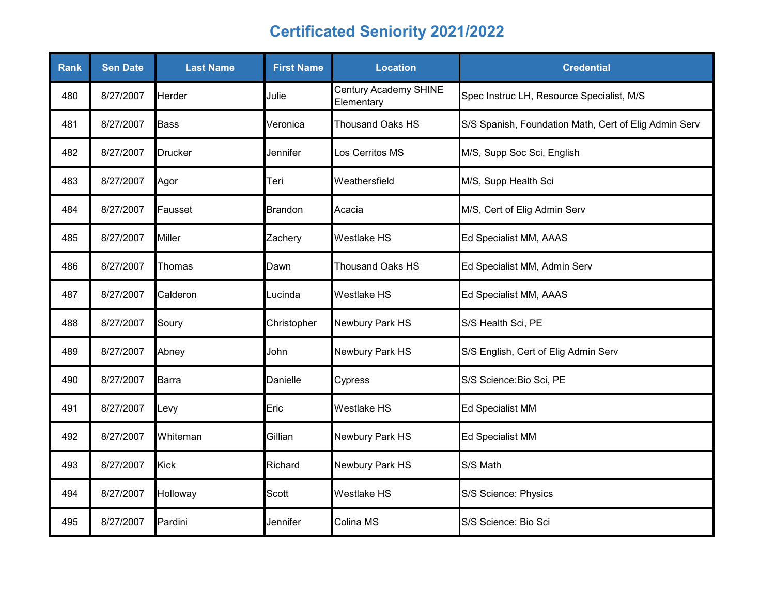| <b>Rank</b> | <b>Sen Date</b> | <b>Last Name</b> | <b>First Name</b> | <b>Location</b>                     | <b>Credential</b>                                     |
|-------------|-----------------|------------------|-------------------|-------------------------------------|-------------------------------------------------------|
| 480         | 8/27/2007       | Herder           | Julie             | Century Academy SHINE<br>Elementary | Spec Instruc LH, Resource Specialist, M/S             |
| 481         | 8/27/2007       | <b>Bass</b>      | Veronica          | <b>Thousand Oaks HS</b>             | S/S Spanish, Foundation Math, Cert of Elig Admin Serv |
| 482         | 8/27/2007       | <b>Drucker</b>   | Jennifer          | Los Cerritos MS                     | M/S, Supp Soc Sci, English                            |
| 483         | 8/27/2007       | Agor             | Teri              | Weathersfield                       | M/S, Supp Health Sci                                  |
| 484         | 8/27/2007       | Fausset          | <b>Brandon</b>    | Acacia                              | M/S, Cert of Elig Admin Serv                          |
| 485         | 8/27/2007       | Miller           | Zachery           | <b>Westlake HS</b>                  | Ed Specialist MM, AAAS                                |
| 486         | 8/27/2007       | Thomas           | Dawn              | <b>Thousand Oaks HS</b>             | Ed Specialist MM, Admin Serv                          |
| 487         | 8/27/2007       | Calderon         | Lucinda           | Westlake HS                         | Ed Specialist MM, AAAS                                |
| 488         | 8/27/2007       | Soury            | Christopher       | Newbury Park HS                     | S/S Health Sci, PE                                    |
| 489         | 8/27/2007       | Abney            | John              | Newbury Park HS                     | S/S English, Cert of Elig Admin Serv                  |
| 490         | 8/27/2007       | Barra            | Danielle          | Cypress                             | S/S Science: Bio Sci, PE                              |
| 491         | 8/27/2007       | Levy             | Eric              | Westlake HS                         | Ed Specialist MM                                      |
| 492         | 8/27/2007       | Whiteman         | Gillian           | Newbury Park HS                     | Ed Specialist MM                                      |
| 493         | 8/27/2007       | <b>Kick</b>      | Richard           | Newbury Park HS                     | S/S Math                                              |
| 494         | 8/27/2007       | Holloway         | Scott             | <b>Westlake HS</b>                  | S/S Science: Physics                                  |
| 495         | 8/27/2007       | Pardini          | Jennifer          | Colina MS                           | S/S Science: Bio Sci                                  |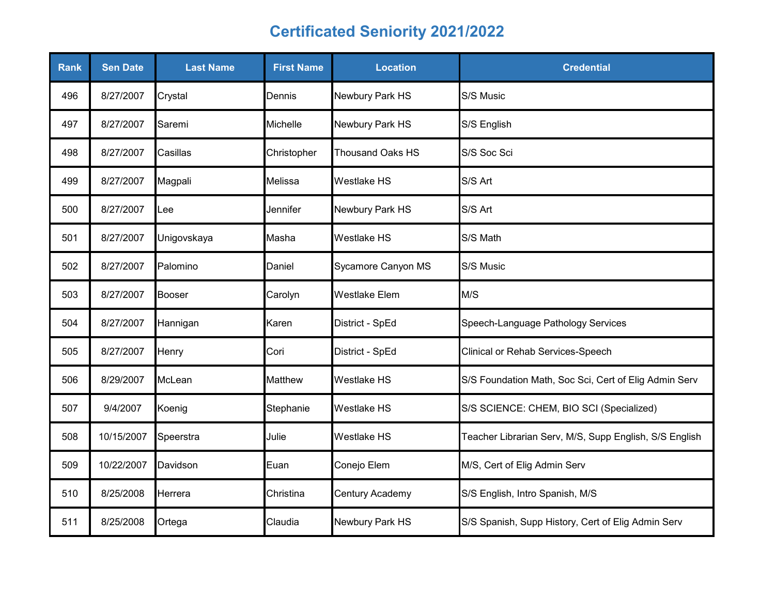| Rank | <b>Sen Date</b> | <b>Last Name</b> | <b>First Name</b> | <b>Location</b>         | <b>Credential</b>                                      |
|------|-----------------|------------------|-------------------|-------------------------|--------------------------------------------------------|
| 496  | 8/27/2007       | Crystal          | Dennis            | Newbury Park HS         | S/S Music                                              |
| 497  | 8/27/2007       | Saremi           | Michelle          | Newbury Park HS         | S/S English                                            |
| 498  | 8/27/2007       | Casillas         | Christopher       | <b>Thousand Oaks HS</b> | S/S Soc Sci                                            |
| 499  | 8/27/2007       | Magpali          | Melissa           | <b>Westlake HS</b>      | S/S Art                                                |
| 500  | 8/27/2007       | Lee              | Jennifer          | Newbury Park HS         | S/S Art                                                |
| 501  | 8/27/2007       | Unigovskaya      | Masha             | <b>Westlake HS</b>      | S/S Math                                               |
| 502  | 8/27/2007       | Palomino         | Daniel            | Sycamore Canyon MS      | S/S Music                                              |
| 503  | 8/27/2007       | Booser           | Carolyn           | <b>Westlake Elem</b>    | M/S                                                    |
| 504  | 8/27/2007       | Hannigan         | Karen             | District - SpEd         | Speech-Language Pathology Services                     |
| 505  | 8/27/2007       | Henry            | Cori              | District - SpEd         | Clinical or Rehab Services-Speech                      |
| 506  | 8/29/2007       | McLean           | <b>Matthew</b>    | <b>Westlake HS</b>      | S/S Foundation Math, Soc Sci, Cert of Elig Admin Serv  |
| 507  | 9/4/2007        | Koenig           | Stephanie         | Westlake HS             | S/S SCIENCE: CHEM, BIO SCI (Specialized)               |
| 508  | 10/15/2007      | Speerstra        | Julie             | Westlake HS             | Teacher Librarian Serv, M/S, Supp English, S/S English |
| 509  | 10/22/2007      | Davidson         | Euan              | Conejo Elem             | M/S, Cert of Elig Admin Serv                           |
| 510  | 8/25/2008       | Herrera          | Christina         | Century Academy         | S/S English, Intro Spanish, M/S                        |
| 511  | 8/25/2008       | Ortega           | Claudia           | Newbury Park HS         | S/S Spanish, Supp History, Cert of Elig Admin Serv     |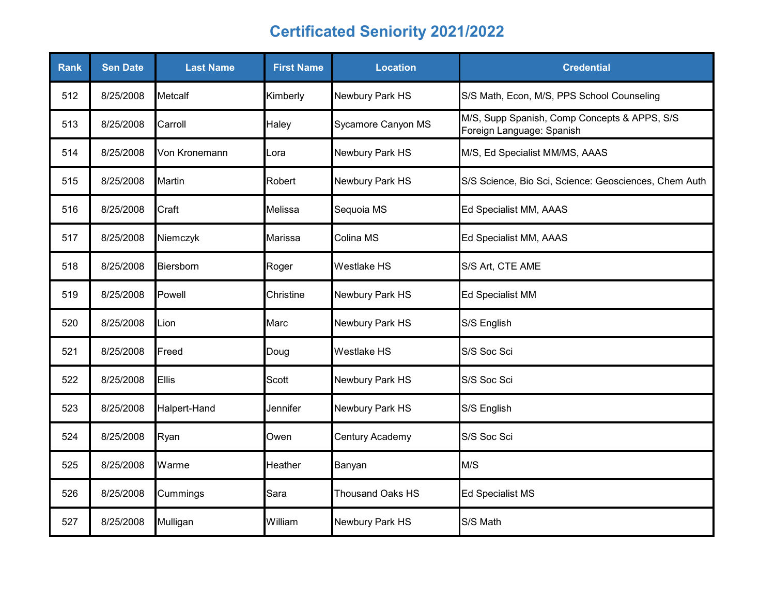| <b>Rank</b> | <b>Sen Date</b> | <b>Last Name</b> | <b>First Name</b> | <b>Location</b>         | <b>Credential</b>                                                         |
|-------------|-----------------|------------------|-------------------|-------------------------|---------------------------------------------------------------------------|
| 512         | 8/25/2008       | Metcalf          | Kimberly          | Newbury Park HS         | S/S Math, Econ, M/S, PPS School Counseling                                |
| 513         | 8/25/2008       | Carroll          | Haley             | Sycamore Canyon MS      | M/S, Supp Spanish, Comp Concepts & APPS, S/S<br>Foreign Language: Spanish |
| 514         | 8/25/2008       | Von Kronemann    | Lora              | Newbury Park HS         | M/S, Ed Specialist MM/MS, AAAS                                            |
| 515         | 8/25/2008       | Martin           | Robert            | Newbury Park HS         | S/S Science, Bio Sci, Science: Geosciences, Chem Auth                     |
| 516         | 8/25/2008       | Craft            | Melissa           | Sequoia MS              | Ed Specialist MM, AAAS                                                    |
| 517         | 8/25/2008       | Niemczyk         | Marissa           | Colina MS               | Ed Specialist MM, AAAS                                                    |
| 518         | 8/25/2008       | Biersborn        | Roger             | <b>Westlake HS</b>      | S/S Art, CTE AME                                                          |
| 519         | 8/25/2008       | Powell           | Christine         | Newbury Park HS         | Ed Specialist MM                                                          |
| 520         | 8/25/2008       | Lion             | Marc              | Newbury Park HS         | S/S English                                                               |
| 521         | 8/25/2008       | Freed            | Doug              | Westlake HS             | S/S Soc Sci                                                               |
| 522         | 8/25/2008       | <b>Ellis</b>     | <b>Scott</b>      | Newbury Park HS         | S/S Soc Sci                                                               |
| 523         | 8/25/2008       | Halpert-Hand     | Jennifer          | Newbury Park HS         | S/S English                                                               |
| 524         | 8/25/2008       | Ryan             | Owen              | Century Academy         | S/S Soc Sci                                                               |
| 525         | 8/25/2008       | Warme            | Heather           | Banyan                  | M/S                                                                       |
| 526         | 8/25/2008       | Cummings         | Sara              | <b>Thousand Oaks HS</b> | <b>Ed Specialist MS</b>                                                   |
| 527         | 8/25/2008       | Mulligan         | William           | Newbury Park HS         | S/S Math                                                                  |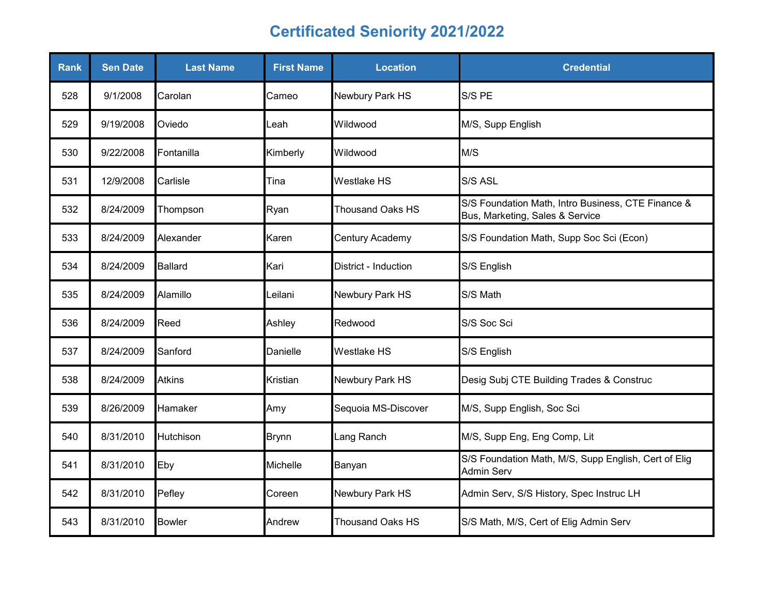| Rank | <b>Sen Date</b> | <b>Last Name</b> | <b>First Name</b> | <b>Location</b>         | <b>Credential</b>                                                                     |
|------|-----------------|------------------|-------------------|-------------------------|---------------------------------------------------------------------------------------|
| 528  | 9/1/2008        | Carolan          | Cameo             | Newbury Park HS         | S/S PE                                                                                |
| 529  | 9/19/2008       | Oviedo           | Leah              | Wildwood                | M/S, Supp English                                                                     |
| 530  | 9/22/2008       | Fontanilla       | Kimberly          | Wildwood                | M/S                                                                                   |
| 531  | 12/9/2008       | Carlisle         | Tina              | <b>Westlake HS</b>      | S/S ASL                                                                               |
| 532  | 8/24/2009       | Thompson         | Ryan              | <b>Thousand Oaks HS</b> | S/S Foundation Math, Intro Business, CTE Finance &<br>Bus, Marketing, Sales & Service |
| 533  | 8/24/2009       | Alexander        | Karen             | Century Academy         | S/S Foundation Math, Supp Soc Sci (Econ)                                              |
| 534  | 8/24/2009       | <b>Ballard</b>   | Kari              | District - Induction    | S/S English                                                                           |
| 535  | 8/24/2009       | Alamillo         | Leilani           | Newbury Park HS         | S/S Math                                                                              |
| 536  | 8/24/2009       | Reed             | Ashley            | Redwood                 | S/S Soc Sci                                                                           |
| 537  | 8/24/2009       | Sanford          | Danielle          | Westlake HS             | S/S English                                                                           |
| 538  | 8/24/2009       | <b>Atkins</b>    | Kristian          | Newbury Park HS         | Desig Subj CTE Building Trades & Construc                                             |
| 539  | 8/26/2009       | Hamaker          | Amy               | Sequoia MS-Discover     | M/S, Supp English, Soc Sci                                                            |
| 540  | 8/31/2010       | Hutchison        | <b>Brynn</b>      | Lang Ranch              | M/S, Supp Eng, Eng Comp, Lit                                                          |
| 541  | 8/31/2010       | Eby              | Michelle          | Banyan                  | S/S Foundation Math, M/S, Supp English, Cert of Elig<br><b>Admin Serv</b>             |
| 542  | 8/31/2010       | Pefley           | Coreen            | Newbury Park HS         | Admin Serv, S/S History, Spec Instruc LH                                              |
| 543  | 8/31/2010       | <b>Bowler</b>    | Andrew            | <b>Thousand Oaks HS</b> | S/S Math, M/S, Cert of Elig Admin Serv                                                |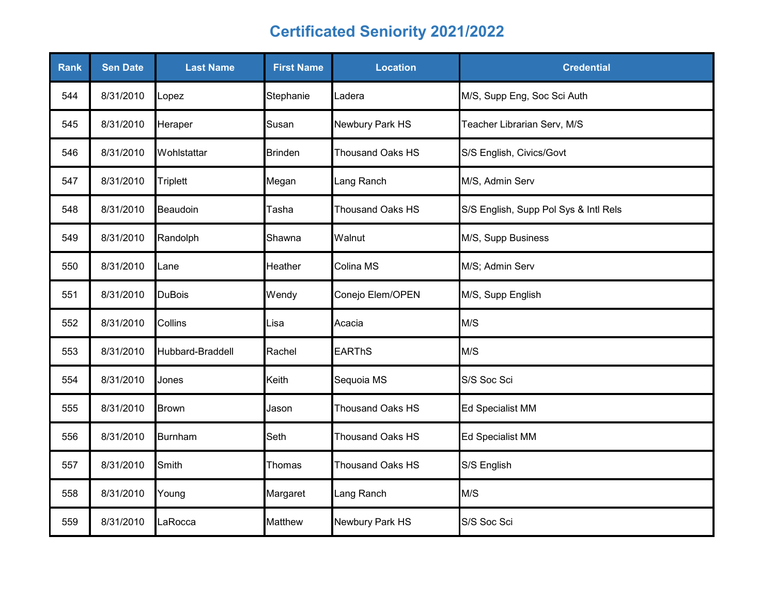| <b>Rank</b> | <b>Sen Date</b> | <b>Last Name</b> | <b>First Name</b> | <b>Location</b>         | <b>Credential</b>                     |
|-------------|-----------------|------------------|-------------------|-------------------------|---------------------------------------|
| 544         | 8/31/2010       | Lopez            | Stephanie         | Ladera                  | M/S, Supp Eng, Soc Sci Auth           |
| 545         | 8/31/2010       | Heraper          | Susan             | Newbury Park HS         | Teacher Librarian Serv, M/S           |
| 546         | 8/31/2010       | Wohlstattar      | Brinden           | <b>Thousand Oaks HS</b> | S/S English, Civics/Govt              |
| 547         | 8/31/2010       | <b>Triplett</b>  | Megan             | Lang Ranch              | M/S, Admin Serv                       |
| 548         | 8/31/2010       | Beaudoin         | Tasha             | <b>Thousand Oaks HS</b> | S/S English, Supp Pol Sys & Intl Rels |
| 549         | 8/31/2010       | Randolph         | Shawna            | Walnut                  | M/S, Supp Business                    |
| 550         | 8/31/2010       | Lane             | Heather           | Colina MS               | M/S; Admin Serv                       |
| 551         | 8/31/2010       | <b>DuBois</b>    | Wendy             | Conejo Elem/OPEN        | M/S, Supp English                     |
| 552         | 8/31/2010       | Collins          | Lisa              | Acacia                  | M/S                                   |
| 553         | 8/31/2010       | Hubbard-Braddell | Rachel            | <b>EARThS</b>           | M/S                                   |
| 554         | 8/31/2010       | Jones            | Keith             | Sequoia MS              | S/S Soc Sci                           |
| 555         | 8/31/2010       | Brown            | Jason             | <b>Thousand Oaks HS</b> | <b>Ed Specialist MM</b>               |
| 556         | 8/31/2010       | <b>Burnham</b>   | Seth              | Thousand Oaks HS        | <b>Ed Specialist MM</b>               |
| 557         | 8/31/2010       | Smith            | Thomas            | <b>Thousand Oaks HS</b> | S/S English                           |
| 558         | 8/31/2010       | Young            | Margaret          | Lang Ranch              | M/S                                   |
| 559         | 8/31/2010       | LaRocca          | Matthew           | Newbury Park HS         | S/S Soc Sci                           |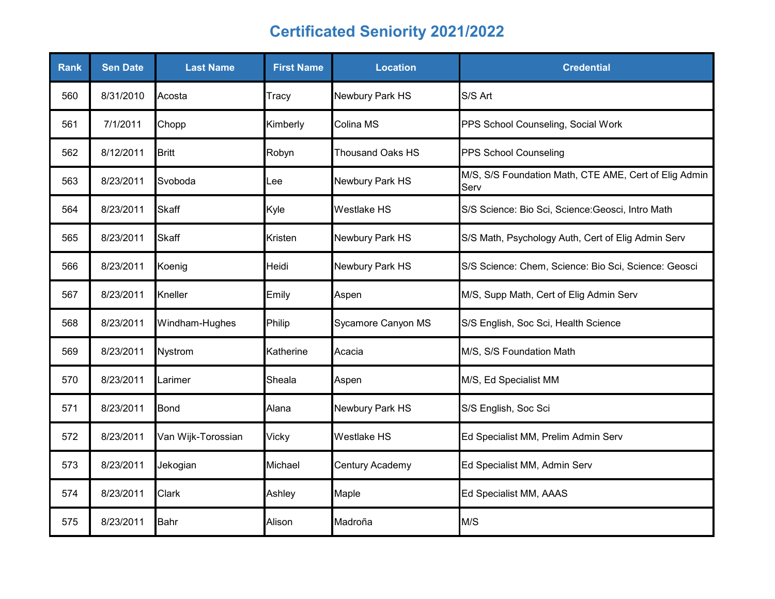| <b>Rank</b> | <b>Sen Date</b> | <b>Last Name</b>   | <b>First Name</b> | <b>Location</b>         | <b>Credential</b>                                             |
|-------------|-----------------|--------------------|-------------------|-------------------------|---------------------------------------------------------------|
| 560         | 8/31/2010       | Acosta             | Tracy             | Newbury Park HS         | S/S Art                                                       |
| 561         | 7/1/2011        | Chopp              | Kimberly          | Colina MS               | PPS School Counseling, Social Work                            |
| 562         | 8/12/2011       | <b>Britt</b>       | Robyn             | <b>Thousand Oaks HS</b> | PPS School Counseling                                         |
| 563         | 8/23/2011       | Svoboda            | Lee               | Newbury Park HS         | M/S, S/S Foundation Math, CTE AME, Cert of Elig Admin<br>Serv |
| 564         | 8/23/2011       | <b>Skaff</b>       | Kyle              | <b>Westlake HS</b>      | S/S Science: Bio Sci, Science: Geosci, Intro Math             |
| 565         | 8/23/2011       | <b>Skaff</b>       | <b>Kristen</b>    | Newbury Park HS         | S/S Math, Psychology Auth, Cert of Elig Admin Serv            |
| 566         | 8/23/2011       | Koenig             | Heidi             | Newbury Park HS         | S/S Science: Chem, Science: Bio Sci, Science: Geosci          |
| 567         | 8/23/2011       | Kneller            | Emily             | Aspen                   | M/S, Supp Math, Cert of Elig Admin Serv                       |
| 568         | 8/23/2011       | Windham-Hughes     | Philip            | Sycamore Canyon MS      | S/S English, Soc Sci, Health Science                          |
| 569         | 8/23/2011       | Nystrom            | Katherine         | Acacia                  | M/S, S/S Foundation Math                                      |
| 570         | 8/23/2011       | Larimer            | Sheala            | Aspen                   | M/S, Ed Specialist MM                                         |
| 571         | 8/23/2011       | <b>Bond</b>        | Alana             | Newbury Park HS         | S/S English, Soc Sci                                          |
| 572         | 8/23/2011       | Van Wijk-Torossian | Vicky             | Westlake HS             | Ed Specialist MM, Prelim Admin Serv                           |
| 573         | 8/23/2011       | Jekogian           | Michael           | <b>Century Academy</b>  | Ed Specialist MM, Admin Serv                                  |
| 574         | 8/23/2011       | <b>Clark</b>       | Ashley            | Maple                   | Ed Specialist MM, AAAS                                        |
| 575         | 8/23/2011       | <b>Bahr</b>        | Alison            | Madroña                 | M/S                                                           |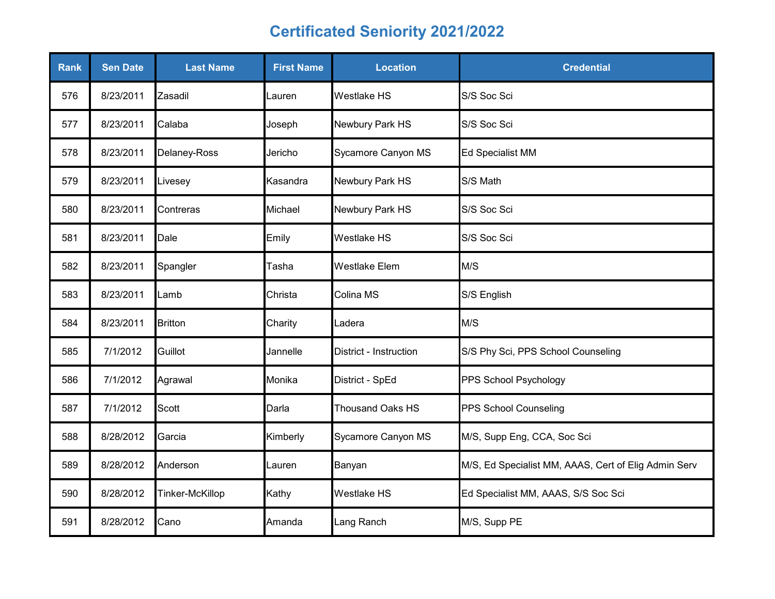| <b>Rank</b> | <b>Sen Date</b> | <b>Last Name</b> | <b>First Name</b> | <b>Location</b>        | <b>Credential</b>                                    |
|-------------|-----------------|------------------|-------------------|------------------------|------------------------------------------------------|
| 576         | 8/23/2011       | Zasadil          | Lauren            | <b>Westlake HS</b>     | S/S Soc Sci                                          |
| 577         | 8/23/2011       | Calaba           | Joseph            | Newbury Park HS        | S/S Soc Sci                                          |
| 578         | 8/23/2011       | Delaney-Ross     | Jericho           | Sycamore Canyon MS     | Ed Specialist MM                                     |
| 579         | 8/23/2011       | Livesey          | Kasandra          | Newbury Park HS        | S/S Math                                             |
| 580         | 8/23/2011       | Contreras        | Michael           | Newbury Park HS        | S/S Soc Sci                                          |
| 581         | 8/23/2011       | Dale             | Emily             | <b>Westlake HS</b>     | S/S Soc Sci                                          |
| 582         | 8/23/2011       | Spangler         | Tasha             | <b>Westlake Elem</b>   | M/S                                                  |
| 583         | 8/23/2011       | Lamb             | Christa           | Colina MS              | S/S English                                          |
| 584         | 8/23/2011       | <b>Britton</b>   | Charity           | Ladera                 | M/S                                                  |
| 585         | 7/1/2012        | Guillot          | Jannelle          | District - Instruction | S/S Phy Sci, PPS School Counseling                   |
| 586         | 7/1/2012        | Agrawal          | Monika            | District - SpEd        | PPS School Psychology                                |
| 587         | 7/1/2012        | Scott            | Darla             | Thousand Oaks HS       | PPS School Counseling                                |
| 588         | 8/28/2012       | Garcia           | Kimberly          | Sycamore Canyon MS     | M/S, Supp Eng, CCA, Soc Sci                          |
| 589         | 8/28/2012       | Anderson         | Lauren            | Banyan                 | M/S, Ed Specialist MM, AAAS, Cert of Elig Admin Serv |
| 590         | 8/28/2012       | Tinker-McKillop  | Kathy             | Westlake HS            | Ed Specialist MM, AAAS, S/S Soc Sci                  |
| 591         | 8/28/2012       | Cano             | Amanda            | Lang Ranch             | M/S, Supp PE                                         |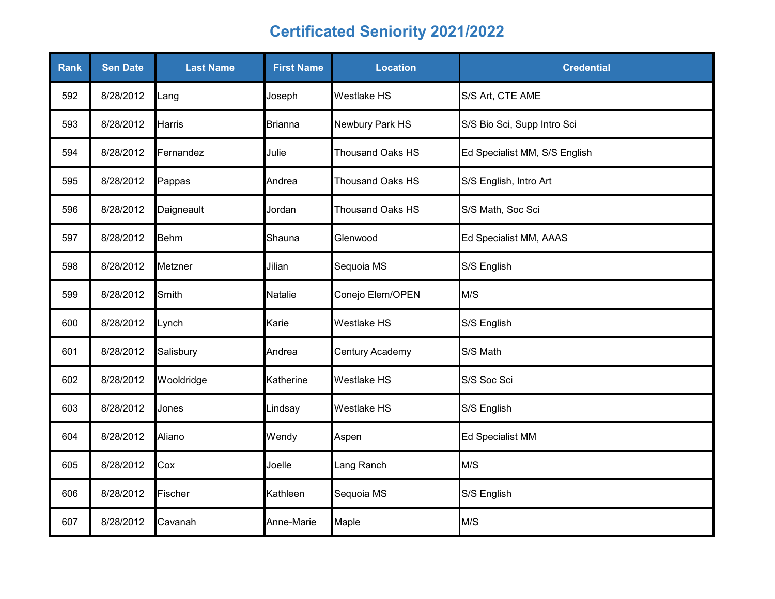| <b>Rank</b> | <b>Sen Date</b> | <b>Last Name</b> | <b>First Name</b> | <b>Location</b>         | <b>Credential</b>             |
|-------------|-----------------|------------------|-------------------|-------------------------|-------------------------------|
| 592         | 8/28/2012       | Lang             | Joseph            | <b>Westlake HS</b>      | S/S Art, CTE AME              |
| 593         | 8/28/2012       | <b>Harris</b>    | <b>Brianna</b>    | Newbury Park HS         | S/S Bio Sci, Supp Intro Sci   |
| 594         | 8/28/2012       | Fernandez        | Julie             | <b>Thousand Oaks HS</b> | Ed Specialist MM, S/S English |
| 595         | 8/28/2012       | Pappas           | Andrea            | <b>Thousand Oaks HS</b> | S/S English, Intro Art        |
| 596         | 8/28/2012       | Daigneault       | Jordan            | <b>Thousand Oaks HS</b> | S/S Math, Soc Sci             |
| 597         | 8/28/2012       | <b>Behm</b>      | Shauna            | Glenwood                | Ed Specialist MM, AAAS        |
| 598         | 8/28/2012       | Metzner          | Jilian            | Sequoia MS              | S/S English                   |
| 599         | 8/28/2012       | Smith            | Natalie           | Conejo Elem/OPEN        | M/S                           |
| 600         | 8/28/2012       | Lynch            | Karie             | <b>Westlake HS</b>      | S/S English                   |
| 601         | 8/28/2012       | Salisbury        | Andrea            | Century Academy         | S/S Math                      |
| 602         | 8/28/2012       | Wooldridge       | Katherine         | <b>Westlake HS</b>      | S/S Soc Sci                   |
| 603         | 8/28/2012       | Jones            | Lindsay           | Westlake HS             | S/S English                   |
| 604         | 8/28/2012       | Aliano           | Wendy             | Aspen                   | <b>Ed Specialist MM</b>       |
| 605         | 8/28/2012       | Cox              | Joelle            | Lang Ranch              | M/S                           |
| 606         | 8/28/2012       | Fischer          | Kathleen          | Sequoia MS              | S/S English                   |
| 607         | 8/28/2012       | Cavanah          | Anne-Marie        | Maple                   | M/S                           |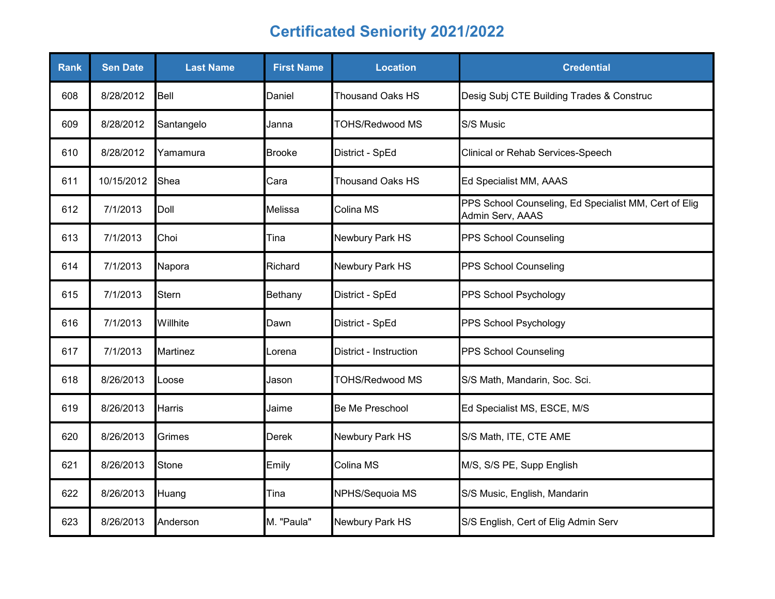| <b>Rank</b> | <b>Sen Date</b> | <b>Last Name</b> | <b>First Name</b> | <b>Location</b>         | <b>Credential</b>                                                         |
|-------------|-----------------|------------------|-------------------|-------------------------|---------------------------------------------------------------------------|
| 608         | 8/28/2012       | Bell             | Daniel            | <b>Thousand Oaks HS</b> | Desig Subj CTE Building Trades & Construc                                 |
| 609         | 8/28/2012       | Santangelo       | Janna             | <b>TOHS/Redwood MS</b>  | S/S Music                                                                 |
| 610         | 8/28/2012       | Yamamura         | <b>Brooke</b>     | District - SpEd         | Clinical or Rehab Services-Speech                                         |
| 611         | 10/15/2012      | Shea             | Cara              | <b>Thousand Oaks HS</b> | Ed Specialist MM, AAAS                                                    |
| 612         | 7/1/2013        | Doll             | Melissa           | Colina MS               | PPS School Counseling, Ed Specialist MM, Cert of Elig<br>Admin Serv, AAAS |
| 613         | 7/1/2013        | Choi             | Tina              | Newbury Park HS         | PPS School Counseling                                                     |
| 614         | 7/1/2013        | Napora           | Richard           | Newbury Park HS         | <b>PPS School Counseling</b>                                              |
| 615         | 7/1/2013        | Stern            | Bethany           | District - SpEd         | PPS School Psychology                                                     |
| 616         | 7/1/2013        | Willhite         | Dawn              | District - SpEd         | PPS School Psychology                                                     |
| 617         | 7/1/2013        | Martinez         | Lorena            | District - Instruction  | <b>PPS School Counseling</b>                                              |
| 618         | 8/26/2013       | Loose            | Jason             | <b>TOHS/Redwood MS</b>  | S/S Math, Mandarin, Soc. Sci.                                             |
| 619         | 8/26/2013       | Harris           | Jaime             | Be Me Preschool         | Ed Specialist MS, ESCE, M/S                                               |
| 620         | 8/26/2013       | Grimes           | <b>Derek</b>      | Newbury Park HS         | S/S Math, ITE, CTE AME                                                    |
| 621         | 8/26/2013       | Stone            | Emily             | Colina MS               | M/S, S/S PE, Supp English                                                 |
| 622         | 8/26/2013       | Huang            | Tina              | NPHS/Sequoia MS         | S/S Music, English, Mandarin                                              |
| 623         | 8/26/2013       | Anderson         | M. "Paula"        | Newbury Park HS         | S/S English, Cert of Elig Admin Serv                                      |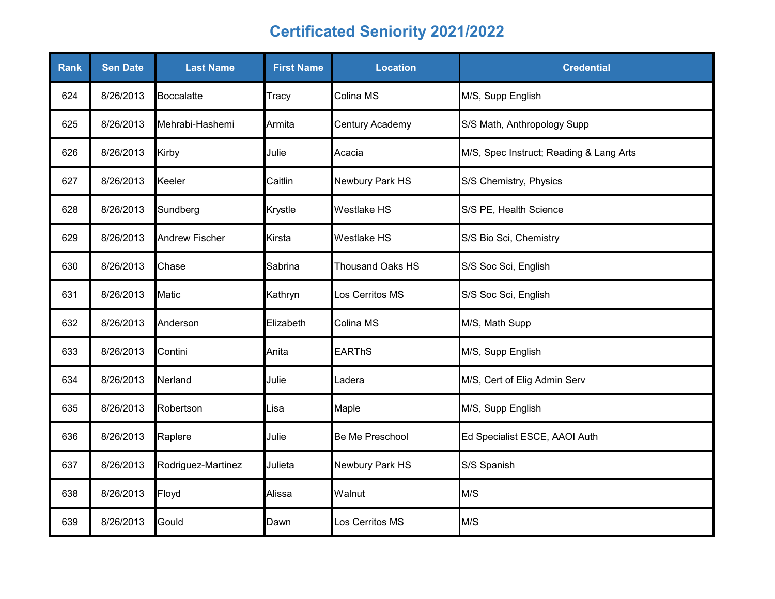| Rank | <b>Sen Date</b> | <b>Last Name</b>      | <b>First Name</b> | <b>Location</b>         | <b>Credential</b>                       |
|------|-----------------|-----------------------|-------------------|-------------------------|-----------------------------------------|
| 624  | 8/26/2013       | <b>Boccalatte</b>     | Tracy             | Colina MS               | M/S, Supp English                       |
| 625  | 8/26/2013       | Mehrabi-Hashemi       | Armita            | Century Academy         | S/S Math, Anthropology Supp             |
| 626  | 8/26/2013       | Kirby                 | Julie             | Acacia                  | M/S, Spec Instruct; Reading & Lang Arts |
| 627  | 8/26/2013       | Keeler                | Caitlin           | Newbury Park HS         | S/S Chemistry, Physics                  |
| 628  | 8/26/2013       | Sundberg              | Krystle           | <b>Westlake HS</b>      | S/S PE, Health Science                  |
| 629  | 8/26/2013       | <b>Andrew Fischer</b> | Kirsta            | <b>Westlake HS</b>      | S/S Bio Sci, Chemistry                  |
| 630  | 8/26/2013       | Chase                 | Sabrina           | <b>Thousand Oaks HS</b> | S/S Soc Sci, English                    |
| 631  | 8/26/2013       | Matic                 | Kathryn           | Los Cerritos MS         | S/S Soc Sci, English                    |
| 632  | 8/26/2013       | Anderson              | Elizabeth         | Colina MS               | M/S, Math Supp                          |
| 633  | 8/26/2013       | Contini               | Anita             | <b>EARThS</b>           | M/S, Supp English                       |
| 634  | 8/26/2013       | Nerland               | Julie             | Ladera                  | M/S, Cert of Elig Admin Serv            |
| 635  | 8/26/2013       | Robertson             | Lisa              | Maple                   | M/S, Supp English                       |
| 636  | 8/26/2013       | Raplere               | Julie             | Be Me Preschool         | Ed Specialist ESCE, AAOI Auth           |
| 637  | 8/26/2013       | Rodriguez-Martinez    | Julieta           | Newbury Park HS         | S/S Spanish                             |
| 638  | 8/26/2013       | Floyd                 | Alissa            | Walnut                  | M/S                                     |
| 639  | 8/26/2013       | Gould                 | Dawn              | Los Cerritos MS         | M/S                                     |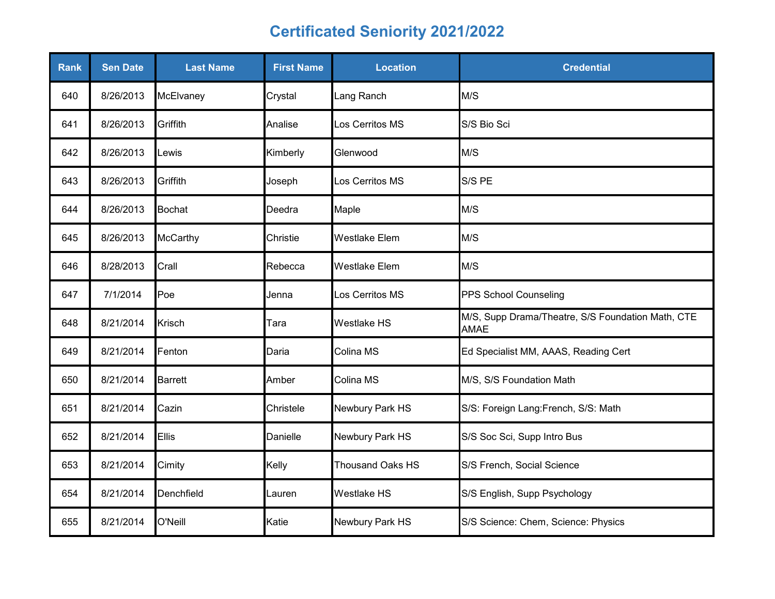| <b>Rank</b> | <b>Sen Date</b> | <b>Last Name</b> | <b>First Name</b> | <b>Location</b>         | <b>Credential</b>                                                |
|-------------|-----------------|------------------|-------------------|-------------------------|------------------------------------------------------------------|
| 640         | 8/26/2013       | McElvaney        | Crystal           | Lang Ranch              | M/S                                                              |
| 641         | 8/26/2013       | Griffith         | Analise           | Los Cerritos MS         | S/S Bio Sci                                                      |
| 642         | 8/26/2013       | Lewis            | Kimberly          | Glenwood                | M/S                                                              |
| 643         | 8/26/2013       | Griffith         | Joseph            | Los Cerritos MS         | S/S PE                                                           |
| 644         | 8/26/2013       | <b>Bochat</b>    | Deedra            | Maple                   | M/S                                                              |
| 645         | 8/26/2013       | <b>McCarthy</b>  | Christie          | <b>Westlake Elem</b>    | M/S                                                              |
| 646         | 8/28/2013       | Crall            | Rebecca           | <b>Westlake Elem</b>    | M/S                                                              |
| 647         | 7/1/2014        | Poe              | Jenna             | Los Cerritos MS         | PPS School Counseling                                            |
| 648         | 8/21/2014       | <b>Krisch</b>    | Tara              | <b>Westlake HS</b>      | M/S, Supp Drama/Theatre, S/S Foundation Math, CTE<br><b>AMAE</b> |
| 649         | 8/21/2014       | Fenton           | Daria             | Colina MS               | Ed Specialist MM, AAAS, Reading Cert                             |
| 650         | 8/21/2014       | <b>Barrett</b>   | Amber             | Colina MS               | M/S, S/S Foundation Math                                         |
| 651         | 8/21/2014       | Cazin            | Christele         | Newbury Park HS         | S/S: Foreign Lang: French, S/S: Math                             |
| 652         | 8/21/2014       | Ellis            | Danielle          | Newbury Park HS         | S/S Soc Sci, Supp Intro Bus                                      |
| 653         | 8/21/2014       | Cimity           | Kelly             | <b>Thousand Oaks HS</b> | S/S French, Social Science                                       |
| 654         | 8/21/2014       | Denchfield       | Lauren            | <b>Westlake HS</b>      | S/S English, Supp Psychology                                     |
| 655         | 8/21/2014       | O'Neill          | Katie             | Newbury Park HS         | S/S Science: Chem, Science: Physics                              |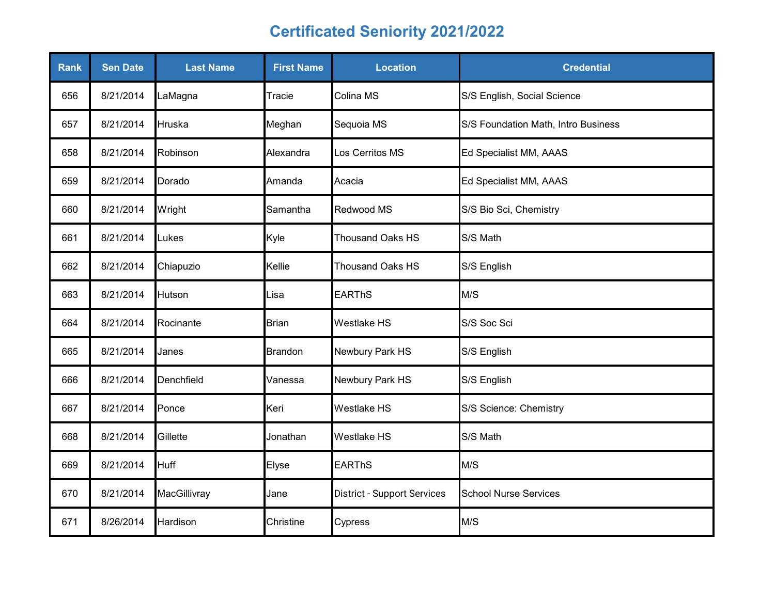| Rank | <b>Sen Date</b> | <b>Last Name</b> | <b>First Name</b> | <b>Location</b>                    | <b>Credential</b>                   |
|------|-----------------|------------------|-------------------|------------------------------------|-------------------------------------|
| 656  | 8/21/2014       | LaMagna          | Tracie            | Colina MS                          | S/S English, Social Science         |
| 657  | 8/21/2014       | Hruska           | Meghan            | Sequoia MS                         | S/S Foundation Math, Intro Business |
| 658  | 8/21/2014       | Robinson         | Alexandra         | Los Cerritos MS                    | Ed Specialist MM, AAAS              |
| 659  | 8/21/2014       | Dorado           | Amanda            | Acacia                             | Ed Specialist MM, AAAS              |
| 660  | 8/21/2014       | Wright           | Samantha          | Redwood MS                         | S/S Bio Sci, Chemistry              |
| 661  | 8/21/2014       | Lukes            | Kyle              | Thousand Oaks HS                   | S/S Math                            |
| 662  | 8/21/2014       | Chiapuzio        | Kellie            | <b>Thousand Oaks HS</b>            | S/S English                         |
| 663  | 8/21/2014       | Hutson           | Lisa              | <b>EARThS</b>                      | M/S                                 |
| 664  | 8/21/2014       | Rocinante        | Brian             | Westlake HS                        | S/S Soc Sci                         |
| 665  | 8/21/2014       | Janes            | <b>Brandon</b>    | Newbury Park HS                    | S/S English                         |
| 666  | 8/21/2014       | Denchfield       | Vanessa           | Newbury Park HS                    | S/S English                         |
| 667  | 8/21/2014       | Ponce            | Keri              | Westlake HS                        | S/S Science: Chemistry              |
| 668  | 8/21/2014       | Gillette         | Jonathan          | Westlake HS                        | S/S Math                            |
| 669  | 8/21/2014       | <b>Huff</b>      | Elyse             | <b>EARThS</b>                      | M/S                                 |
| 670  | 8/21/2014       | MacGillivray     | Jane              | <b>District - Support Services</b> | <b>School Nurse Services</b>        |
| 671  | 8/26/2014       | Hardison         | Christine         | Cypress                            | M/S                                 |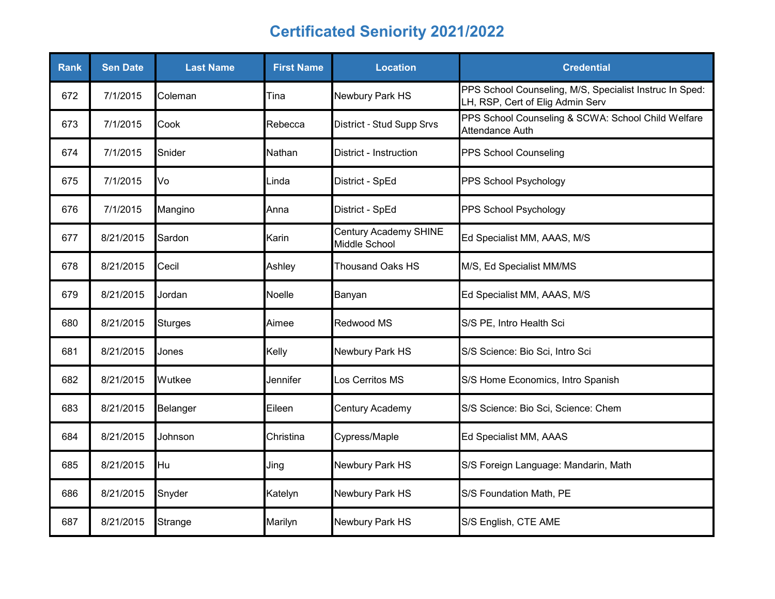| <b>Rank</b> | <b>Sen Date</b> | <b>Last Name</b> | <b>First Name</b> | <b>Location</b>                        | <b>Credential</b>                                                                           |
|-------------|-----------------|------------------|-------------------|----------------------------------------|---------------------------------------------------------------------------------------------|
| 672         | 7/1/2015        | Coleman          | Tina              | Newbury Park HS                        | PPS School Counseling, M/S, Specialist Instruc In Sped:<br>LH, RSP, Cert of Elig Admin Serv |
| 673         | 7/1/2015        | Cook             | Rebecca           | District - Stud Supp Srvs              | PPS School Counseling & SCWA: School Child Welfare<br>Attendance Auth                       |
| 674         | 7/1/2015        | Snider           | Nathan            | District - Instruction                 | PPS School Counseling                                                                       |
| 675         | 7/1/2015        | Vo               | Linda             | District - SpEd                        | PPS School Psychology                                                                       |
| 676         | 7/1/2015        | Mangino          | Anna              | District - SpEd                        | PPS School Psychology                                                                       |
| 677         | 8/21/2015       | Sardon           | Karin             | Century Academy SHINE<br>Middle School | Ed Specialist MM, AAAS, M/S                                                                 |
| 678         | 8/21/2015       | Cecil            | Ashley            | <b>Thousand Oaks HS</b>                | M/S, Ed Specialist MM/MS                                                                    |
| 679         | 8/21/2015       | Jordan           | Noelle            | Banyan                                 | Ed Specialist MM, AAAS, M/S                                                                 |
| 680         | 8/21/2015       | <b>Sturges</b>   | Aimee             | Redwood MS                             | S/S PE, Intro Health Sci                                                                    |
| 681         | 8/21/2015       | Jones            | Kelly             | Newbury Park HS                        | S/S Science: Bio Sci, Intro Sci                                                             |
| 682         | 8/21/2015       | Wutkee           | Jennifer          | Los Cerritos MS                        | S/S Home Economics, Intro Spanish                                                           |
| 683         | 8/21/2015       | Belanger         | Eileen            | Century Academy                        | S/S Science: Bio Sci, Science: Chem                                                         |
| 684         | 8/21/2015       | Johnson          | Christina         | Cypress/Maple                          | Ed Specialist MM, AAAS                                                                      |
| 685         | 8/21/2015       | Hu               | Jing              | Newbury Park HS                        | S/S Foreign Language: Mandarin, Math                                                        |
| 686         | 8/21/2015       | Snyder           | Katelyn           | Newbury Park HS                        | S/S Foundation Math, PE                                                                     |
| 687         | 8/21/2015       | Strange          | Marilyn           | Newbury Park HS                        | S/S English, CTE AME                                                                        |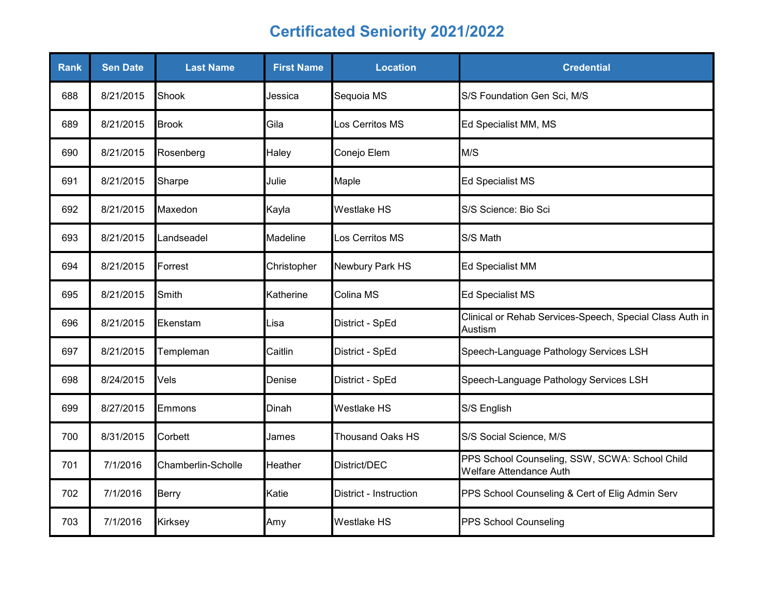| Rank | <b>Sen Date</b> | <b>Last Name</b>   | <b>First Name</b> | <b>Location</b>        | <b>Credential</b>                                                         |
|------|-----------------|--------------------|-------------------|------------------------|---------------------------------------------------------------------------|
| 688  | 8/21/2015       | Shook              | Jessica           | Sequoia MS             | S/S Foundation Gen Sci, M/S                                               |
| 689  | 8/21/2015       | <b>Brook</b>       | Gila              | Los Cerritos MS        | Ed Specialist MM, MS                                                      |
| 690  | 8/21/2015       | Rosenberg          | Haley             | Conejo Elem            | M/S                                                                       |
| 691  | 8/21/2015       | Sharpe             | Julie             | Maple                  | Ed Specialist MS                                                          |
| 692  | 8/21/2015       | Maxedon            | Kayla             | Westlake HS            | S/S Science: Bio Sci                                                      |
| 693  | 8/21/2015       | Landseadel         | Madeline          | Los Cerritos MS        | S/S Math                                                                  |
| 694  | 8/21/2015       | Forrest            | Christopher       | Newbury Park HS        | <b>Ed Specialist MM</b>                                                   |
| 695  | 8/21/2015       | Smith              | Katherine         | Colina MS              | Ed Specialist MS                                                          |
| 696  | 8/21/2015       | Ekenstam           | Lisa              | District - SpEd        | Clinical or Rehab Services-Speech, Special Class Auth in<br>Austism       |
| 697  | 8/21/2015       | Templeman          | Caitlin           | District - SpEd        | Speech-Language Pathology Services LSH                                    |
| 698  | 8/24/2015       | Vels               | Denise            | District - SpEd        | Speech-Language Pathology Services LSH                                    |
| 699  | 8/27/2015       | Emmons             | Dinah             | Westlake HS            | S/S English                                                               |
| 700  | 8/31/2015       | Corbett            | James             | Thousand Oaks HS       | S/S Social Science, M/S                                                   |
| 701  | 7/1/2016        | Chamberlin-Scholle | Heather           | District/DEC           | PPS School Counseling, SSW, SCWA: School Child<br>Welfare Attendance Auth |
| 702  | 7/1/2016        | <b>Berry</b>       | Katie             | District - Instruction | PPS School Counseling & Cert of Elig Admin Serv                           |
| 703  | 7/1/2016        | Kirksey            | Amy               | Westlake HS            | PPS School Counseling                                                     |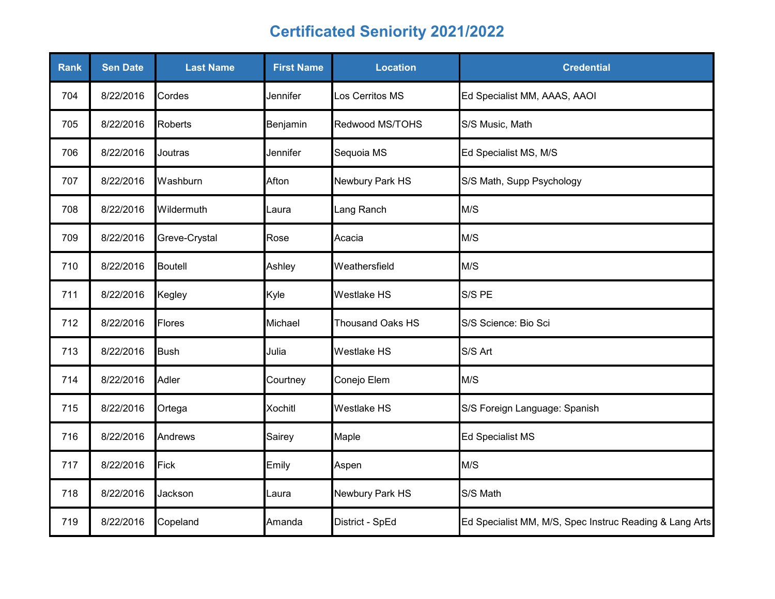| Rank | <b>Sen Date</b> | <b>Last Name</b> | <b>First Name</b> | <b>Location</b>         | <b>Credential</b>                                       |
|------|-----------------|------------------|-------------------|-------------------------|---------------------------------------------------------|
| 704  | 8/22/2016       | Cordes           | Jennifer          | Los Cerritos MS         | Ed Specialist MM, AAAS, AAOI                            |
| 705  | 8/22/2016       | <b>Roberts</b>   | Benjamin          | Redwood MS/TOHS         | S/S Music, Math                                         |
| 706  | 8/22/2016       | Joutras          | Jennifer          | Sequoia MS              | Ed Specialist MS, M/S                                   |
| 707  | 8/22/2016       | Washburn         | Afton             | Newbury Park HS         | S/S Math, Supp Psychology                               |
| 708  | 8/22/2016       | Wildermuth       | Laura             | Lang Ranch              | M/S                                                     |
| 709  | 8/22/2016       | Greve-Crystal    | Rose              | Acacia                  | M/S                                                     |
| 710  | 8/22/2016       | <b>Boutell</b>   | Ashley            | Weathersfield           | M/S                                                     |
| 711  | 8/22/2016       | Kegley           | Kyle              | <b>Westlake HS</b>      | S/S PE                                                  |
| 712  | 8/22/2016       | Flores           | Michael           | <b>Thousand Oaks HS</b> | S/S Science: Bio Sci                                    |
| 713  | 8/22/2016       | <b>Bush</b>      | Julia             | <b>Westlake HS</b>      | S/S Art                                                 |
| 714  | 8/22/2016       | Adler            | Courtney          | Conejo Elem             | M/S                                                     |
| 715  | 8/22/2016       | Ortega           | <b>Xochitl</b>    | Westlake HS             | S/S Foreign Language: Spanish                           |
| 716  | 8/22/2016       | Andrews          | Sairey            | Maple                   | <b>Ed Specialist MS</b>                                 |
| 717  | 8/22/2016       | <b>Fick</b>      | Emily             | Aspen                   | M/S                                                     |
| 718  | 8/22/2016       | Jackson          | Laura             | Newbury Park HS         | S/S Math                                                |
| 719  | 8/22/2016       | Copeland         | Amanda            | District - SpEd         | Ed Specialist MM, M/S, Spec Instruc Reading & Lang Arts |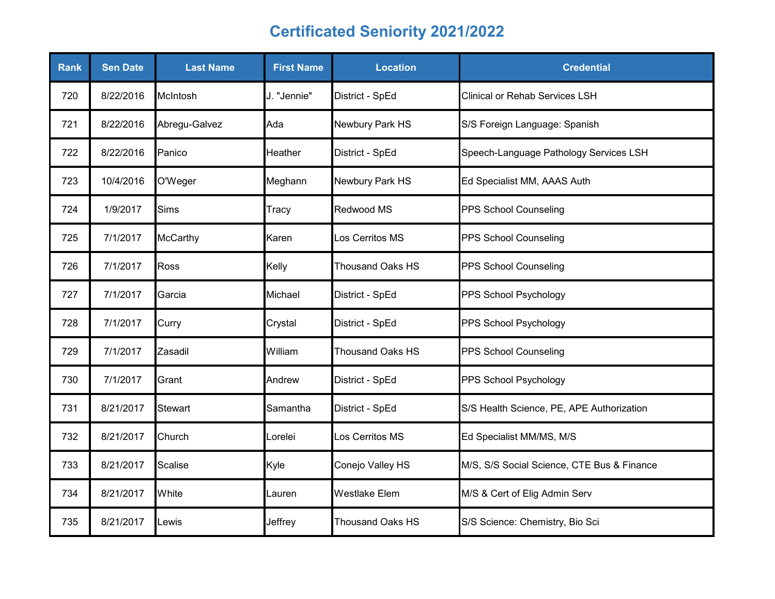| <b>Rank</b> | <b>Sen Date</b> | <b>Last Name</b> | <b>First Name</b> | <b>Location</b>         | <b>Credential</b>                          |
|-------------|-----------------|------------------|-------------------|-------------------------|--------------------------------------------|
| 720         | 8/22/2016       | McIntosh         | J. "Jennie"       | District - SpEd         | <b>Clinical or Rehab Services LSH</b>      |
| 721         | 8/22/2016       | Abregu-Galvez    | Ada               | Newbury Park HS         | S/S Foreign Language: Spanish              |
| 722         | 8/22/2016       | Panico           | Heather           | District - SpEd         | Speech-Language Pathology Services LSH     |
| 723         | 10/4/2016       | O'Weger          | Meghann           | Newbury Park HS         | Ed Specialist MM, AAAS Auth                |
| 724         | 1/9/2017        | <b>Sims</b>      | Tracy             | Redwood MS              | PPS School Counseling                      |
| 725         | 7/1/2017        | <b>McCarthy</b>  | Karen             | Los Cerritos MS         | PPS School Counseling                      |
| 726         | 7/1/2017        | <b>Ross</b>      | Kelly             | <b>Thousand Oaks HS</b> | PPS School Counseling                      |
| 727         | 7/1/2017        | Garcia           | Michael           | District - SpEd         | PPS School Psychology                      |
| 728         | 7/1/2017        | Curry            | Crystal           | District - SpEd         | PPS School Psychology                      |
| 729         | 7/1/2017        | Zasadil          | William           | <b>Thousand Oaks HS</b> | PPS School Counseling                      |
| 730         | 7/1/2017        | Grant            | Andrew            | District - SpEd         | PPS School Psychology                      |
| 731         | 8/21/2017       | <b>Stewart</b>   | Samantha          | District - SpEd         | S/S Health Science, PE, APE Authorization  |
| 732         | 8/21/2017       | Church           | _orelei           | Los Cerritos MS         | Ed Specialist MM/MS, M/S                   |
| 733         | 8/21/2017       | Scalise          | Kyle              | Conejo Valley HS        | M/S, S/S Social Science, CTE Bus & Finance |
| 734         | 8/21/2017       | White            | Lauren            | <b>Westlake Elem</b>    | M/S & Cert of Elig Admin Serv              |
| 735         | 8/21/2017       | .ewis            | Jeffrey           | <b>Thousand Oaks HS</b> | S/S Science: Chemistry, Bio Sci            |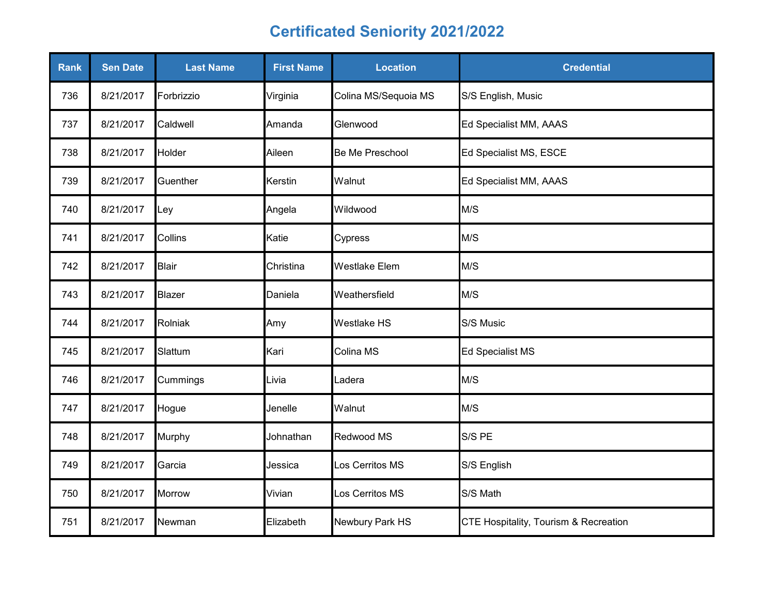| <b>Rank</b> | <b>Sen Date</b> | <b>Last Name</b> | <b>First Name</b> | <b>Location</b>      | <b>Credential</b>                     |
|-------------|-----------------|------------------|-------------------|----------------------|---------------------------------------|
| 736         | 8/21/2017       | Forbrizzio       | Virginia          | Colina MS/Sequoia MS | S/S English, Music                    |
| 737         | 8/21/2017       | Caldwell         | Amanda            | Glenwood             | Ed Specialist MM, AAAS                |
| 738         | 8/21/2017       | Holder           | Aileen            | Be Me Preschool      | Ed Specialist MS, ESCE                |
| 739         | 8/21/2017       | Guenther         | Kerstin           | Walnut               | Ed Specialist MM, AAAS                |
| 740         | 8/21/2017       | Ley              | Angela            | Wildwood             | M/S                                   |
| 741         | 8/21/2017       | Collins          | Katie             | Cypress              | M/S                                   |
| 742         | 8/21/2017       | <b>Blair</b>     | Christina         | <b>Westlake Elem</b> | M/S                                   |
| 743         | 8/21/2017       | Blazer           | Daniela           | Weathersfield        | M/S                                   |
| 744         | 8/21/2017       | Rolniak          | Amy               | <b>Westlake HS</b>   | S/S Music                             |
| 745         | 8/21/2017       | Slattum          | Kari              | Colina MS            | <b>Ed Specialist MS</b>               |
| 746         | 8/21/2017       | Cummings         | Livia             | Ladera               | M/S                                   |
| 747         | 8/21/2017       | Hogue            | Jenelle           | Walnut               | M/S                                   |
| 748         | 8/21/2017       | Murphy           | Johnathan         | Redwood MS           | S/S PE                                |
| 749         | 8/21/2017       | Garcia           | Jessica           | Los Cerritos MS      | S/S English                           |
| 750         | 8/21/2017       | <b>Morrow</b>    | Vivian            | Los Cerritos MS      | S/S Math                              |
| 751         | 8/21/2017       | Newman           | Elizabeth         | Newbury Park HS      | CTE Hospitality, Tourism & Recreation |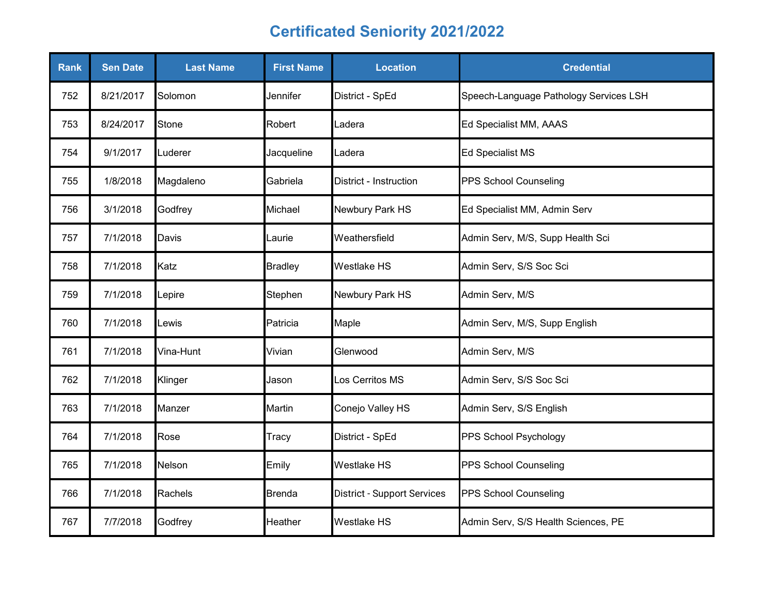| <b>Rank</b> | <b>Sen Date</b> | <b>Last Name</b> | <b>First Name</b> | <b>Location</b>                    | <b>Credential</b>                      |
|-------------|-----------------|------------------|-------------------|------------------------------------|----------------------------------------|
| 752         | 8/21/2017       | Solomon          | Jennifer          | District - SpEd                    | Speech-Language Pathology Services LSH |
| 753         | 8/24/2017       | Stone            | Robert            | Ladera                             | Ed Specialist MM, AAAS                 |
| 754         | 9/1/2017        | Luderer          | Jacqueline        | Ladera                             | <b>Ed Specialist MS</b>                |
| 755         | 1/8/2018        | Magdaleno        | Gabriela          | District - Instruction             | PPS School Counseling                  |
| 756         | 3/1/2018        | Godfrey          | Michael           | Newbury Park HS                    | Ed Specialist MM, Admin Serv           |
| 757         | 7/1/2018        | Davis            | Laurie            | Weathersfield                      | Admin Serv, M/S, Supp Health Sci       |
| 758         | 7/1/2018        | Katz             | <b>Bradley</b>    | <b>Westlake HS</b>                 | Admin Serv, S/S Soc Sci                |
| 759         | 7/1/2018        | Lepire           | Stephen           | Newbury Park HS                    | Admin Serv, M/S                        |
| 760         | 7/1/2018        | _ewis            | Patricia          | Maple                              | Admin Serv, M/S, Supp English          |
| 761         | 7/1/2018        | Vina-Hunt        | Vivian            | Glenwood                           | Admin Serv, M/S                        |
| 762         | 7/1/2018        | Klinger          | Jason             | Los Cerritos MS                    | Admin Serv, S/S Soc Sci                |
| 763         | 7/1/2018        | Manzer           | Martin            | Conejo Valley HS                   | Admin Serv, S/S English                |
| 764         | 7/1/2018        | Rose             | Tracy             | District - SpEd                    | PPS School Psychology                  |
| 765         | 7/1/2018        | Nelson           | Emily             | <b>Westlake HS</b>                 | PPS School Counseling                  |
| 766         | 7/1/2018        | Rachels          | <b>Brenda</b>     | <b>District - Support Services</b> | PPS School Counseling                  |
| 767         | 7/7/2018        | Godfrey          | Heather           | <b>Westlake HS</b>                 | Admin Serv, S/S Health Sciences, PE    |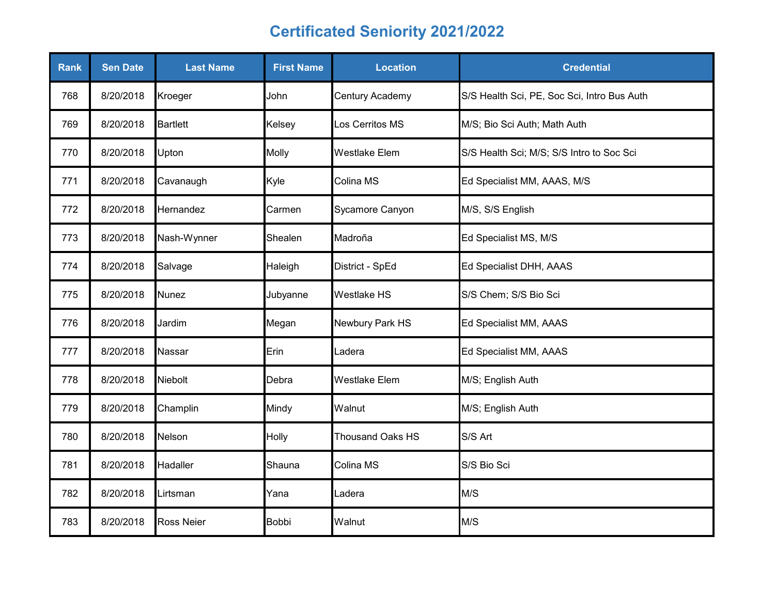| <b>Rank</b> | <b>Sen Date</b> | <b>Last Name</b>  | <b>First Name</b> | <b>Location</b>         | <b>Credential</b>                           |
|-------------|-----------------|-------------------|-------------------|-------------------------|---------------------------------------------|
| 768         | 8/20/2018       | Kroeger           | John              | Century Academy         | S/S Health Sci, PE, Soc Sci, Intro Bus Auth |
| 769         | 8/20/2018       | <b>Bartlett</b>   | Kelsey            | Los Cerritos MS         | M/S; Bio Sci Auth; Math Auth                |
| 770         | 8/20/2018       | Upton             | Molly             | <b>Westlake Elem</b>    | S/S Health Sci; M/S; S/S Intro to Soc Sci   |
| 771         | 8/20/2018       | Cavanaugh         | Kyle              | Colina MS               | Ed Specialist MM, AAAS, M/S                 |
| 772         | 8/20/2018       | Hernandez         | Carmen            | Sycamore Canyon         | M/S, S/S English                            |
| 773         | 8/20/2018       | Nash-Wynner       | Shealen           | Madroña                 | Ed Specialist MS, M/S                       |
| 774         | 8/20/2018       | Salvage           | Haleigh           | District - SpEd         | Ed Specialist DHH, AAAS                     |
| 775         | 8/20/2018       | Nunez             | Jubyanne          | Westlake HS             | S/S Chem; S/S Bio Sci                       |
| 776         | 8/20/2018       | Jardim            | Megan             | Newbury Park HS         | Ed Specialist MM, AAAS                      |
| 777         | 8/20/2018       | Nassar            | Erin              | Ladera                  | Ed Specialist MM, AAAS                      |
| 778         | 8/20/2018       | Niebolt           | Debra             | <b>Westlake Elem</b>    | M/S; English Auth                           |
| 779         | 8/20/2018       | Champlin          | Mindy             | Walnut                  | M/S; English Auth                           |
| 780         | 8/20/2018       | Nelson            | Holly             | <b>Thousand Oaks HS</b> | S/S Art                                     |
| 781         | 8/20/2018       | Hadaller          | Shauna            | Colina MS               | S/S Bio Sci                                 |
| 782         | 8/20/2018       | Lirtsman          | Yana              | Ladera                  | M/S                                         |
| 783         | 8/20/2018       | <b>Ross Neier</b> | <b>Bobbi</b>      | Walnut                  | M/S                                         |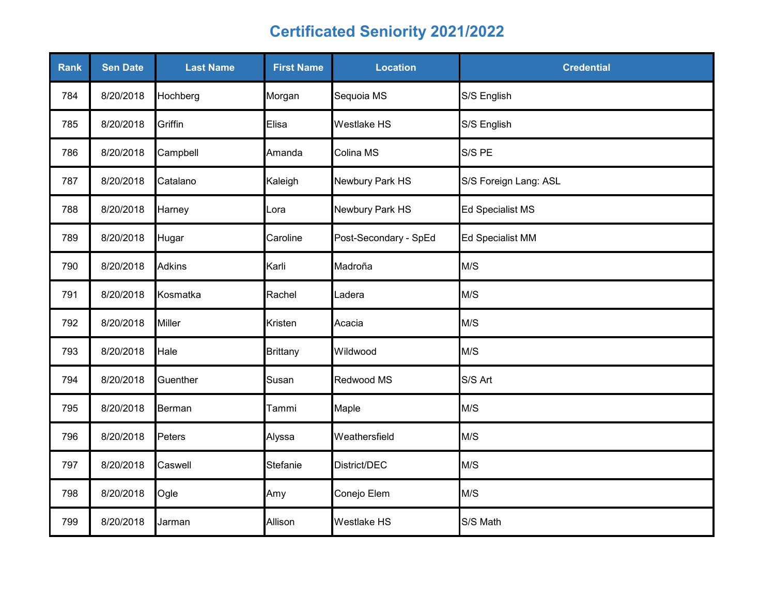| Rank | <b>Sen Date</b> | <b>Last Name</b> | <b>First Name</b> | <b>Location</b>       | <b>Credential</b>     |
|------|-----------------|------------------|-------------------|-----------------------|-----------------------|
| 784  | 8/20/2018       | Hochberg         | Morgan            | Sequoia MS            | S/S English           |
| 785  | 8/20/2018       | Griffin          | Elisa             | Westlake HS           | S/S English           |
| 786  | 8/20/2018       | Campbell         | Amanda            | Colina MS             | S/S PE                |
| 787  | 8/20/2018       | Catalano         | Kaleigh           | Newbury Park HS       | S/S Foreign Lang: ASL |
| 788  | 8/20/2018       | Harney           | _ora              | Newbury Park HS       | Ed Specialist MS      |
| 789  | 8/20/2018       | Hugar            | Caroline          | Post-Secondary - SpEd | Ed Specialist MM      |
| 790  | 8/20/2018       | <b>Adkins</b>    | Karli             | Madroña               | M/S                   |
| 791  | 8/20/2018       | Kosmatka         | Rachel            | Ladera                | M/S                   |
| 792  | 8/20/2018       | <b>Miller</b>    | Kristen           | Acacia                | M/S                   |
| 793  | 8/20/2018       | Hale             | <b>Brittany</b>   | Wildwood              | M/S                   |
| 794  | 8/20/2018       | Guenther         | Susan             | Redwood MS            | S/S Art               |
| 795  | 8/20/2018       | Berman           | Tammi             | Maple                 | M/S                   |
| 796  | 8/20/2018       | <b>Peters</b>    | Alyssa            | Weathersfield         | M/S                   |
| 797  | 8/20/2018       | Caswell          | Stefanie          | District/DEC          | M/S                   |
| 798  | 8/20/2018       | Ogle             | Amy               | Conejo Elem           | M/S                   |
| 799  | 8/20/2018       | Jarman           | Allison           | Westlake HS           | S/S Math              |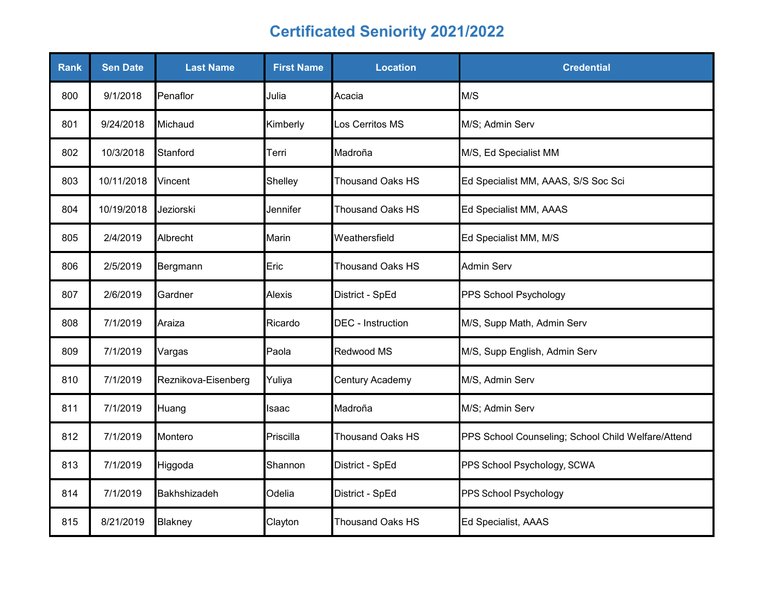| <b>Rank</b> | <b>Sen Date</b> | <b>Last Name</b>    | <b>First Name</b> | <b>Location</b>          | <b>Credential</b>                                  |
|-------------|-----------------|---------------------|-------------------|--------------------------|----------------------------------------------------|
| 800         | 9/1/2018        | Penaflor            | Julia             | Acacia                   | M/S                                                |
| 801         | 9/24/2018       | Michaud             | Kimberly          | Los Cerritos MS          | M/S; Admin Serv                                    |
| 802         | 10/3/2018       | Stanford            | Terri             | Madroña                  | M/S, Ed Specialist MM                              |
| 803         | 10/11/2018      | Vincent             | Shelley           | <b>Thousand Oaks HS</b>  | Ed Specialist MM, AAAS, S/S Soc Sci                |
| 804         | 10/19/2018      | Jeziorski           | Jennifer          | <b>Thousand Oaks HS</b>  | Ed Specialist MM, AAAS                             |
| 805         | 2/4/2019        | Albrecht            | Marin             | Weathersfield            | Ed Specialist MM, M/S                              |
| 806         | 2/5/2019        | Bergmann            | Eric              | <b>Thousand Oaks HS</b>  | <b>Admin Serv</b>                                  |
| 807         | 2/6/2019        | Gardner             | Alexis            | District - SpEd          | PPS School Psychology                              |
| 808         | 7/1/2019        | Araiza              | Ricardo           | <b>DEC</b> - Instruction | M/S, Supp Math, Admin Serv                         |
| 809         | 7/1/2019        | Vargas              | Paola             | Redwood MS               | M/S, Supp English, Admin Serv                      |
| 810         | 7/1/2019        | Reznikova-Eisenberg | Yuliya            | Century Academy          | M/S, Admin Serv                                    |
| 811         | 7/1/2019        | Huang               | Isaac             | Madroña                  | M/S; Admin Serv                                    |
| 812         | 7/1/2019        | Montero             | Priscilla         | <b>Thousand Oaks HS</b>  | PPS School Counseling; School Child Welfare/Attend |
| 813         | 7/1/2019        | Higgoda             | Shannon           | District - SpEd          | PPS School Psychology, SCWA                        |
| 814         | 7/1/2019        | Bakhshizadeh        | Odelia            | District - SpEd          | PPS School Psychology                              |
| 815         | 8/21/2019       | Blakney             | Clayton           | Thousand Oaks HS         | Ed Specialist, AAAS                                |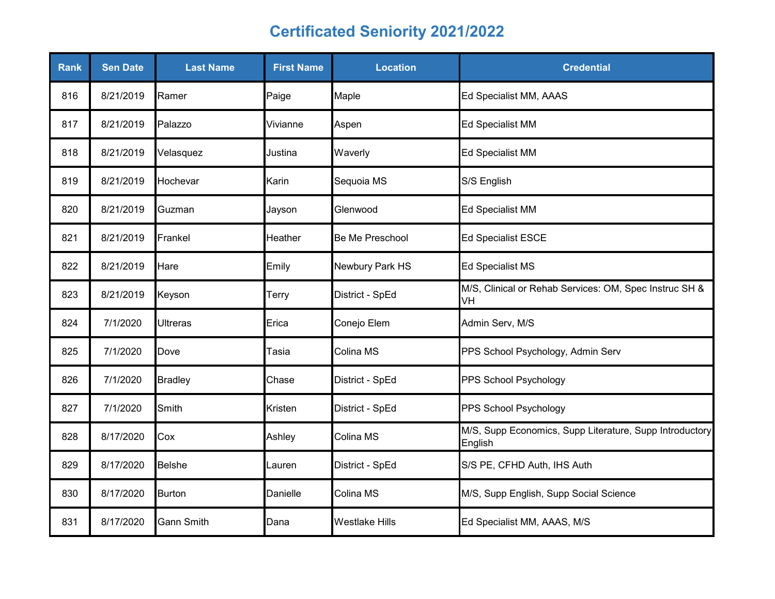| Rank | <b>Sen Date</b> | <b>Last Name</b>  | <b>First Name</b> | <b>Location</b>        | <b>Credential</b>                                                  |
|------|-----------------|-------------------|-------------------|------------------------|--------------------------------------------------------------------|
| 816  | 8/21/2019       | Ramer             | Paige             | Maple                  | Ed Specialist MM, AAAS                                             |
| 817  | 8/21/2019       | Palazzo           | Vivianne          | Aspen                  | <b>Ed Specialist MM</b>                                            |
| 818  | 8/21/2019       | Velasquez         | Justina           | Waverly                | <b>Ed Specialist MM</b>                                            |
| 819  | 8/21/2019       | Hochevar          | Karin             | Sequoia MS             | S/S English                                                        |
| 820  | 8/21/2019       | Guzman            | Jayson            | Glenwood               | <b>Ed Specialist MM</b>                                            |
| 821  | 8/21/2019       | Frankel           | Heather           | <b>Be Me Preschool</b> | <b>Ed Specialist ESCE</b>                                          |
| 822  | 8/21/2019       | Hare              | Emily             | Newbury Park HS        | <b>Ed Specialist MS</b>                                            |
| 823  | 8/21/2019       | Keyson            | Terry             | District - SpEd        | M/S, Clinical or Rehab Services: OM, Spec Instruc SH &<br>VH       |
| 824  | 7/1/2020        | Ultreras          | Erica             | Conejo Elem            | Admin Serv, M/S                                                    |
| 825  | 7/1/2020        | Dove              | Tasia             | Colina MS              | PPS School Psychology, Admin Serv                                  |
| 826  | 7/1/2020        | <b>Bradley</b>    | Chase             | District - SpEd        | PPS School Psychology                                              |
| 827  | 7/1/2020        | Smith             | Kristen           | District - SpEd        | PPS School Psychology                                              |
| 828  | 8/17/2020       | Cox               | Ashley            | Colina MS              | M/S, Supp Economics, Supp Literature, Supp Introductory<br>English |
| 829  | 8/17/2020       | <b>Belshe</b>     | Lauren            | District - SpEd        | S/S PE, CFHD Auth, IHS Auth                                        |
| 830  | 8/17/2020       | <b>Burton</b>     | Danielle          | Colina MS              | M/S, Supp English, Supp Social Science                             |
| 831  | 8/17/2020       | <b>Gann Smith</b> | Dana              | <b>Westlake Hills</b>  | Ed Specialist MM, AAAS, M/S                                        |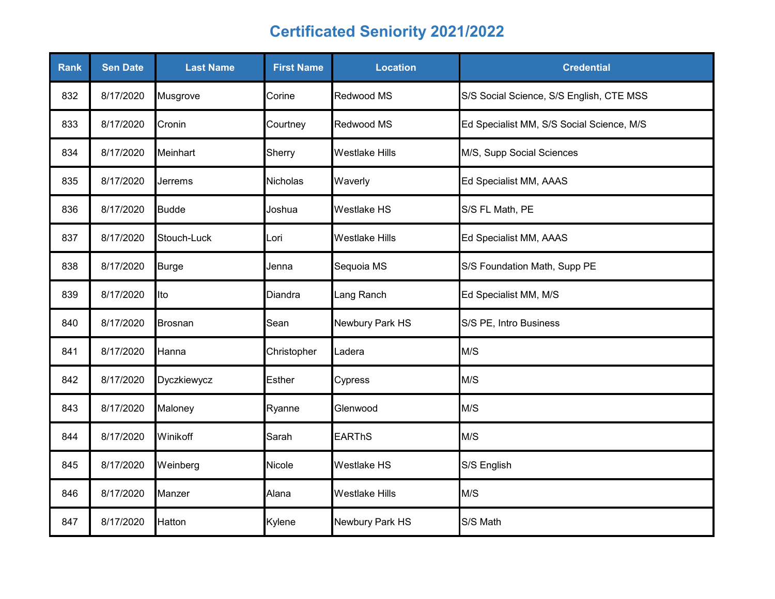| <b>Rank</b> | <b>Sen Date</b> | <b>Last Name</b> | <b>First Name</b> | <b>Location</b>       | <b>Credential</b>                         |
|-------------|-----------------|------------------|-------------------|-----------------------|-------------------------------------------|
| 832         | 8/17/2020       | Musgrove         | Corine            | Redwood MS            | S/S Social Science, S/S English, CTE MSS  |
| 833         | 8/17/2020       | Cronin           | Courtney          | Redwood MS            | Ed Specialist MM, S/S Social Science, M/S |
| 834         | 8/17/2020       | Meinhart         | Sherry            | <b>Westlake Hills</b> | M/S, Supp Social Sciences                 |
| 835         | 8/17/2020       | Jerrems          | Nicholas          | Waverly               | Ed Specialist MM, AAAS                    |
| 836         | 8/17/2020       | <b>Budde</b>     | Joshua            | Westlake HS           | S/S FL Math, PE                           |
| 837         | 8/17/2020       | Stouch-Luck      | Lori              | <b>Westlake Hills</b> | Ed Specialist MM, AAAS                    |
| 838         | 8/17/2020       | <b>Burge</b>     | Jenna             | Sequoia MS            | S/S Foundation Math, Supp PE              |
| 839         | 8/17/2020       | Ito              | Diandra           | Lang Ranch            | Ed Specialist MM, M/S                     |
| 840         | 8/17/2020       | <b>Brosnan</b>   | Sean              | Newbury Park HS       | S/S PE, Intro Business                    |
| 841         | 8/17/2020       | Hanna            | Christopher       | Ladera                | M/S                                       |
| 842         | 8/17/2020       | Dyczkiewycz      | Esther            | Cypress               | M/S                                       |
| 843         | 8/17/2020       | Maloney          | Ryanne            | Glenwood              | M/S                                       |
| 844         | 8/17/2020       | Winikoff         | Sarah             | <b>EARThS</b>         | M/S                                       |
| 845         | 8/17/2020       | Weinberg         | Nicole            | <b>Westlake HS</b>    | S/S English                               |
| 846         | 8/17/2020       | Manzer           | Alana             | <b>Westlake Hills</b> | M/S                                       |
| 847         | 8/17/2020       | Hatton           | Kylene            | Newbury Park HS       | S/S Math                                  |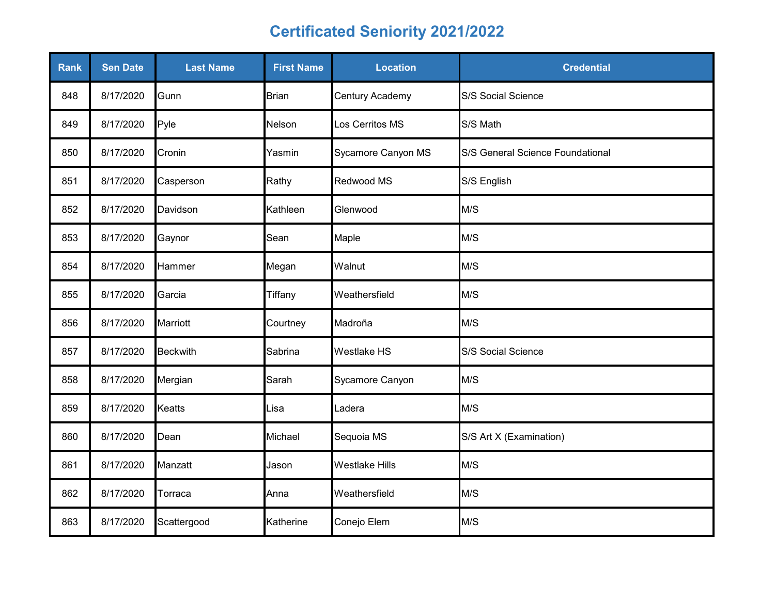| Rank | <b>Sen Date</b> | <b>Last Name</b> | <b>First Name</b> | <b>Location</b>       | <b>Credential</b>                |
|------|-----------------|------------------|-------------------|-----------------------|----------------------------------|
| 848  | 8/17/2020       | Gunn             | Brian             | Century Academy       | S/S Social Science               |
| 849  | 8/17/2020       | Pyle             | Nelson            | Los Cerritos MS       | S/S Math                         |
| 850  | 8/17/2020       | Cronin           | Yasmin            | Sycamore Canyon MS    | S/S General Science Foundational |
| 851  | 8/17/2020       | Casperson        | Rathy             | Redwood MS            | S/S English                      |
| 852  | 8/17/2020       | Davidson         | Kathleen          | Glenwood              | M/S                              |
| 853  | 8/17/2020       | Gaynor           | Sean              | Maple                 | M/S                              |
| 854  | 8/17/2020       | Hammer           | Megan             | Walnut                | M/S                              |
| 855  | 8/17/2020       | Garcia           | Tiffany           | Weathersfield         | M/S                              |
| 856  | 8/17/2020       | <b>Marriott</b>  | Courtney          | Madroña               | M/S                              |
| 857  | 8/17/2020       | <b>Beckwith</b>  | Sabrina           | <b>Westlake HS</b>    | S/S Social Science               |
| 858  | 8/17/2020       | Mergian          | Sarah             | Sycamore Canyon       | M/S                              |
| 859  | 8/17/2020       | <b>Keatts</b>    | Lisa              | Ladera                | M/S                              |
| 860  | 8/17/2020       | Dean             | Michael           | Sequoia MS            | S/S Art X (Examination)          |
| 861  | 8/17/2020       | Manzatt          | Jason             | <b>Westlake Hills</b> | M/S                              |
| 862  | 8/17/2020       | Torraca          | Anna              | Weathersfield         | M/S                              |
| 863  | 8/17/2020       | Scattergood      | Katherine         | Conejo Elem           | M/S                              |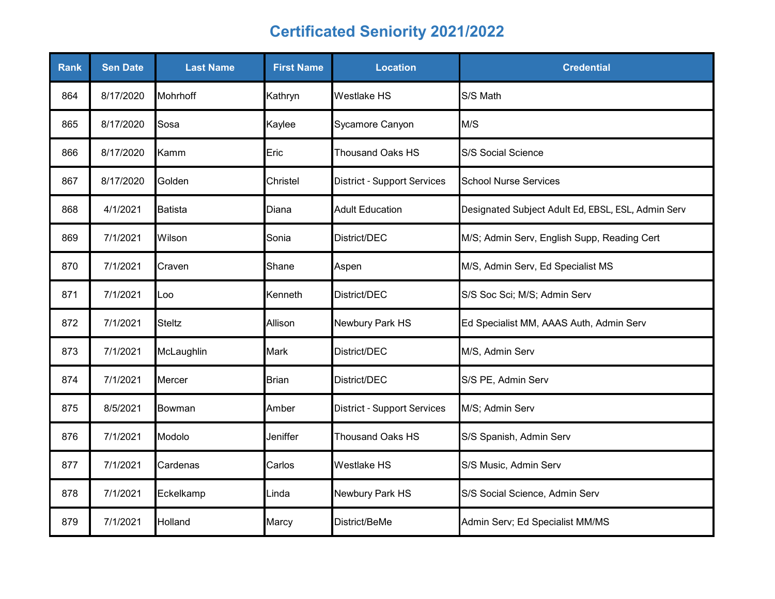| Rank | <b>Sen Date</b> | <b>Last Name</b> | <b>First Name</b> | <b>Location</b>                    | <b>Credential</b>                                  |
|------|-----------------|------------------|-------------------|------------------------------------|----------------------------------------------------|
| 864  | 8/17/2020       | Mohrhoff         | Kathryn           | <b>Westlake HS</b>                 | S/S Math                                           |
| 865  | 8/17/2020       | Sosa             | Kaylee            | Sycamore Canyon                    | M/S                                                |
| 866  | 8/17/2020       | Kamm             | Eric              | <b>Thousand Oaks HS</b>            | S/S Social Science                                 |
| 867  | 8/17/2020       | Golden           | Christel          | <b>District - Support Services</b> | <b>School Nurse Services</b>                       |
| 868  | 4/1/2021        | Batista          | Diana             | <b>Adult Education</b>             | Designated Subject Adult Ed, EBSL, ESL, Admin Serv |
| 869  | 7/1/2021        | Wilson           | Sonia             | District/DEC                       | M/S; Admin Serv, English Supp, Reading Cert        |
| 870  | 7/1/2021        | Craven           | Shane             | Aspen                              | M/S, Admin Serv, Ed Specialist MS                  |
| 871  | 7/1/2021        | Loo              | Kenneth           | District/DEC                       | S/S Soc Sci; M/S; Admin Serv                       |
| 872  | 7/1/2021        | <b>Steltz</b>    | Allison           | Newbury Park HS                    | Ed Specialist MM, AAAS Auth, Admin Serv            |
| 873  | 7/1/2021        | McLaughlin       | <b>Mark</b>       | District/DEC                       | M/S, Admin Serv                                    |
| 874  | 7/1/2021        | Mercer           | <b>Brian</b>      | District/DEC                       | S/S PE, Admin Serv                                 |
| 875  | 8/5/2021        | Bowman           | Amber             | <b>District - Support Services</b> | M/S; Admin Serv                                    |
| 876  | 7/1/2021        | Modolo           | Jeniffer          | <b>Thousand Oaks HS</b>            | S/S Spanish, Admin Serv                            |
| 877  | 7/1/2021        | Cardenas         | Carlos            | <b>Westlake HS</b>                 | S/S Music, Admin Serv                              |
| 878  | 7/1/2021        | Eckelkamp        | Linda             | Newbury Park HS                    | S/S Social Science, Admin Serv                     |
| 879  | 7/1/2021        | Holland          | Marcy             | District/BeMe                      | Admin Serv; Ed Specialist MM/MS                    |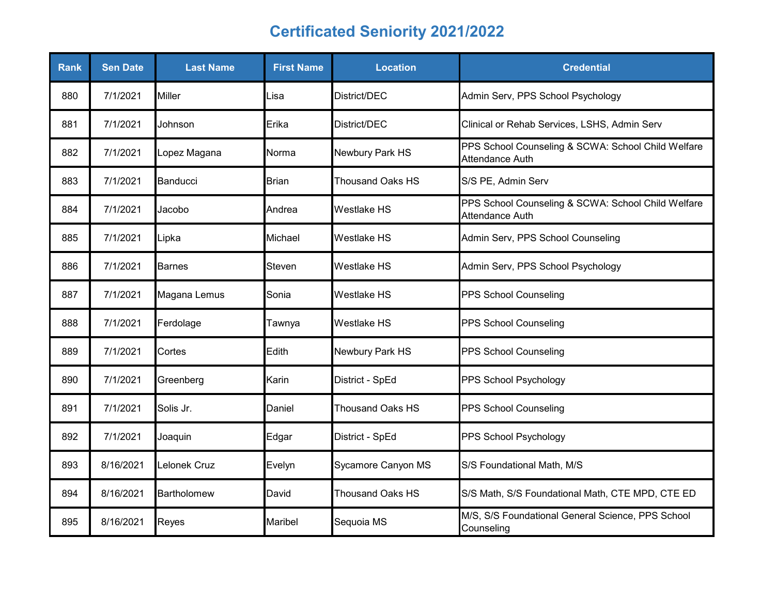| <b>Rank</b> | <b>Sen Date</b> | <b>Last Name</b>   | <b>First Name</b> | <b>Location</b>         | <b>Credential</b>                                                            |
|-------------|-----------------|--------------------|-------------------|-------------------------|------------------------------------------------------------------------------|
| 880         | 7/1/2021        | <b>Miller</b>      | Lisa              | District/DEC            | Admin Serv, PPS School Psychology                                            |
| 881         | 7/1/2021        | Johnson            | Erika             | District/DEC            | Clinical or Rehab Services, LSHS, Admin Serv                                 |
| 882         | 7/1/2021        | Lopez Magana       | Norma             | Newbury Park HS         | PPS School Counseling & SCWA: School Child Welfare<br><b>Attendance Auth</b> |
| 883         | 7/1/2021        | Banducci           | <b>Brian</b>      | <b>Thousand Oaks HS</b> | S/S PE, Admin Serv                                                           |
| 884         | 7/1/2021        | Jacobo             | Andrea            | <b>Westlake HS</b>      | PPS School Counseling & SCWA: School Child Welfare<br>Attendance Auth        |
| 885         | 7/1/2021        | Lipka              | Michael           | <b>Westlake HS</b>      | Admin Serv, PPS School Counseling                                            |
| 886         | 7/1/2021        | <b>Barnes</b>      | Steven            | <b>Westlake HS</b>      | Admin Serv, PPS School Psychology                                            |
| 887         | 7/1/2021        | Magana Lemus       | Sonia             | <b>Westlake HS</b>      | PPS School Counseling                                                        |
| 888         | 7/1/2021        | Ferdolage          | Tawnya            | <b>Westlake HS</b>      | <b>PPS School Counseling</b>                                                 |
| 889         | 7/1/2021        | Cortes             | Edith             | Newbury Park HS         | <b>PPS School Counseling</b>                                                 |
| 890         | 7/1/2021        | Greenberg          | Karin             | District - SpEd         | PPS School Psychology                                                        |
| 891         | 7/1/2021        | Solis Jr.          | Daniel            | <b>Thousand Oaks HS</b> | PPS School Counseling                                                        |
| 892         | 7/1/2021        | Joaquin            | Edgar             | District - SpEd         | PPS School Psychology                                                        |
| 893         | 8/16/2021       | Lelonek Cruz       | Evelyn            | Sycamore Canyon MS      | S/S Foundational Math, M/S                                                   |
| 894         | 8/16/2021       | <b>Bartholomew</b> | David             | <b>Thousand Oaks HS</b> | S/S Math, S/S Foundational Math, CTE MPD, CTE ED                             |
| 895         | 8/16/2021       | Reyes              | Maribel           | Sequoia MS              | M/S, S/S Foundational General Science, PPS School<br>Counseling              |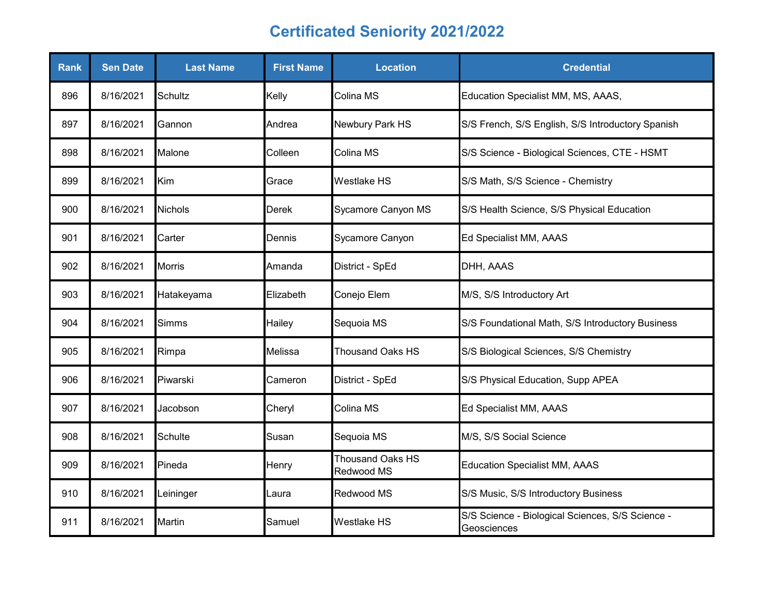| <b>Rank</b> | <b>Sen Date</b> | <b>Last Name</b> | <b>First Name</b> | <b>Location</b>                       | <b>Credential</b>                                               |
|-------------|-----------------|------------------|-------------------|---------------------------------------|-----------------------------------------------------------------|
| 896         | 8/16/2021       | Schultz          | Kelly             | Colina MS                             | Education Specialist MM, MS, AAAS,                              |
| 897         | 8/16/2021       | Gannon           | Andrea            | Newbury Park HS                       | S/S French, S/S English, S/S Introductory Spanish               |
| 898         | 8/16/2021       | Malone           | Colleen           | Colina MS                             | S/S Science - Biological Sciences, CTE - HSMT                   |
| 899         | 8/16/2021       | Kim              | Grace             | <b>Westlake HS</b>                    | S/S Math, S/S Science - Chemistry                               |
| 900         | 8/16/2021       | <b>Nichols</b>   | <b>Derek</b>      | Sycamore Canyon MS                    | S/S Health Science, S/S Physical Education                      |
| 901         | 8/16/2021       | Carter           | Dennis            | Sycamore Canyon                       | Ed Specialist MM, AAAS                                          |
| 902         | 8/16/2021       | <b>Morris</b>    | Amanda            | District - SpEd                       | DHH, AAAS                                                       |
| 903         | 8/16/2021       | Hatakeyama       | Elizabeth         | Conejo Elem                           | M/S, S/S Introductory Art                                       |
| 904         | 8/16/2021       | <b>Simms</b>     | Hailey            | Sequoia MS                            | S/S Foundational Math, S/S Introductory Business                |
| 905         | 8/16/2021       | Rimpa            | Melissa           | <b>Thousand Oaks HS</b>               | S/S Biological Sciences, S/S Chemistry                          |
| 906         | 8/16/2021       | Piwarski         | Cameron           | District - SpEd                       | S/S Physical Education, Supp APEA                               |
| 907         | 8/16/2021       | Jacobson         | Cheryl            | Colina MS                             | Ed Specialist MM, AAAS                                          |
| 908         | 8/16/2021       | Schulte          | Susan             | Sequoia MS                            | M/S, S/S Social Science                                         |
| 909         | 8/16/2021       | Pineda           | Henry             | <b>Thousand Oaks HS</b><br>Redwood MS | <b>Education Specialist MM, AAAS</b>                            |
| 910         | 8/16/2021       | Leininger        | Laura             | Redwood MS                            | S/S Music, S/S Introductory Business                            |
| 911         | 8/16/2021       | <b>Martin</b>    | Samuel            | <b>Westlake HS</b>                    | S/S Science - Biological Sciences, S/S Science -<br>Geosciences |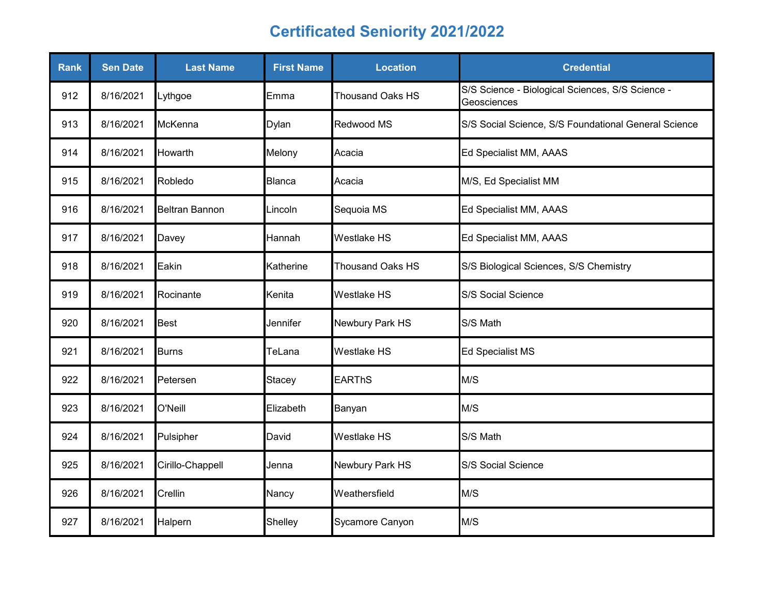| <b>Rank</b> | <b>Sen Date</b> | <b>Last Name</b>      | <b>First Name</b> | <b>Location</b>         | <b>Credential</b>                                               |
|-------------|-----------------|-----------------------|-------------------|-------------------------|-----------------------------------------------------------------|
| 912         | 8/16/2021       | Lythgoe               | Emma              | <b>Thousand Oaks HS</b> | S/S Science - Biological Sciences, S/S Science -<br>Geosciences |
| 913         | 8/16/2021       | McKenna               | Dylan             | Redwood MS              | S/S Social Science, S/S Foundational General Science            |
| 914         | 8/16/2021       | Howarth               | Melony            | Acacia                  | Ed Specialist MM, AAAS                                          |
| 915         | 8/16/2021       | Robledo               | Blanca            | Acacia                  | M/S, Ed Specialist MM                                           |
| 916         | 8/16/2021       | <b>Beltran Bannon</b> | Lincoln           | Sequoia MS              | Ed Specialist MM, AAAS                                          |
| 917         | 8/16/2021       | Davey                 | Hannah            | Westlake HS             | Ed Specialist MM, AAAS                                          |
| 918         | 8/16/2021       | Eakin                 | Katherine         | <b>Thousand Oaks HS</b> | S/S Biological Sciences, S/S Chemistry                          |
| 919         | 8/16/2021       | Rocinante             | Kenita            | Westlake HS             | S/S Social Science                                              |
| 920         | 8/16/2021       | <b>Best</b>           | Jennifer          | Newbury Park HS         | S/S Math                                                        |
| 921         | 8/16/2021       | <b>Burns</b>          | TeLana            | Westlake HS             | Ed Specialist MS                                                |
| 922         | 8/16/2021       | Petersen              | Stacey            | <b>EARThS</b>           | M/S                                                             |
| 923         | 8/16/2021       | O'Neill               | Elizabeth         | Banyan                  | M/S                                                             |
| 924         | 8/16/2021       | Pulsipher             | David             | Westlake HS             | S/S Math                                                        |
| 925         | 8/16/2021       | Cirillo-Chappell      | Jenna             | Newbury Park HS         | S/S Social Science                                              |
| 926         | 8/16/2021       | Crellin               | Nancy             | Weathersfield           | M/S                                                             |
| 927         | 8/16/2021       | Halpern               | Shelley           | Sycamore Canyon         | M/S                                                             |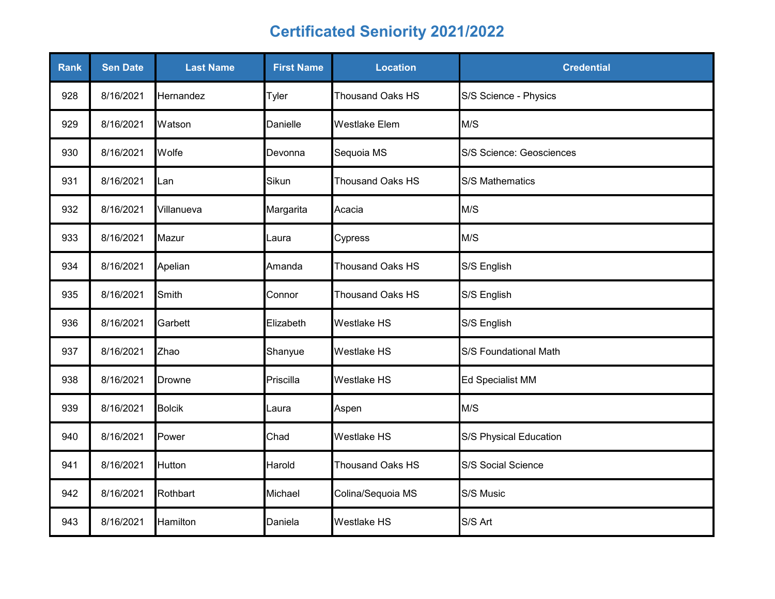| Rank | <b>Sen Date</b> | <b>Last Name</b> | <b>First Name</b> | <b>Location</b>         | <b>Credential</b>        |
|------|-----------------|------------------|-------------------|-------------------------|--------------------------|
| 928  | 8/16/2021       | Hernandez        | Tyler             | <b>Thousand Oaks HS</b> | S/S Science - Physics    |
| 929  | 8/16/2021       | Watson           | Danielle          | <b>Westlake Elem</b>    | M/S                      |
| 930  | 8/16/2021       | Wolfe            | Devonna           | Sequoia MS              | S/S Science: Geosciences |
| 931  | 8/16/2021       | Lan              | Sikun             | <b>Thousand Oaks HS</b> | S/S Mathematics          |
| 932  | 8/16/2021       | Villanueva       | Margarita         | Acacia                  | M/S                      |
| 933  | 8/16/2021       | Mazur            | Laura             | Cypress                 | M/S                      |
| 934  | 8/16/2021       | Apelian          | Amanda            | Thousand Oaks HS        | S/S English              |
| 935  | 8/16/2021       | Smith            | Connor            | Thousand Oaks HS        | S/S English              |
| 936  | 8/16/2021       | Garbett          | Elizabeth         | <b>Westlake HS</b>      | S/S English              |
| 937  | 8/16/2021       | Zhao             | Shanyue           | Westlake HS             | S/S Foundational Math    |
| 938  | 8/16/2021       | <b>Drowne</b>    | Priscilla         | Westlake HS             | Ed Specialist MM         |
| 939  | 8/16/2021       | <b>Bolcik</b>    | aura.             | Aspen                   | M/S                      |
| 940  | 8/16/2021       | Power            | Chad              | Westlake HS             | S/S Physical Education   |
| 941  | 8/16/2021       | Hutton           | Harold            | <b>Thousand Oaks HS</b> | S/S Social Science       |
| 942  | 8/16/2021       | Rothbart         | Michael           | Colina/Sequoia MS       | S/S Music                |
| 943  | 8/16/2021       | Hamilton         | Daniela           | <b>Westlake HS</b>      | S/S Art                  |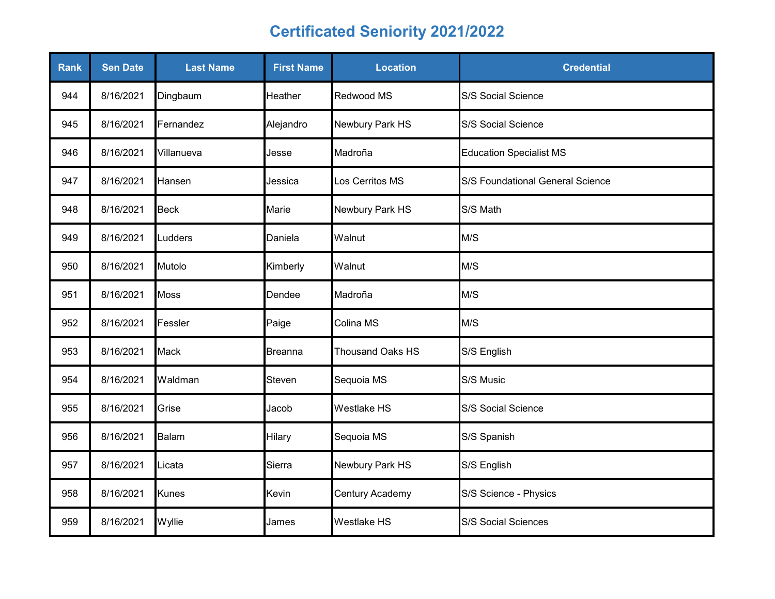| Rank | <b>Sen Date</b> | <b>Last Name</b> | <b>First Name</b> | <b>Location</b>         | <b>Credential</b>                |
|------|-----------------|------------------|-------------------|-------------------------|----------------------------------|
| 944  | 8/16/2021       | Dingbaum         | Heather           | Redwood MS              | S/S Social Science               |
| 945  | 8/16/2021       | Fernandez        | Alejandro         | Newbury Park HS         | S/S Social Science               |
| 946  | 8/16/2021       | Villanueva       | Jesse             | Madroña                 | <b>Education Specialist MS</b>   |
| 947  | 8/16/2021       | Hansen           | Jessica           | Los Cerritos MS         | S/S Foundational General Science |
| 948  | 8/16/2021       | <b>Beck</b>      | Marie             | Newbury Park HS         | S/S Math                         |
| 949  | 8/16/2021       | Ludders          | Daniela           | Walnut                  | M/S                              |
| 950  | 8/16/2021       | Mutolo           | Kimberly          | Walnut                  | M/S                              |
| 951  | 8/16/2021       | <b>Moss</b>      | Dendee            | Madroña                 | M/S                              |
| 952  | 8/16/2021       | Fessler          | Paige             | Colina MS               | M/S                              |
| 953  | 8/16/2021       | <b>Mack</b>      | <b>Breanna</b>    | <b>Thousand Oaks HS</b> | S/S English                      |
| 954  | 8/16/2021       | Waldman          | Steven            | Sequoia MS              | S/S Music                        |
| 955  | 8/16/2021       | Grise            | Jacob             | Westlake HS             | S/S Social Science               |
| 956  | 8/16/2021       | Balam            | Hilary            | Sequoia MS              | S/S Spanish                      |
| 957  | 8/16/2021       | Licata           | Sierra            | Newbury Park HS         | S/S English                      |
| 958  | 8/16/2021       | <b>Kunes</b>     | Kevin             | Century Academy         | S/S Science - Physics            |
| 959  | 8/16/2021       | Wyllie           | James             | Westlake HS             | S/S Social Sciences              |